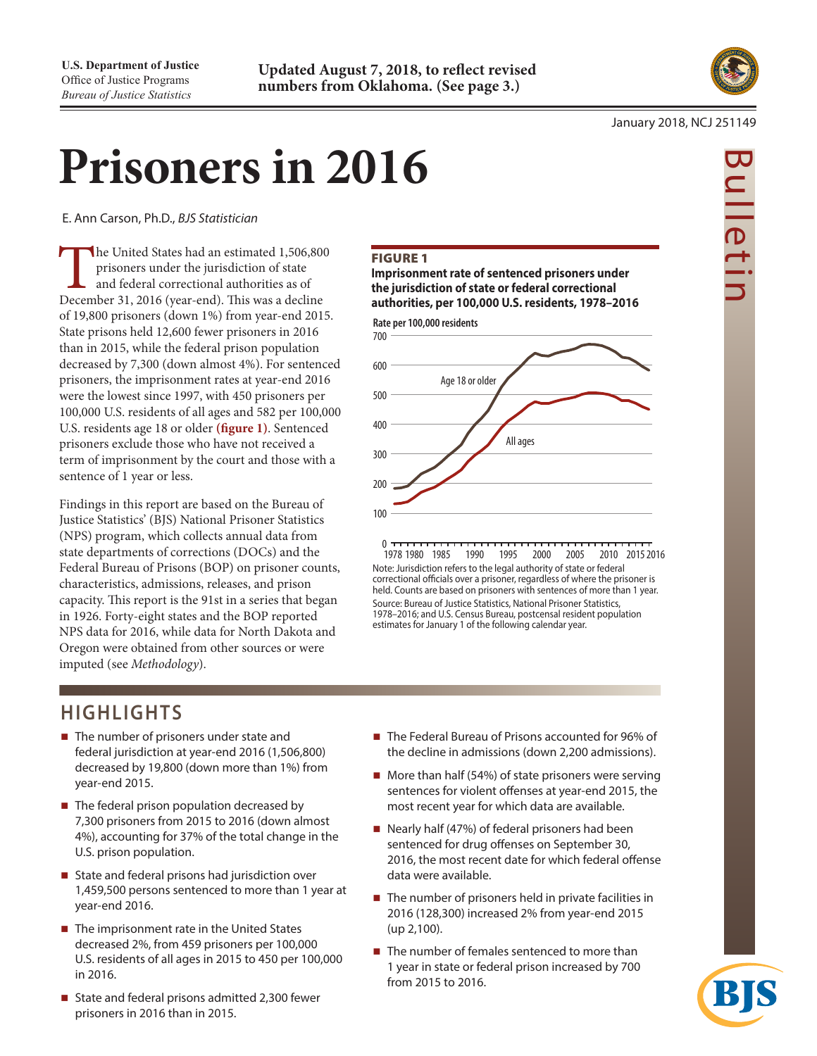

Bulletin

ulleti

#### January 2018, NCJ 251149

# **Prisoners in 2016**

E. Ann Carson, Ph.D., *BJS Statistician*

The United States had an estimated 1,506,800 prisoners under the jurisdiction of state<br>and federal correctional authorities as of<br>December 31, 2016 (year-end). This was a decline prisoners under the jurisdiction of state and federal correctional authorities as of of 19,800 prisoners (down 1%) from year-end 2015. State prisons held 12,600 fewer prisoners in 2016 than in 2015, while the federal prison population decreased by 7,300 (down almost 4%). For sentenced prisoners, the imprisonment rates at year-end 2016 were the lowest since 1997, with 450 prisoners per 100,000 U.S. residents of all ages and 582 per 100,000 U.S. residents age 18 or older **(figure 1)**. Sentenced prisoners exclude those who have not received a term of imprisonment by the court and those with a sentence of 1 year or less.

Findings in this report are based on the Bureau of Justice Statistics' (BJS) National Prisoner Statistics (NPS) program, which collects annual data from state departments of corrections (DOCs) and the Federal Bureau of Prisons (BOP) on prisoner counts, characteristics, admissions, releases, and prison capacity. This report is the 91st in a series that began in 1926. Forty-eight states and the BOP reported NPS data for 2016, while data for North Dakota and Oregon were obtained from other sources or were imputed (see *Methodology*).

# Figure 1

**Imprisonment rate of sentenced prisoners under the jurisdiction of state or federal correctional authorities, per 100,000 U.S. residents, 1978–2016**



 $0 \tau$ 1978 1980 1985 1990 1995 2000 2005 2010 20152016 Note: Jurisdiction refers to the legal authority of state or federal correctional officials over a prisoner, regardless of where the prisoner is held. Counts are based on prisoners with sentences of more than 1 year. Source: Bureau of Justice Statistics, National Prisoner Statistics, 1978–2016; and U.S. Census Bureau, postcensal resident population estimates for January 1 of the following calendar year.

# **HIGHLIGHTS**

- The number of prisoners under state and federal jurisdiction at year-end 2016 (1,506,800) decreased by 19,800 (down more than 1%) from year-end 2015.
- $\blacksquare$  The federal prison population decreased by 7,300 prisoners from 2015 to 2016 (down almost 4%), accounting for 37% of the total change in the U.S. prison population.
- State and federal prisons had jurisdiction over 1,459,500 persons sentenced to more than 1 year at year-end 2016.
- $\blacksquare$  The imprisonment rate in the United States decreased 2%, from 459 prisoners per 100,000 U.S. residents of all ages in 2015 to 450 per 100,000 in 2016.
- State and federal prisons admitted 2,300 fewer prisoners in 2016 than in 2015.
- The Federal Bureau of Prisons accounted for 96% of the decline in admissions (down 2,200 admissions).
- $\blacksquare$  More than half (54%) of state prisoners were serving sentences for violent offenses at year-end 2015, the most recent year for which data are available.
- Nearly half (47%) of federal prisoners had been sentenced for drug offenses on September 30, 2016, the most recent date for which federal offense data were available.
- $\blacksquare$  The number of prisoners held in private facilities in 2016 (128,300) increased 2% from year-end 2015 (up 2,100).
- $\blacksquare$  The number of females sentenced to more than 1 year in state or federal prison increased by 700 from 2015 to 2016.

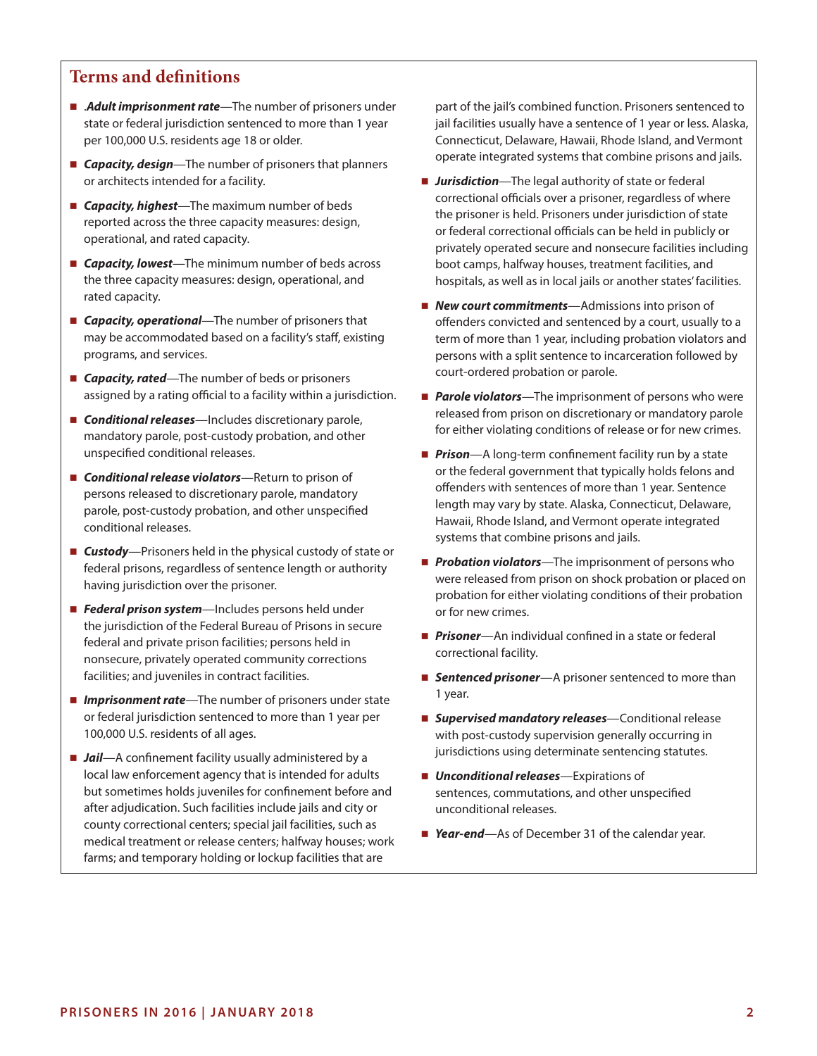# **Terms and definitions**

- Adult imprisonment rate—The number of prisoners under state or federal jurisdiction sentenced to more than 1 year per 100,000 U.S. residents age 18 or older.
- *Capacity, design*—The number of prisoners that planners or architects intended for a facility.
- *Capacity, highest*—The maximum number of beds reported across the three capacity measures: design, operational, and rated capacity.
- **Capacity, lowest**—The minimum number of beds across the three capacity measures: design, operational, and rated capacity.
- **Capacity, operational**—The number of prisoners that may be accommodated based on a facility's staff, existing programs, and services.
- **Capacity, rated**—The number of beds or prisoners assigned by a rating official to a facility within a jurisdiction.
- **Conditional releases**—Includes discretionary parole, mandatory parole, post-custody probation, and other unspecified conditional releases.
- *Conditional release violators*—Return to prison of persons released to discretionary parole, mandatory parole, post-custody probation, and other unspecified conditional releases.
- **Custody**—Prisoners held in the physical custody of state or federal prisons, regardless of sentence length or authority having jurisdiction over the prisoner.
- *Federal prison system*—Includes persons held under the jurisdiction of the Federal Bureau of Prisons in secure federal and private prison facilities; persons held in nonsecure, privately operated community corrections facilities; and juveniles in contract facilities.
- *Imprisonment rate*—The number of prisoners under state or federal jurisdiction sentenced to more than 1 year per 100,000 U.S. residents of all ages.
- *Jail*—A confinement facility usually administered by a local law enforcement agency that is intended for adults but sometimes holds juveniles for confinement before and after adjudication. Such facilities include jails and city or county correctional centers; special jail facilities, such as medical treatment or release centers; halfway houses; work farms; and temporary holding or lockup facilities that are

part of the jail's combined function. Prisoners sentenced to jail facilities usually have a sentence of 1 year or less. Alaska, Connecticut, Delaware, Hawaii, Rhode Island, and Vermont operate integrated systems that combine prisons and jails.

- *Jurisdiction*—The legal authority of state or federal correctional officials over a prisoner, regardless of where the prisoner is held. Prisoners under jurisdiction of state or federal correctional officials can be held in publicly or privately operated secure and nonsecure facilities including boot camps, halfway houses, treatment facilities, and hospitals, as well as in local jails or another states' facilities.
- **New court commitments**—Admissions into prison of offenders convicted and sentenced by a court, usually to a term of more than 1 year, including probation violators and persons with a split sentence to incarceration followed by court-ordered probation or parole.
- **Parole violators**—The imprisonment of persons who were released from prison on discretionary or mandatory parole for either violating conditions of release or for new crimes.
- **Prison**—A long-term confinement facility run by a state or the federal government that typically holds felons and offenders with sentences of more than 1 year. Sentence length may vary by state. Alaska, Connecticut, Delaware, Hawaii, Rhode Island, and Vermont operate integrated systems that combine prisons and jails.
- **Probation violators**—The imprisonment of persons who were released from prison on shock probation or placed on probation for either violating conditions of their probation or for new crimes.
- *Prisoner*—An individual confined in a state or federal correctional facility.
- **Sentenced prisoner**—A prisoner sentenced to more than 1 year.
- *Supervised mandatory releases*—Conditional release with post-custody supervision generally occurring in jurisdictions using determinate sentencing statutes.
- *Unconditional releases*—Expirations of sentences, commutations, and other unspecified unconditional releases.
- *Year-end*—As of December 31 of the calendar year.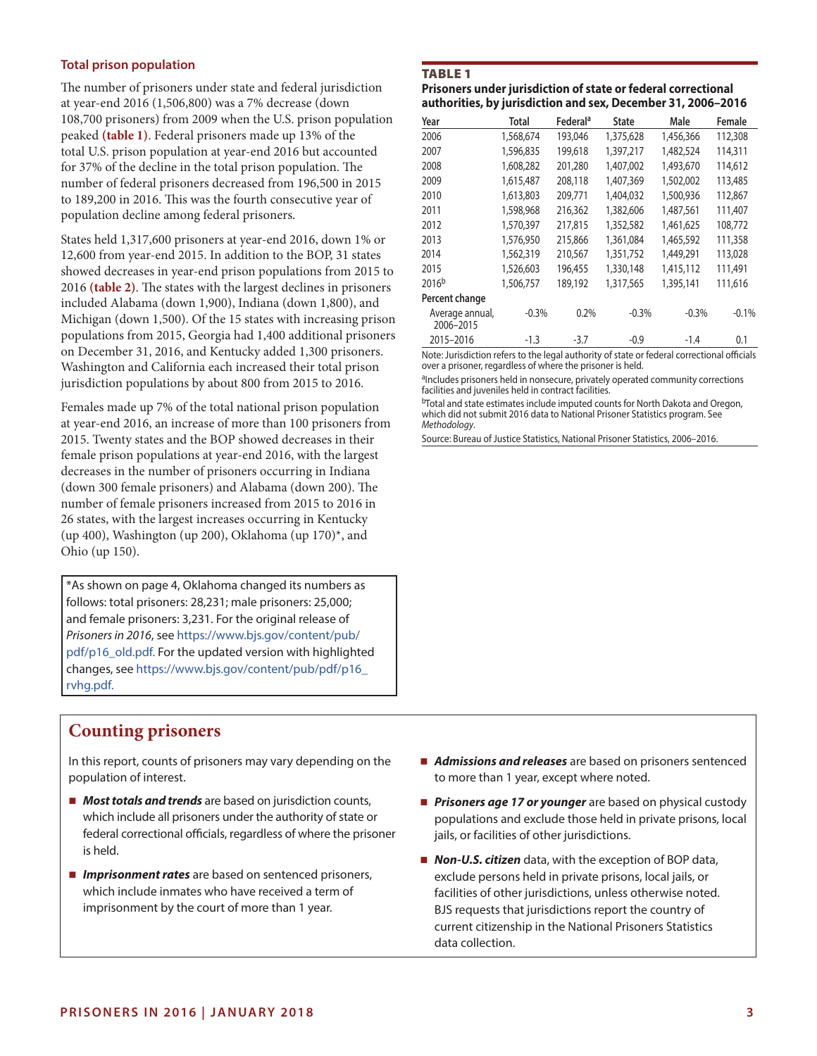# **Total prison population**

The number of prisoners under state and federal jurisdiction at year-end 2016 (1,506,800) was a 7% decrease (down 108,700 prisoners) from 2009 when the U.S. prison population peaked **(table 1)**. Federal prisoners made up 13% of the total U.S. prison population at year-end 2016 but accounted for 37% of the decline in the total prison population. The number of federal prisoners decreased from 196,500 in 2015 to 189,200 in 2016. This was the fourth consecutive year of population decline among federal prisoners.

States held 1,317,600 prisoners at year-end 2016, down 1% or 12,600 from year-end 2015. In addition to the BOP, 31 states showed decreases in year-end prison populations from 2015 to 2016 **(table 2)**. The states with the largest declines in prisoners included Alabama (down 1,900), Indiana (down 1,800), and Michigan (down 1,500). Of the 15 states with increasing prison populations from 2015, Georgia had 1,400 additional prisoners on December 31, 2016, and Kentucky added 1,300 prisoners. Washington and California each increased their total prison jurisdiction populations by about 800 from 2015 to 2016.

Females made up 7% of the total national prison population at year-end 2016, an increase of more than 100 prisoners from 2015. Twenty states and the BOP showed decreases in their female prison populations at year-end 2016, with the largest decreases in the number of prisoners occurring in Indiana (down 300 female prisoners) and Alabama (down 200). The number of female prisoners increased from 2015 to 2016 in 26 states, with the largest increases occurring in Kentucky (up 400), Washington (up 200), Oklahoma (up 170)\*, and Ohio (up 150).

\*As shown on page 4, Oklahoma changed its numbers as follows: total prisoners: 28,231; male prisoners: 25,000; and female prisoners: 3,231. For the original release of *Prisoners in 2016*, see [https://www.bjs.gov/content/pub/](https://www.bjs.gov/content/pub/pdf/p16_old.pdf) [pdf/p16\\_old.pdf](https://www.bjs.gov/content/pub/pdf/p16_old.pdf). For the updated version with highlighted changes, see [https://www.bjs.gov/content/pub/pdf/p16\\_](https://www.bjs.gov/content/pub/pdf/p16_rvhg.pdf) [rvhg.pdf](https://www.bjs.gov/content/pub/pdf/p16_rvhg.pdf).

#### Table 1

**Prisoners under jurisdiction of state or federal correctional authorities, by jurisdiction and sex, December 31, 2006–2016**

| Year                         | Total     | Federal <sup>a</sup> | State     | Male      | Female  |
|------------------------------|-----------|----------------------|-----------|-----------|---------|
| 2006                         | 1,568,674 | 193,046              | 1,375,628 | 1,456,366 | 112,308 |
| 2007                         | 1,596,835 | 199,618              | 1,397,217 | 1,482,524 | 114,311 |
| 2008                         | 1,608,282 | 201,280              | 1,407,002 | 1,493,670 | 114,612 |
| 2009                         | 1,615,487 | 208,118              | 1,407,369 | 1,502,002 | 113,485 |
| 2010                         | 1,613,803 | 209.771              | 1,404,032 | 1,500,936 | 112,867 |
| 2011                         | 1,598,968 | 216,362              | 1,382,606 | 1,487,561 | 111,407 |
| 2012                         | 1,570,397 | 217,815              | 1,352,582 | 1,461,625 | 108,772 |
| 2013                         | 1,576,950 | 215,866              | 1,361,084 | 1,465,592 | 111,358 |
| 2014                         | 1,562,319 | 210,567              | 1,351,752 | 1,449,291 | 113,028 |
| 2015                         | 1,526,603 | 196.455              | 1,330,148 | 1,415,112 | 111,491 |
| 2016 <sup>b</sup>            | 1,506,757 | 189,192              | 1,317,565 | 1,395,141 | 111,616 |
| Percent change               |           |                      |           |           |         |
| Average annual,<br>2006-2015 | $-0.3%$   | 0.2%                 | $-0.3%$   | $-0.3%$   | $-0.1%$ |
| 2015-2016                    | $-1.3$    | $-3.7$               | $-0.9$    | $-1.4$    | 0.1     |

Note: Jurisdiction refers to the legal authority of state or federal correctional officials over a prisoner, regardless of where the prisoner is held.

aIncludes prisoners held in nonsecure, privately operated community corrections facilities and juveniles held in contract facilities.

bTotal and state estimates include imputed counts for North Dakota and Oregon, which did not submit 2016 data to National Prisoner Statistics program. See *Methodology*.

Source: Bureau of Justice Statistics, National Prisoner Statistics, 2006–2016.

# **Counting prisoners**

In this report, counts of prisoners may vary depending on the population of interest.

- *Most totals and trends* are based on jurisdiction counts, which include all prisoners under the authority of state or federal correctional officials, regardless of where the prisoner is held.
- *Imprisonment rates* are based on sentenced prisoners, which include inmates who have received a term of imprisonment by the court of more than 1 year.
- *Admissions and releases* are based on prisoners sentenced to more than 1 year, except where noted.
- **Prisoners age 17 or younger** are based on physical custody populations and exclude those held in private prisons, local jails, or facilities of other jurisdictions.
- **Non-U.S. citizen** data, with the exception of BOP data, exclude persons held in private prisons, local jails, or facilities of other jurisdictions, unless otherwise noted. BJS requests that jurisdictions report the country of current citizenship in the National Prisoners Statistics data collection.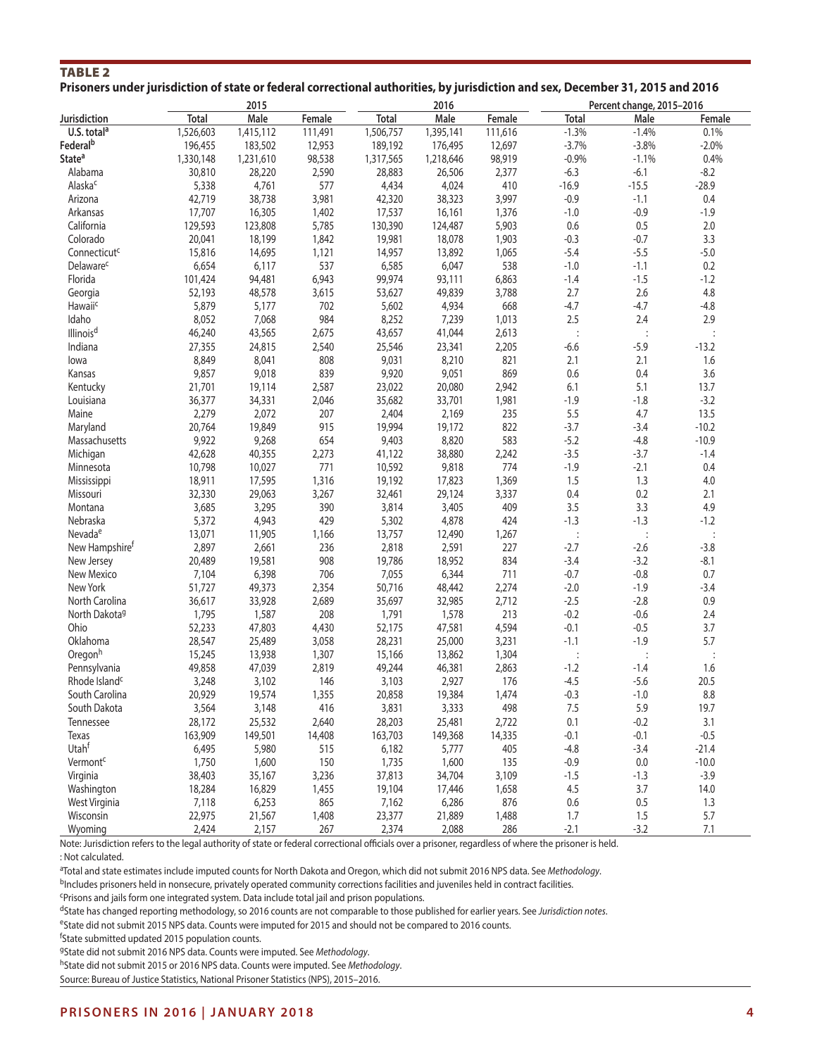| TABLE <sub>2</sub>                                                                                                             |  |  |  |  |  |  |
|--------------------------------------------------------------------------------------------------------------------------------|--|--|--|--|--|--|
| Prisoners under jurisdiction of state or federal correctional authorities, by jurisdiction and sex, December 31, 2015 and 2016 |  |  |  |  |  |  |

|                            |              | 2015      |         |              | 2016      |         |                | Percent change, 2015-2016 |         |
|----------------------------|--------------|-----------|---------|--------------|-----------|---------|----------------|---------------------------|---------|
| Jurisdiction               | <b>Total</b> | Male      | Female  | <b>Total</b> | Male      | Female  | <b>Total</b>   | Male                      | Female  |
| U.S. total <sup>a</sup>    | 1,526,603    | 1,415,112 | 111,491 | 1,506,757    | 1,395,141 | 111,616 | $-1.3%$        | $-1.4%$                   | 0.1%    |
| Federal <sup>b</sup>       | 196,455      | 183,502   | 12,953  | 189,192      | 176,495   | 12,697  | $-3.7%$        | $-3.8%$                   | $-2.0%$ |
| State <sup>a</sup>         | 1,330,148    | 1,231,610 | 98,538  | 1,317,565    | 1,218,646 | 98,919  | $-0.9%$        | $-1.1%$                   | 0.4%    |
| Alabama                    | 30,810       | 28,220    | 2,590   | 28,883       | 26,506    | 2,377   | $-6.3$         | $-6.1$                    | $-8.2$  |
| Alaska <sup>c</sup>        | 5,338        | 4,761     | 577     | 4,434        | 4,024     | 410     | $-16.9$        | $-15.5$                   | $-28.9$ |
| Arizona                    | 42,719       | 38,738    | 3,981   | 42,320       | 38,323    | 3,997   | $-0.9$         | $-1.1$                    | 0.4     |
| Arkansas                   | 17,707       | 16,305    | 1,402   | 17,537       | 16,161    | 1,376   | $-1.0$         | $-0.9$                    | $-1.9$  |
| California                 | 129,593      | 123,808   | 5,785   | 130,390      | 124,487   | 5,903   | 0.6            | 0.5                       | 2.0     |
| Colorado                   | 20,041       | 18,199    | 1,842   | 19,981       | 18,078    | 1,903   | $-0.3$         | $-0.7$                    | 3.3     |
| Connecticut <sup>c</sup>   | 15,816       | 14,695    | 1,121   | 14,957       | 13,892    | 1,065   | $-5.4$         | $-5.5$                    | $-5.0$  |
| Delaware <sup>c</sup>      | 6,654        | 6,117     | 537     | 6,585        | 6,047     | 538     | $-1.0$         | $-1.1$                    | 0.2     |
| Florida                    | 101,424      | 94,481    | 6,943   | 99,974       | 93,111    | 6,863   | $-1.4$         | $-1.5$                    | $-1.2$  |
| Georgia                    | 52,193       | 48,578    | 3,615   | 53,627       | 49,839    | 3,788   | 2.7            | 2.6                       | 4.8     |
| Hawaiic                    | 5,879        | 5,177     | 702     | 5,602        | 4,934     | 668     | $-4.7$         | $-4.7$                    | $-4.8$  |
| Idaho                      | 8,052        | 7,068     | 984     | 8,252        | 7,239     | 1,013   | 2.5            | 2.4                       | 2.9     |
| Illinois <sup>d</sup>      | 46,240       | 43,565    | 2,675   | 43,657       | 41,044    | 2,613   |                | $\ddot{\cdot}$            |         |
| Indiana                    | 27,355       | 24,815    | 2,540   | 25,546       | 23,341    | 2,205   | $-6.6$         | $-5.9$                    | $-13.2$ |
|                            | 8,849        |           |         |              |           |         |                |                           | 1.6     |
| lowa                       |              | 8,041     | 808     | 9,031        | 8,210     | 821     | 2.1            | 2.1                       |         |
| Kansas                     | 9,857        | 9,018     | 839     | 9,920        | 9,051     | 869     | 0.6            | 0.4                       | 3.6     |
| Kentucky                   | 21,701       | 19,114    | 2,587   | 23,022       | 20,080    | 2,942   | 6.1            | 5.1                       | 13.7    |
| Louisiana                  | 36,377       | 34,331    | 2,046   | 35,682       | 33,701    | 1,981   | $-1.9$         | $-1.8$                    | $-3.2$  |
| Maine                      | 2,279        | 2,072     | 207     | 2,404        | 2,169     | 235     | 5.5            | 4.7                       | 13.5    |
| Maryland                   | 20,764       | 19,849    | 915     | 19,994       | 19,172    | 822     | $-3.7$         | $-3.4$                    | $-10.2$ |
| Massachusetts              | 9,922        | 9,268     | 654     | 9,403        | 8,820     | 583     | $-5.2$         | $-4.8$                    | $-10.9$ |
| Michigan                   | 42,628       | 40,355    | 2,273   | 41,122       | 38,880    | 2,242   | $-3.5$         | $-3.7$                    | $-1.4$  |
| Minnesota                  | 10,798       | 10,027    | 771     | 10,592       | 9,818     | 774     | $-1.9$         | $-2.1$                    | 0.4     |
| Mississippi                | 18,911       | 17,595    | 1,316   | 19,192       | 17,823    | 1,369   | 1.5            | 1.3                       | 4.0     |
| Missouri                   | 32,330       | 29,063    | 3,267   | 32,461       | 29,124    | 3,337   | 0.4            | 0.2                       | 2.1     |
| Montana                    | 3,685        | 3,295     | 390     | 3,814        | 3,405     | 409     | 3.5            | 3.3                       | 4.9     |
| Nebraska                   | 5,372        | 4,943     | 429     | 5,302        | 4,878     | 424     | $-1.3$         | $-1.3$                    | $-1.2$  |
| Nevada <sup>e</sup>        | 13,071       | 11,905    | 1,166   | 13,757       | 12,490    | 1,267   | $\ddot{\cdot}$ | $\vdots$                  |         |
| New Hampshire <sup>t</sup> | 2,897        | 2,661     | 236     | 2,818        | 2,591     | 227     | $-2.7$         | $-2.6$                    | $-3.8$  |
| New Jersey                 | 20,489       | 19,581    | 908     | 19,786       | 18,952    | 834     | $-3.4$         | $-3.2$                    | $-8.1$  |
| New Mexico                 | 7,104        | 6,398     | 706     | 7,055        | 6,344     | 711     | $-0.7$         | $-0.8$                    | 0.7     |
| New York                   | 51,727       | 49,373    | 2,354   | 50,716       | 48,442    | 2,274   | $-2.0$         | $-1.9$                    | $-3.4$  |
| North Carolina             | 36,617       | 33,928    | 2,689   | 35,697       | 32,985    | 2,712   | $-2.5$         | $-2.8$                    | 0.9     |
| North Dakota <sup>g</sup>  | 1,795        | 1,587     | 208     | 1,791        | 1,578     | 213     | $-0.2$         | $-0.6$                    | 2.4     |
| Ohio                       | 52,233       | 47,803    | 4,430   | 52,175       | 47,581    | 4,594   | $-0.1$         | $-0.5$                    | 3.7     |
| Oklahoma                   | 28,547       | 25,489    | 3,058   | 28,231       | 25,000    | 3,231   | $-1.1$         | $-1.9$                    | 5.7     |
| Oregonh                    | 15,245       | 13,938    | 1,307   | 15,166       | 13,862    | 1,304   | $\ddot{\cdot}$ | $\vdots$                  |         |
| Pennsylvania               | 49,858       | 47,039    | 2,819   | 49,244       | 46,381    | 2,863   | $-1.2$         | $-1.4$                    | 1.6     |
| Rhode Island <sup>c</sup>  | 3,248        | 3,102     | 146     | 3,103        | 2,927     | 176     | $-4.5$         | $-5.6$                    | 20.5    |
| South Carolina             | 20,929       | 19,574    | 1,355   | 20,858       | 19,384    | 1,474   | $-0.3$         | $-1.0$                    | 8.8     |
| South Dakota               | 3,564        | 3,148     | 416     | 3,831        | 3,333     | 498     | 7.5            | 5.9                       | 19.7    |
| Tennessee                  | 28,172       | 25,532    | 2,640   | 28,203       | 25,481    | 2,722   | 0.1            | $-0.2$                    | 3.1     |
| Texas                      | 163,909      | 149,501   | 14,408  | 163,703      | 149,368   | 14,335  | $-0.1$         | $-0.1$                    | $-0.5$  |
| Utahf                      | 6,495        | 5,980     | 515     | 6,182        | 5,777     | 405     | $-4.8$         | $-3.4$                    | $-21.4$ |
| Vermont <sup>c</sup>       | 1,750        | 1,600     | 150     | 1,735        | 1,600     | 135     | $-0.9$         | $0.0\,$                   | $-10.0$ |
| Virginia                   | 38,403       | 35,167    | 3,236   | 37,813       | 34,704    | 3,109   | $-1.5$         | $-1.3$                    | $-3.9$  |
| Washington                 | 18,284       | 16,829    | 1,455   | 19,104       | 17,446    | 1,658   | 4.5            | 3.7                       | 14.0    |
| West Virginia              | 7,118        | 6,253     | 865     | 7,162        | 6,286     | 876     | $0.6\,$        | $0.5\,$                   | 1.3     |
| Wisconsin                  | 22,975       | 21,567    | 1,408   | 23,377       | 21,889    | 1,488   | 1.7            | 1.5                       | 5.7     |
| Wyoming                    | 2,424        | 2,157     | 267     | 2,374        | 2,088     | 286     | $-2.1$         | $-3.2$                    | 7.1     |
|                            |              |           |         |              |           |         |                |                           |         |

Note: Jurisdiction refers to the legal authority of state or federal correctional officials over a prisoner, regardless of where the prisoner is held. : Not calculated.

a Total and state estimates include imputed counts for North Dakota and Oregon, which did not submit 2016 NPS data. See *Methodology*.

bIncludes prisoners held in nonsecure, privately operated community corrections facilities and juveniles held in contract facilities.

cPrisons and jails form one integrated system. Data include total jail and prison populations.

dState has changed reporting methodology, so 2016 counts are not comparable to those published for earlier years. See *Jurisdiction notes*.

eState did not submit 2015 NPS data. Counts were imputed for 2015 and should not be compared to 2016 counts.

f State submitted updated 2015 population counts.

gState did not submit 2016 NPS data. Counts were imputed. See *Methodology*.

hState did not submit 2015 or 2016 NPS data. Counts were imputed. See *Methodology*.

Source: Bureau of Justice Statistics, National Prisoner Statistics (NPS), 2015–2016.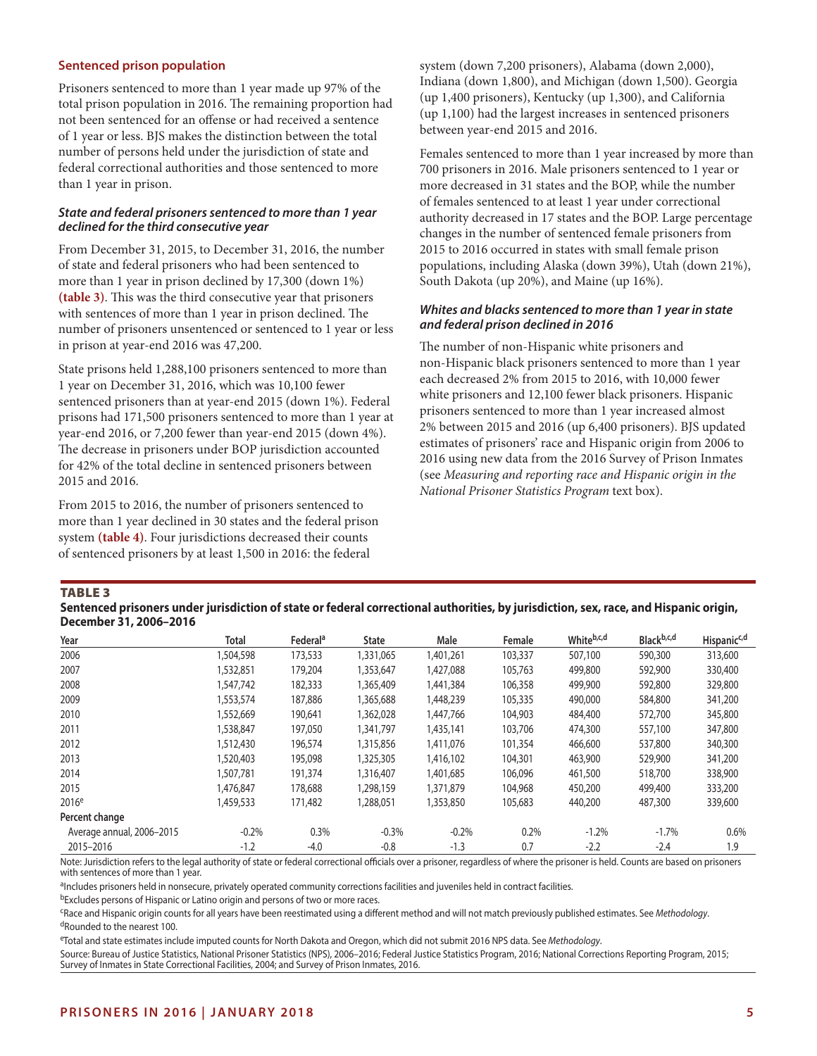#### **Sentenced prison population**

Prisoners sentenced to more than 1 year made up 97% of the total prison population in 2016. The remaining proportion had not been sentenced for an offense or had received a sentence of 1 year or less. BJS makes the distinction between the total number of persons held under the jurisdiction of state and federal correctional authorities and those sentenced to more than 1 year in prison.

#### *State and federal prisoners sentenced to more than 1 year declined for the third consecutive year*

From December 31, 2015, to December 31, 2016, the number of state and federal prisoners who had been sentenced to more than 1 year in prison declined by 17,300 (down 1%) **(table 3)**. This was the third consecutive year that prisoners with sentences of more than 1 year in prison declined. The number of prisoners unsentenced or sentenced to 1 year or less in prison at year-end 2016 was 47,200.

State prisons held 1,288,100 prisoners sentenced to more than 1 year on December 31, 2016, which was 10,100 fewer sentenced prisoners than at year-end 2015 (down 1%). Federal prisons had 171,500 prisoners sentenced to more than 1 year at year-end 2016, or 7,200 fewer than year-end 2015 (down 4%). The decrease in prisoners under BOP jurisdiction accounted for 42% of the total decline in sentenced prisoners between 2015 and 2016.

From 2015 to 2016, the number of prisoners sentenced to more than 1 year declined in 30 states and the federal prison system **(table 4)**. Four jurisdictions decreased their counts of sentenced prisoners by at least 1,500 in 2016: the federal

system (down 7,200 prisoners), Alabama (down 2,000), Indiana (down 1,800), and Michigan (down 1,500). Georgia (up 1,400 prisoners), Kentucky (up 1,300), and California (up 1,100) had the largest increases in sentenced prisoners between year-end 2015 and 2016.

Females sentenced to more than 1 year increased by more than 700 prisoners in 2016. Male prisoners sentenced to 1 year or more decreased in 31 states and the BOP, while the number of females sentenced to at least 1 year under correctional authority decreased in 17 states and the BOP. Large percentage changes in the number of sentenced female prisoners from 2015 to 2016 occurred in states with small female prison populations, including Alaska (down 39%), Utah (down 21%), South Dakota (up 20%), and Maine (up 16%).

#### *Whites and blacks sentenced to more than 1 year in state and federal prison declined in 2016*

The number of non-Hispanic white prisoners and non-Hispanic black prisoners sentenced to more than 1 year each decreased 2% from 2015 to 2016, with 10,000 fewer white prisoners and 12,100 fewer black prisoners. Hispanic prisoners sentenced to more than 1 year increased almost 2% between 2015 and 2016 (up 6,400 prisoners). BJS updated estimates of prisoners' race and Hispanic origin from 2006 to 2016 using new data from the 2016 Survey of Prison Inmates (see *Measuring and reporting race and Hispanic origin in the National Prisoner Statistics Program* text box).

#### TABLE<sub>3</sub>

| Sentenced prisoners under jurisdiction of state or federal correctional authorities, by jurisdiction, sex, race, and Hispanic origin, |
|---------------------------------------------------------------------------------------------------------------------------------------|
| December 31, 2006–2016                                                                                                                |

| Year                      | Total     | Federal <sup>a</sup> | <b>State</b> | Male      | Female  | Whiteb,c,d | Blackb,c,d | Hispanic <sup>c,d</sup> |
|---------------------------|-----------|----------------------|--------------|-----------|---------|------------|------------|-------------------------|
| 2006                      | 1,504,598 | 173,533              | 1,331,065    | 1,401,261 | 103,337 | 507,100    | 590,300    | 313,600                 |
| 2007                      | 1,532,851 | 179,204              | 1,353,647    | 1,427,088 | 105,763 | 499,800    | 592,900    | 330,400                 |
| 2008                      | 1,547,742 | 182,333              | 1,365,409    | 1,441,384 | 106,358 | 499,900    | 592,800    | 329,800                 |
| 2009                      | 1,553,574 | 187,886              | 1,365,688    | 1,448,239 | 105,335 | 490,000    | 584,800    | 341,200                 |
| 2010                      | 1,552,669 | 190,641              | 1,362,028    | 1,447,766 | 104,903 | 484,400    | 572,700    | 345,800                 |
| 2011                      | 1,538,847 | 197,050              | 1,341,797    | 1,435,141 | 103,706 | 474,300    | 557,100    | 347,800                 |
| 2012                      | 1,512,430 | 196,574              | 1,315,856    | 1,411,076 | 101,354 | 466,600    | 537,800    | 340,300                 |
| 2013                      | 1,520,403 | 195,098              | 1,325,305    | 1,416,102 | 104,301 | 463,900    | 529,900    | 341,200                 |
| 2014                      | 1,507,781 | 191,374              | 1,316,407    | 1,401,685 | 106,096 | 461,500    | 518,700    | 338,900                 |
| 2015                      | 1,476,847 | 178,688              | 1,298,159    | 1,371,879 | 104,968 | 450,200    | 499,400    | 333,200                 |
| 2016 <sup>e</sup>         | 1,459,533 | 171,482              | 1,288,051    | 1,353,850 | 105,683 | 440,200    | 487,300    | 339,600                 |
| Percent change            |           |                      |              |           |         |            |            |                         |
| Average annual, 2006-2015 | $-0.2%$   | 0.3%                 | $-0.3%$      | $-0.2%$   | 0.2%    | $-1.2%$    | $-1.7\%$   | 0.6%                    |
| 2015-2016                 | $-1.2$    | $-4.0$               | $-0.8$       | $-1.3$    | 0.7     | $-2.2$     | $-2.4$     | 1.9                     |

Note: Jurisdiction refers to the legal authority of state or federal correctional officials over a prisoner, regardless of where the prisoner is held. Counts are based on prisoners with sentences of more than 1 year.

aIncludes prisoners held in nonsecure, privately operated community corrections facilities and juveniles held in contract facilities.

bExcludes persons of Hispanic or Latino origin and persons of two or more races.

cRace and Hispanic origin counts for all years have been reestimated using a different method and will not match previously published estimates. See *Methodology*. dRounded to the nearest 100.

eTotal and state estimates include imputed counts for North Dakota and Oregon, which did not submit 2016 NPS data. See *Methodology*.

Source: Bureau of Justice Statistics, National Prisoner Statistics (NPS), 2006–2016; Federal Justice Statistics Program, 2016; National Corrections Reporting Program, 2015; Survey of Inmates in State Correctional Facilities, 2004; and Survey of Prison Inmates, 2016.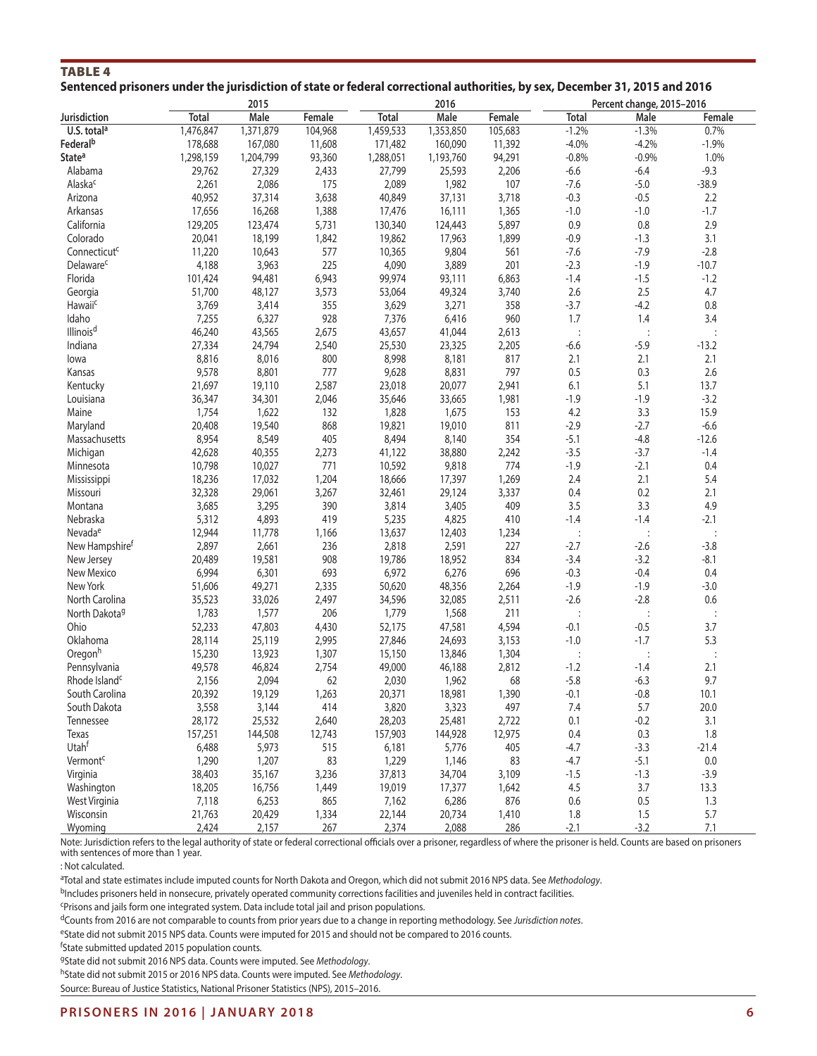| TABLE 4 |  |  |                                                                                                                             |  |  |  |
|---------|--|--|-----------------------------------------------------------------------------------------------------------------------------|--|--|--|
|         |  |  |                                                                                                                             |  |  |  |
|         |  |  |                                                                                                                             |  |  |  |
|         |  |  | Sentenced prisoners under the jurisdiction of state or federal correctional authorities, by sex, December 31, 2015 and 2016 |  |  |  |
|         |  |  |                                                                                                                             |  |  |  |

| Male<br><b>Total</b><br>Male<br><b>Total</b><br>Female<br>Female<br><b>Total</b><br>Male<br>Female<br>U.S. total <sup>a</sup><br>1,476,847<br>1,371,879<br>104,968<br>1,459,533<br>1,353,850<br>105,683<br>$-1.2%$<br>$-1.3%$<br>0.7%<br>Federal <sup>b</sup><br>11,608<br>$-4.0%$<br>$-4.2%$<br>$-1.9%$<br>178,688<br>167,080<br>171,482<br>160,090<br>11,392<br>93,360<br>94,291<br>$-0.8%$<br>$-0.9%$<br>1.0%<br>State <sup>a</sup><br>1,298,159<br>1,204,799<br>1,288,051<br>1,193,760<br>29,762<br>27,329<br>2,433<br>27,799<br>25,593<br>2,206<br>$-6.6$<br>$-9.3$<br>Alabama<br>$-6.4$<br>Alaska <sup>c</sup><br>2,086<br>175<br>107<br>$-7.6$<br>2,261<br>2,089<br>1,982<br>$-5.0$<br>$-38.9$<br>40,952<br>37,314<br>40,849<br>37,131<br>3,718<br>$-0.3$<br>$-0.5$<br>2.2<br>Arizona<br>3,638<br>Arkansas<br>17,656<br>16,268<br>1,388<br>17,476<br>16,111<br>1,365<br>$-1.0$<br>$-1.0$<br>$-1.7$<br>129,205<br>0.9<br>2.9<br>California<br>123,474<br>5,731<br>130,340<br>124,443<br>5,897<br>0.8<br>1,899<br>$-0.9$<br>3.1<br>20,041<br>18,199<br>1,842<br>19,862<br>17,963<br>$-1.3$<br>Colorado<br>9,804<br>$-2.8$<br>Connecticut <sup>c</sup><br>11,220<br>10,643<br>577<br>10,365<br>561<br>$-7.6$<br>$-7.9$<br>4,188<br>225<br>4,090<br>201<br>$-2.3$<br>Delaware <sup>c</sup><br>3,963<br>3,889<br>$-1.9$<br>$-10.7$<br>Florida<br>99,974<br>$-1.4$<br>$-1.5$<br>101,424<br>94,481<br>6,943<br>93,111<br>6,863<br>$-1.2$<br>2.6<br>2.5<br>4.7<br>Georgia<br>51,700<br>48,127<br>3,573<br>53,064<br>49,324<br>3,740<br>$-3.7$<br>Hawaiic<br>3,769<br>3,414<br>355<br>3,629<br>3,271<br>358<br>$-4.2$<br>0.8<br>7,255<br>928<br>7,376<br>960<br>1.7<br>1.4<br>3.4<br>Idaho<br>6,327<br>6,416<br>Illinois <sup>d</sup><br>46,240<br>43,565<br>2,675<br>43,657<br>41,044<br>2,613<br>$\ddot{\phantom{a}}$<br>$\vdots$<br>Indiana<br>27,334<br>24,794<br>2,540<br>25,530<br>23,325<br>2,205<br>$-6.6$<br>$-5.9$<br>$-13.2$<br>8,816<br>8,016<br>8,998<br>8,181<br>817<br>2.1<br>2.1<br>2.1<br>800<br>lowa<br>9,628<br>797<br>0.5<br>0.3<br>2.6<br>9,578<br>8,801<br>777<br>8,831<br>Kansas<br>6.1<br>21,697<br>19,110<br>2,587<br>23,018<br>20,077<br>2,941<br>5.1<br>13.7<br>Kentucky<br>1,981<br>$-1.9$<br>$-1.9$<br>$-3.2$<br>Louisiana<br>36,347<br>34,301<br>2,046<br>35,646<br>33,665<br>153<br>4.2<br>3.3<br>15.9<br>Maine<br>1,754<br>1,622<br>132<br>1,828<br>1,675<br>868<br>19,821<br>811<br>$-2.9$<br>$-6.6$<br>20,408<br>19,540<br>19,010<br>$-2.7$<br>Maryland<br>8,954<br>8,549<br>8,140<br>354<br>$-5.1$<br>405<br>8,494<br>$-4.8$<br>$-12.6$<br>Massachusetts<br>$-3.5$<br>Michigan<br>42,628<br>40,355<br>2,273<br>41,122<br>38,880<br>2,242<br>$-3.7$<br>$-1.4$<br>771<br>774<br>$-1.9$<br>10,798<br>10,027<br>10,592<br>9,818<br>$-2.1$<br>0.4<br>Minnesota<br>18,236<br>17,032<br>17,397<br>2.4<br>2.1<br>5.4<br>1,204<br>18,666<br>1,269<br>Mississippi<br>32,328<br>29,061<br>29,124<br>0.4<br>0.2<br>3,267<br>32,461<br>3,337<br>2.1<br>Missouri<br>3.5<br>3.3<br>4.9<br>3,685<br>3,295<br>390<br>3,814<br>3,405<br>409<br>Montana<br>$-1.4$<br>5,312<br>4,893<br>419<br>5,235<br>4,825<br>410<br>$-1.4$<br>$-2.1$<br>Nebraska<br>Nevada <sup>e</sup><br>12,944<br>11,778<br>13,637<br>12,403<br>1,234<br>1,166<br>$\ddot{\cdot}$<br>$\ddot{\cdot}$<br>$\vdots$<br>2,897<br>2,591<br>227<br>$-2.7$<br>$-3.8$<br>New Hampshire <sup>t</sup><br>2,661<br>236<br>2,818<br>$-2.6$<br>19,581<br>19,786<br>18,952<br>834<br>$-3.4$<br>$-8.1$<br>20,489<br>908<br>$-3.2$<br>New Jersey<br>6,276<br>696<br>$-0.3$<br>New Mexico<br>6,994<br>6,301<br>693<br>6,972<br>$-0.4$<br>0.4<br>$-1.9$<br>New York<br>51,606<br>49,271<br>2,335<br>50,620<br>48,356<br>2,264<br>$-1.9$<br>$-3.0$<br>35,523<br>32,085<br>2,511<br>$-2.6$<br>$-2.8$<br>$0.6\,$<br>North Carolina<br>33,026<br>2,497<br>34,596<br>1,783<br>1,577<br>1,779<br>1,568<br>211<br>North Dakota <sup>g</sup><br>206<br>$\vdots$<br>$\vdots$<br>$\ddot{\cdot}$<br>52,233<br>$-0.5$<br>3.7<br>Ohio<br>47,803<br>52,175<br>47,581<br>4,594<br>$-0.1$<br>4,430<br>$-1.0$<br>5.3<br>Oklahoma<br>28,114<br>25,119<br>2,995<br>27,846<br>24,693<br>3,153<br>$-1.7$<br>Oregonh<br>15,230<br>13,923<br>1,307<br>15,150<br>13,846<br>1,304<br>$\colon$<br>$\vdots$<br>$\ddot{\cdot}$<br>49,578<br>$-1.2$<br>Pennsylvania<br>46,824<br>2,754<br>49,000<br>46,188<br>2,812<br>$-1.4$<br>2.1<br>$-5.8$<br>2,030<br>68<br>$-6.3$<br>9.7<br>Rhode Island <sup>c</sup><br>2,156<br>2,094<br>62<br>1,962<br>20,392<br>1,263<br>20,371<br>18,981<br>1,390<br>$-0.1$<br>$-0.8$<br>10.1<br>South Carolina<br>19,129<br>5.7<br>20.0<br>South Dakota<br>3,558<br>3,144<br>414<br>3,820<br>3,323<br>497<br>7.4<br>Tennessee<br>28,172<br>25,532<br>2,640<br>28,203<br>25,481<br>2,722<br>0.1<br>$-0.2$<br>3.1<br>157,251<br>144,508<br>12,743<br>157,903<br>144,928<br>12,975<br>0.4<br>0.3<br>1.8<br>Texas<br>Utah <sup>f</sup><br>6,488<br>5,973<br>515<br>6,181<br>5,776<br>405<br>$-4.7$<br>$-3.3$<br>$-21.4$<br>Vermont <sup>c</sup><br>1,290<br>1,207<br>83<br>1,229<br>1,146<br>83<br>$-4.7$<br>$-5.1$<br>0.0<br>34,704<br>3,109<br>$-1.5$<br>$-1.3$<br>$-3.9$<br>Virginia<br>38,403<br>35,167<br>3,236<br>37,813<br>18,205<br>16,756<br>19,019<br>17,377<br>4.5<br>3.7<br>Washington<br>1,449<br>1,642<br>13.3<br>West Virginia<br>7,118<br>6,253<br>865<br>7,162<br>6,286<br>876<br>0.6<br>$0.5\,$<br>1.3<br>5.7<br>Wisconsin<br>21,763<br>20,429<br>1,334<br>22,144<br>20,734<br>1.8<br>1.5<br>1,410<br>$-3.2$<br>7.1<br>Wyoming<br>2,424<br>2,157<br>2,374<br>2,088<br>286<br>$-2.1$<br>267 |              | 2015 |  | 2016 |  | Percent change, 2015-2016 |  |
|-------------------------------------------------------------------------------------------------------------------------------------------------------------------------------------------------------------------------------------------------------------------------------------------------------------------------------------------------------------------------------------------------------------------------------------------------------------------------------------------------------------------------------------------------------------------------------------------------------------------------------------------------------------------------------------------------------------------------------------------------------------------------------------------------------------------------------------------------------------------------------------------------------------------------------------------------------------------------------------------------------------------------------------------------------------------------------------------------------------------------------------------------------------------------------------------------------------------------------------------------------------------------------------------------------------------------------------------------------------------------------------------------------------------------------------------------------------------------------------------------------------------------------------------------------------------------------------------------------------------------------------------------------------------------------------------------------------------------------------------------------------------------------------------------------------------------------------------------------------------------------------------------------------------------------------------------------------------------------------------------------------------------------------------------------------------------------------------------------------------------------------------------------------------------------------------------------------------------------------------------------------------------------------------------------------------------------------------------------------------------------------------------------------------------------------------------------------------------------------------------------------------------------------------------------------------------------------------------------------------------------------------------------------------------------------------------------------------------------------------------------------------------------------------------------------------------------------------------------------------------------------------------------------------------------------------------------------------------------------------------------------------------------------------------------------------------------------------------------------------------------------------------------------------------------------------------------------------------------------------------------------------------------------------------------------------------------------------------------------------------------------------------------------------------------------------------------------------------------------------------------------------------------------------------------------------------------------------------------------------------------------------------------------------------------------------------------------------------------------------------------------------------------------------------------------------------------------------------------------------------------------------------------------------------------------------------------------------------------------------------------------------------------------------------------------------------------------------------------------------------------------------------------------------------------------------------------------------------------------------------------------------------------------------------------------------------------------------------------------------------------------------------------------------------------------------------------------------------------------------------------------------------------------------------------------------------------------------------------------------------------------------------------------------------------------------------------------------------------------------------------------------------------------------------------------------------------------------------------------------------------------------------------------------------------------------------------------------------------------------------------------------------------------------------------------------------------------------------------------------------------------------------------------------------------------------------------------------------------------------------------------------------------------------------------------------------------------------------------------------------------------------------------------------------------------------------------------------------------------------------------------------------------------------------------------------------|--------------|------|--|------|--|---------------------------|--|
|                                                                                                                                                                                                                                                                                                                                                                                                                                                                                                                                                                                                                                                                                                                                                                                                                                                                                                                                                                                                                                                                                                                                                                                                                                                                                                                                                                                                                                                                                                                                                                                                                                                                                                                                                                                                                                                                                                                                                                                                                                                                                                                                                                                                                                                                                                                                                                                                                                                                                                                                                                                                                                                                                                                                                                                                                                                                                                                                                                                                                                                                                                                                                                                                                                                                                                                                                                                                                                                                                                                                                                                                                                                                                                                                                                                                                                                                                                                                                                                                                                                                                                                                                                                                                                                                                                                                                                                                                                                                                                                                                                                                                                                                                                                                                                                                                                                                                                                                                                                                                                                                                                                                                                                                                                                                                                                                                                                                                                                                                                                                                                         | Jurisdiction |      |  |      |  |                           |  |
|                                                                                                                                                                                                                                                                                                                                                                                                                                                                                                                                                                                                                                                                                                                                                                                                                                                                                                                                                                                                                                                                                                                                                                                                                                                                                                                                                                                                                                                                                                                                                                                                                                                                                                                                                                                                                                                                                                                                                                                                                                                                                                                                                                                                                                                                                                                                                                                                                                                                                                                                                                                                                                                                                                                                                                                                                                                                                                                                                                                                                                                                                                                                                                                                                                                                                                                                                                                                                                                                                                                                                                                                                                                                                                                                                                                                                                                                                                                                                                                                                                                                                                                                                                                                                                                                                                                                                                                                                                                                                                                                                                                                                                                                                                                                                                                                                                                                                                                                                                                                                                                                                                                                                                                                                                                                                                                                                                                                                                                                                                                                                                         |              |      |  |      |  |                           |  |
|                                                                                                                                                                                                                                                                                                                                                                                                                                                                                                                                                                                                                                                                                                                                                                                                                                                                                                                                                                                                                                                                                                                                                                                                                                                                                                                                                                                                                                                                                                                                                                                                                                                                                                                                                                                                                                                                                                                                                                                                                                                                                                                                                                                                                                                                                                                                                                                                                                                                                                                                                                                                                                                                                                                                                                                                                                                                                                                                                                                                                                                                                                                                                                                                                                                                                                                                                                                                                                                                                                                                                                                                                                                                                                                                                                                                                                                                                                                                                                                                                                                                                                                                                                                                                                                                                                                                                                                                                                                                                                                                                                                                                                                                                                                                                                                                                                                                                                                                                                                                                                                                                                                                                                                                                                                                                                                                                                                                                                                                                                                                                                         |              |      |  |      |  |                           |  |
|                                                                                                                                                                                                                                                                                                                                                                                                                                                                                                                                                                                                                                                                                                                                                                                                                                                                                                                                                                                                                                                                                                                                                                                                                                                                                                                                                                                                                                                                                                                                                                                                                                                                                                                                                                                                                                                                                                                                                                                                                                                                                                                                                                                                                                                                                                                                                                                                                                                                                                                                                                                                                                                                                                                                                                                                                                                                                                                                                                                                                                                                                                                                                                                                                                                                                                                                                                                                                                                                                                                                                                                                                                                                                                                                                                                                                                                                                                                                                                                                                                                                                                                                                                                                                                                                                                                                                                                                                                                                                                                                                                                                                                                                                                                                                                                                                                                                                                                                                                                                                                                                                                                                                                                                                                                                                                                                                                                                                                                                                                                                                                         |              |      |  |      |  |                           |  |
|                                                                                                                                                                                                                                                                                                                                                                                                                                                                                                                                                                                                                                                                                                                                                                                                                                                                                                                                                                                                                                                                                                                                                                                                                                                                                                                                                                                                                                                                                                                                                                                                                                                                                                                                                                                                                                                                                                                                                                                                                                                                                                                                                                                                                                                                                                                                                                                                                                                                                                                                                                                                                                                                                                                                                                                                                                                                                                                                                                                                                                                                                                                                                                                                                                                                                                                                                                                                                                                                                                                                                                                                                                                                                                                                                                                                                                                                                                                                                                                                                                                                                                                                                                                                                                                                                                                                                                                                                                                                                                                                                                                                                                                                                                                                                                                                                                                                                                                                                                                                                                                                                                                                                                                                                                                                                                                                                                                                                                                                                                                                                                         |              |      |  |      |  |                           |  |
|                                                                                                                                                                                                                                                                                                                                                                                                                                                                                                                                                                                                                                                                                                                                                                                                                                                                                                                                                                                                                                                                                                                                                                                                                                                                                                                                                                                                                                                                                                                                                                                                                                                                                                                                                                                                                                                                                                                                                                                                                                                                                                                                                                                                                                                                                                                                                                                                                                                                                                                                                                                                                                                                                                                                                                                                                                                                                                                                                                                                                                                                                                                                                                                                                                                                                                                                                                                                                                                                                                                                                                                                                                                                                                                                                                                                                                                                                                                                                                                                                                                                                                                                                                                                                                                                                                                                                                                                                                                                                                                                                                                                                                                                                                                                                                                                                                                                                                                                                                                                                                                                                                                                                                                                                                                                                                                                                                                                                                                                                                                                                                         |              |      |  |      |  |                           |  |
|                                                                                                                                                                                                                                                                                                                                                                                                                                                                                                                                                                                                                                                                                                                                                                                                                                                                                                                                                                                                                                                                                                                                                                                                                                                                                                                                                                                                                                                                                                                                                                                                                                                                                                                                                                                                                                                                                                                                                                                                                                                                                                                                                                                                                                                                                                                                                                                                                                                                                                                                                                                                                                                                                                                                                                                                                                                                                                                                                                                                                                                                                                                                                                                                                                                                                                                                                                                                                                                                                                                                                                                                                                                                                                                                                                                                                                                                                                                                                                                                                                                                                                                                                                                                                                                                                                                                                                                                                                                                                                                                                                                                                                                                                                                                                                                                                                                                                                                                                                                                                                                                                                                                                                                                                                                                                                                                                                                                                                                                                                                                                                         |              |      |  |      |  |                           |  |
|                                                                                                                                                                                                                                                                                                                                                                                                                                                                                                                                                                                                                                                                                                                                                                                                                                                                                                                                                                                                                                                                                                                                                                                                                                                                                                                                                                                                                                                                                                                                                                                                                                                                                                                                                                                                                                                                                                                                                                                                                                                                                                                                                                                                                                                                                                                                                                                                                                                                                                                                                                                                                                                                                                                                                                                                                                                                                                                                                                                                                                                                                                                                                                                                                                                                                                                                                                                                                                                                                                                                                                                                                                                                                                                                                                                                                                                                                                                                                                                                                                                                                                                                                                                                                                                                                                                                                                                                                                                                                                                                                                                                                                                                                                                                                                                                                                                                                                                                                                                                                                                                                                                                                                                                                                                                                                                                                                                                                                                                                                                                                                         |              |      |  |      |  |                           |  |
|                                                                                                                                                                                                                                                                                                                                                                                                                                                                                                                                                                                                                                                                                                                                                                                                                                                                                                                                                                                                                                                                                                                                                                                                                                                                                                                                                                                                                                                                                                                                                                                                                                                                                                                                                                                                                                                                                                                                                                                                                                                                                                                                                                                                                                                                                                                                                                                                                                                                                                                                                                                                                                                                                                                                                                                                                                                                                                                                                                                                                                                                                                                                                                                                                                                                                                                                                                                                                                                                                                                                                                                                                                                                                                                                                                                                                                                                                                                                                                                                                                                                                                                                                                                                                                                                                                                                                                                                                                                                                                                                                                                                                                                                                                                                                                                                                                                                                                                                                                                                                                                                                                                                                                                                                                                                                                                                                                                                                                                                                                                                                                         |              |      |  |      |  |                           |  |
|                                                                                                                                                                                                                                                                                                                                                                                                                                                                                                                                                                                                                                                                                                                                                                                                                                                                                                                                                                                                                                                                                                                                                                                                                                                                                                                                                                                                                                                                                                                                                                                                                                                                                                                                                                                                                                                                                                                                                                                                                                                                                                                                                                                                                                                                                                                                                                                                                                                                                                                                                                                                                                                                                                                                                                                                                                                                                                                                                                                                                                                                                                                                                                                                                                                                                                                                                                                                                                                                                                                                                                                                                                                                                                                                                                                                                                                                                                                                                                                                                                                                                                                                                                                                                                                                                                                                                                                                                                                                                                                                                                                                                                                                                                                                                                                                                                                                                                                                                                                                                                                                                                                                                                                                                                                                                                                                                                                                                                                                                                                                                                         |              |      |  |      |  |                           |  |
|                                                                                                                                                                                                                                                                                                                                                                                                                                                                                                                                                                                                                                                                                                                                                                                                                                                                                                                                                                                                                                                                                                                                                                                                                                                                                                                                                                                                                                                                                                                                                                                                                                                                                                                                                                                                                                                                                                                                                                                                                                                                                                                                                                                                                                                                                                                                                                                                                                                                                                                                                                                                                                                                                                                                                                                                                                                                                                                                                                                                                                                                                                                                                                                                                                                                                                                                                                                                                                                                                                                                                                                                                                                                                                                                                                                                                                                                                                                                                                                                                                                                                                                                                                                                                                                                                                                                                                                                                                                                                                                                                                                                                                                                                                                                                                                                                                                                                                                                                                                                                                                                                                                                                                                                                                                                                                                                                                                                                                                                                                                                                                         |              |      |  |      |  |                           |  |
|                                                                                                                                                                                                                                                                                                                                                                                                                                                                                                                                                                                                                                                                                                                                                                                                                                                                                                                                                                                                                                                                                                                                                                                                                                                                                                                                                                                                                                                                                                                                                                                                                                                                                                                                                                                                                                                                                                                                                                                                                                                                                                                                                                                                                                                                                                                                                                                                                                                                                                                                                                                                                                                                                                                                                                                                                                                                                                                                                                                                                                                                                                                                                                                                                                                                                                                                                                                                                                                                                                                                                                                                                                                                                                                                                                                                                                                                                                                                                                                                                                                                                                                                                                                                                                                                                                                                                                                                                                                                                                                                                                                                                                                                                                                                                                                                                                                                                                                                                                                                                                                                                                                                                                                                                                                                                                                                                                                                                                                                                                                                                                         |              |      |  |      |  |                           |  |
|                                                                                                                                                                                                                                                                                                                                                                                                                                                                                                                                                                                                                                                                                                                                                                                                                                                                                                                                                                                                                                                                                                                                                                                                                                                                                                                                                                                                                                                                                                                                                                                                                                                                                                                                                                                                                                                                                                                                                                                                                                                                                                                                                                                                                                                                                                                                                                                                                                                                                                                                                                                                                                                                                                                                                                                                                                                                                                                                                                                                                                                                                                                                                                                                                                                                                                                                                                                                                                                                                                                                                                                                                                                                                                                                                                                                                                                                                                                                                                                                                                                                                                                                                                                                                                                                                                                                                                                                                                                                                                                                                                                                                                                                                                                                                                                                                                                                                                                                                                                                                                                                                                                                                                                                                                                                                                                                                                                                                                                                                                                                                                         |              |      |  |      |  |                           |  |
|                                                                                                                                                                                                                                                                                                                                                                                                                                                                                                                                                                                                                                                                                                                                                                                                                                                                                                                                                                                                                                                                                                                                                                                                                                                                                                                                                                                                                                                                                                                                                                                                                                                                                                                                                                                                                                                                                                                                                                                                                                                                                                                                                                                                                                                                                                                                                                                                                                                                                                                                                                                                                                                                                                                                                                                                                                                                                                                                                                                                                                                                                                                                                                                                                                                                                                                                                                                                                                                                                                                                                                                                                                                                                                                                                                                                                                                                                                                                                                                                                                                                                                                                                                                                                                                                                                                                                                                                                                                                                                                                                                                                                                                                                                                                                                                                                                                                                                                                                                                                                                                                                                                                                                                                                                                                                                                                                                                                                                                                                                                                                                         |              |      |  |      |  |                           |  |
|                                                                                                                                                                                                                                                                                                                                                                                                                                                                                                                                                                                                                                                                                                                                                                                                                                                                                                                                                                                                                                                                                                                                                                                                                                                                                                                                                                                                                                                                                                                                                                                                                                                                                                                                                                                                                                                                                                                                                                                                                                                                                                                                                                                                                                                                                                                                                                                                                                                                                                                                                                                                                                                                                                                                                                                                                                                                                                                                                                                                                                                                                                                                                                                                                                                                                                                                                                                                                                                                                                                                                                                                                                                                                                                                                                                                                                                                                                                                                                                                                                                                                                                                                                                                                                                                                                                                                                                                                                                                                                                                                                                                                                                                                                                                                                                                                                                                                                                                                                                                                                                                                                                                                                                                                                                                                                                                                                                                                                                                                                                                                                         |              |      |  |      |  |                           |  |
|                                                                                                                                                                                                                                                                                                                                                                                                                                                                                                                                                                                                                                                                                                                                                                                                                                                                                                                                                                                                                                                                                                                                                                                                                                                                                                                                                                                                                                                                                                                                                                                                                                                                                                                                                                                                                                                                                                                                                                                                                                                                                                                                                                                                                                                                                                                                                                                                                                                                                                                                                                                                                                                                                                                                                                                                                                                                                                                                                                                                                                                                                                                                                                                                                                                                                                                                                                                                                                                                                                                                                                                                                                                                                                                                                                                                                                                                                                                                                                                                                                                                                                                                                                                                                                                                                                                                                                                                                                                                                                                                                                                                                                                                                                                                                                                                                                                                                                                                                                                                                                                                                                                                                                                                                                                                                                                                                                                                                                                                                                                                                                         |              |      |  |      |  |                           |  |
|                                                                                                                                                                                                                                                                                                                                                                                                                                                                                                                                                                                                                                                                                                                                                                                                                                                                                                                                                                                                                                                                                                                                                                                                                                                                                                                                                                                                                                                                                                                                                                                                                                                                                                                                                                                                                                                                                                                                                                                                                                                                                                                                                                                                                                                                                                                                                                                                                                                                                                                                                                                                                                                                                                                                                                                                                                                                                                                                                                                                                                                                                                                                                                                                                                                                                                                                                                                                                                                                                                                                                                                                                                                                                                                                                                                                                                                                                                                                                                                                                                                                                                                                                                                                                                                                                                                                                                                                                                                                                                                                                                                                                                                                                                                                                                                                                                                                                                                                                                                                                                                                                                                                                                                                                                                                                                                                                                                                                                                                                                                                                                         |              |      |  |      |  |                           |  |
|                                                                                                                                                                                                                                                                                                                                                                                                                                                                                                                                                                                                                                                                                                                                                                                                                                                                                                                                                                                                                                                                                                                                                                                                                                                                                                                                                                                                                                                                                                                                                                                                                                                                                                                                                                                                                                                                                                                                                                                                                                                                                                                                                                                                                                                                                                                                                                                                                                                                                                                                                                                                                                                                                                                                                                                                                                                                                                                                                                                                                                                                                                                                                                                                                                                                                                                                                                                                                                                                                                                                                                                                                                                                                                                                                                                                                                                                                                                                                                                                                                                                                                                                                                                                                                                                                                                                                                                                                                                                                                                                                                                                                                                                                                                                                                                                                                                                                                                                                                                                                                                                                                                                                                                                                                                                                                                                                                                                                                                                                                                                                                         |              |      |  |      |  |                           |  |
|                                                                                                                                                                                                                                                                                                                                                                                                                                                                                                                                                                                                                                                                                                                                                                                                                                                                                                                                                                                                                                                                                                                                                                                                                                                                                                                                                                                                                                                                                                                                                                                                                                                                                                                                                                                                                                                                                                                                                                                                                                                                                                                                                                                                                                                                                                                                                                                                                                                                                                                                                                                                                                                                                                                                                                                                                                                                                                                                                                                                                                                                                                                                                                                                                                                                                                                                                                                                                                                                                                                                                                                                                                                                                                                                                                                                                                                                                                                                                                                                                                                                                                                                                                                                                                                                                                                                                                                                                                                                                                                                                                                                                                                                                                                                                                                                                                                                                                                                                                                                                                                                                                                                                                                                                                                                                                                                                                                                                                                                                                                                                                         |              |      |  |      |  |                           |  |
|                                                                                                                                                                                                                                                                                                                                                                                                                                                                                                                                                                                                                                                                                                                                                                                                                                                                                                                                                                                                                                                                                                                                                                                                                                                                                                                                                                                                                                                                                                                                                                                                                                                                                                                                                                                                                                                                                                                                                                                                                                                                                                                                                                                                                                                                                                                                                                                                                                                                                                                                                                                                                                                                                                                                                                                                                                                                                                                                                                                                                                                                                                                                                                                                                                                                                                                                                                                                                                                                                                                                                                                                                                                                                                                                                                                                                                                                                                                                                                                                                                                                                                                                                                                                                                                                                                                                                                                                                                                                                                                                                                                                                                                                                                                                                                                                                                                                                                                                                                                                                                                                                                                                                                                                                                                                                                                                                                                                                                                                                                                                                                         |              |      |  |      |  |                           |  |
|                                                                                                                                                                                                                                                                                                                                                                                                                                                                                                                                                                                                                                                                                                                                                                                                                                                                                                                                                                                                                                                                                                                                                                                                                                                                                                                                                                                                                                                                                                                                                                                                                                                                                                                                                                                                                                                                                                                                                                                                                                                                                                                                                                                                                                                                                                                                                                                                                                                                                                                                                                                                                                                                                                                                                                                                                                                                                                                                                                                                                                                                                                                                                                                                                                                                                                                                                                                                                                                                                                                                                                                                                                                                                                                                                                                                                                                                                                                                                                                                                                                                                                                                                                                                                                                                                                                                                                                                                                                                                                                                                                                                                                                                                                                                                                                                                                                                                                                                                                                                                                                                                                                                                                                                                                                                                                                                                                                                                                                                                                                                                                         |              |      |  |      |  |                           |  |
|                                                                                                                                                                                                                                                                                                                                                                                                                                                                                                                                                                                                                                                                                                                                                                                                                                                                                                                                                                                                                                                                                                                                                                                                                                                                                                                                                                                                                                                                                                                                                                                                                                                                                                                                                                                                                                                                                                                                                                                                                                                                                                                                                                                                                                                                                                                                                                                                                                                                                                                                                                                                                                                                                                                                                                                                                                                                                                                                                                                                                                                                                                                                                                                                                                                                                                                                                                                                                                                                                                                                                                                                                                                                                                                                                                                                                                                                                                                                                                                                                                                                                                                                                                                                                                                                                                                                                                                                                                                                                                                                                                                                                                                                                                                                                                                                                                                                                                                                                                                                                                                                                                                                                                                                                                                                                                                                                                                                                                                                                                                                                                         |              |      |  |      |  |                           |  |
|                                                                                                                                                                                                                                                                                                                                                                                                                                                                                                                                                                                                                                                                                                                                                                                                                                                                                                                                                                                                                                                                                                                                                                                                                                                                                                                                                                                                                                                                                                                                                                                                                                                                                                                                                                                                                                                                                                                                                                                                                                                                                                                                                                                                                                                                                                                                                                                                                                                                                                                                                                                                                                                                                                                                                                                                                                                                                                                                                                                                                                                                                                                                                                                                                                                                                                                                                                                                                                                                                                                                                                                                                                                                                                                                                                                                                                                                                                                                                                                                                                                                                                                                                                                                                                                                                                                                                                                                                                                                                                                                                                                                                                                                                                                                                                                                                                                                                                                                                                                                                                                                                                                                                                                                                                                                                                                                                                                                                                                                                                                                                                         |              |      |  |      |  |                           |  |
|                                                                                                                                                                                                                                                                                                                                                                                                                                                                                                                                                                                                                                                                                                                                                                                                                                                                                                                                                                                                                                                                                                                                                                                                                                                                                                                                                                                                                                                                                                                                                                                                                                                                                                                                                                                                                                                                                                                                                                                                                                                                                                                                                                                                                                                                                                                                                                                                                                                                                                                                                                                                                                                                                                                                                                                                                                                                                                                                                                                                                                                                                                                                                                                                                                                                                                                                                                                                                                                                                                                                                                                                                                                                                                                                                                                                                                                                                                                                                                                                                                                                                                                                                                                                                                                                                                                                                                                                                                                                                                                                                                                                                                                                                                                                                                                                                                                                                                                                                                                                                                                                                                                                                                                                                                                                                                                                                                                                                                                                                                                                                                         |              |      |  |      |  |                           |  |
|                                                                                                                                                                                                                                                                                                                                                                                                                                                                                                                                                                                                                                                                                                                                                                                                                                                                                                                                                                                                                                                                                                                                                                                                                                                                                                                                                                                                                                                                                                                                                                                                                                                                                                                                                                                                                                                                                                                                                                                                                                                                                                                                                                                                                                                                                                                                                                                                                                                                                                                                                                                                                                                                                                                                                                                                                                                                                                                                                                                                                                                                                                                                                                                                                                                                                                                                                                                                                                                                                                                                                                                                                                                                                                                                                                                                                                                                                                                                                                                                                                                                                                                                                                                                                                                                                                                                                                                                                                                                                                                                                                                                                                                                                                                                                                                                                                                                                                                                                                                                                                                                                                                                                                                                                                                                                                                                                                                                                                                                                                                                                                         |              |      |  |      |  |                           |  |
|                                                                                                                                                                                                                                                                                                                                                                                                                                                                                                                                                                                                                                                                                                                                                                                                                                                                                                                                                                                                                                                                                                                                                                                                                                                                                                                                                                                                                                                                                                                                                                                                                                                                                                                                                                                                                                                                                                                                                                                                                                                                                                                                                                                                                                                                                                                                                                                                                                                                                                                                                                                                                                                                                                                                                                                                                                                                                                                                                                                                                                                                                                                                                                                                                                                                                                                                                                                                                                                                                                                                                                                                                                                                                                                                                                                                                                                                                                                                                                                                                                                                                                                                                                                                                                                                                                                                                                                                                                                                                                                                                                                                                                                                                                                                                                                                                                                                                                                                                                                                                                                                                                                                                                                                                                                                                                                                                                                                                                                                                                                                                                         |              |      |  |      |  |                           |  |
|                                                                                                                                                                                                                                                                                                                                                                                                                                                                                                                                                                                                                                                                                                                                                                                                                                                                                                                                                                                                                                                                                                                                                                                                                                                                                                                                                                                                                                                                                                                                                                                                                                                                                                                                                                                                                                                                                                                                                                                                                                                                                                                                                                                                                                                                                                                                                                                                                                                                                                                                                                                                                                                                                                                                                                                                                                                                                                                                                                                                                                                                                                                                                                                                                                                                                                                                                                                                                                                                                                                                                                                                                                                                                                                                                                                                                                                                                                                                                                                                                                                                                                                                                                                                                                                                                                                                                                                                                                                                                                                                                                                                                                                                                                                                                                                                                                                                                                                                                                                                                                                                                                                                                                                                                                                                                                                                                                                                                                                                                                                                                                         |              |      |  |      |  |                           |  |
|                                                                                                                                                                                                                                                                                                                                                                                                                                                                                                                                                                                                                                                                                                                                                                                                                                                                                                                                                                                                                                                                                                                                                                                                                                                                                                                                                                                                                                                                                                                                                                                                                                                                                                                                                                                                                                                                                                                                                                                                                                                                                                                                                                                                                                                                                                                                                                                                                                                                                                                                                                                                                                                                                                                                                                                                                                                                                                                                                                                                                                                                                                                                                                                                                                                                                                                                                                                                                                                                                                                                                                                                                                                                                                                                                                                                                                                                                                                                                                                                                                                                                                                                                                                                                                                                                                                                                                                                                                                                                                                                                                                                                                                                                                                                                                                                                                                                                                                                                                                                                                                                                                                                                                                                                                                                                                                                                                                                                                                                                                                                                                         |              |      |  |      |  |                           |  |
|                                                                                                                                                                                                                                                                                                                                                                                                                                                                                                                                                                                                                                                                                                                                                                                                                                                                                                                                                                                                                                                                                                                                                                                                                                                                                                                                                                                                                                                                                                                                                                                                                                                                                                                                                                                                                                                                                                                                                                                                                                                                                                                                                                                                                                                                                                                                                                                                                                                                                                                                                                                                                                                                                                                                                                                                                                                                                                                                                                                                                                                                                                                                                                                                                                                                                                                                                                                                                                                                                                                                                                                                                                                                                                                                                                                                                                                                                                                                                                                                                                                                                                                                                                                                                                                                                                                                                                                                                                                                                                                                                                                                                                                                                                                                                                                                                                                                                                                                                                                                                                                                                                                                                                                                                                                                                                                                                                                                                                                                                                                                                                         |              |      |  |      |  |                           |  |
|                                                                                                                                                                                                                                                                                                                                                                                                                                                                                                                                                                                                                                                                                                                                                                                                                                                                                                                                                                                                                                                                                                                                                                                                                                                                                                                                                                                                                                                                                                                                                                                                                                                                                                                                                                                                                                                                                                                                                                                                                                                                                                                                                                                                                                                                                                                                                                                                                                                                                                                                                                                                                                                                                                                                                                                                                                                                                                                                                                                                                                                                                                                                                                                                                                                                                                                                                                                                                                                                                                                                                                                                                                                                                                                                                                                                                                                                                                                                                                                                                                                                                                                                                                                                                                                                                                                                                                                                                                                                                                                                                                                                                                                                                                                                                                                                                                                                                                                                                                                                                                                                                                                                                                                                                                                                                                                                                                                                                                                                                                                                                                         |              |      |  |      |  |                           |  |
|                                                                                                                                                                                                                                                                                                                                                                                                                                                                                                                                                                                                                                                                                                                                                                                                                                                                                                                                                                                                                                                                                                                                                                                                                                                                                                                                                                                                                                                                                                                                                                                                                                                                                                                                                                                                                                                                                                                                                                                                                                                                                                                                                                                                                                                                                                                                                                                                                                                                                                                                                                                                                                                                                                                                                                                                                                                                                                                                                                                                                                                                                                                                                                                                                                                                                                                                                                                                                                                                                                                                                                                                                                                                                                                                                                                                                                                                                                                                                                                                                                                                                                                                                                                                                                                                                                                                                                                                                                                                                                                                                                                                                                                                                                                                                                                                                                                                                                                                                                                                                                                                                                                                                                                                                                                                                                                                                                                                                                                                                                                                                                         |              |      |  |      |  |                           |  |
|                                                                                                                                                                                                                                                                                                                                                                                                                                                                                                                                                                                                                                                                                                                                                                                                                                                                                                                                                                                                                                                                                                                                                                                                                                                                                                                                                                                                                                                                                                                                                                                                                                                                                                                                                                                                                                                                                                                                                                                                                                                                                                                                                                                                                                                                                                                                                                                                                                                                                                                                                                                                                                                                                                                                                                                                                                                                                                                                                                                                                                                                                                                                                                                                                                                                                                                                                                                                                                                                                                                                                                                                                                                                                                                                                                                                                                                                                                                                                                                                                                                                                                                                                                                                                                                                                                                                                                                                                                                                                                                                                                                                                                                                                                                                                                                                                                                                                                                                                                                                                                                                                                                                                                                                                                                                                                                                                                                                                                                                                                                                                                         |              |      |  |      |  |                           |  |
|                                                                                                                                                                                                                                                                                                                                                                                                                                                                                                                                                                                                                                                                                                                                                                                                                                                                                                                                                                                                                                                                                                                                                                                                                                                                                                                                                                                                                                                                                                                                                                                                                                                                                                                                                                                                                                                                                                                                                                                                                                                                                                                                                                                                                                                                                                                                                                                                                                                                                                                                                                                                                                                                                                                                                                                                                                                                                                                                                                                                                                                                                                                                                                                                                                                                                                                                                                                                                                                                                                                                                                                                                                                                                                                                                                                                                                                                                                                                                                                                                                                                                                                                                                                                                                                                                                                                                                                                                                                                                                                                                                                                                                                                                                                                                                                                                                                                                                                                                                                                                                                                                                                                                                                                                                                                                                                                                                                                                                                                                                                                                                         |              |      |  |      |  |                           |  |
|                                                                                                                                                                                                                                                                                                                                                                                                                                                                                                                                                                                                                                                                                                                                                                                                                                                                                                                                                                                                                                                                                                                                                                                                                                                                                                                                                                                                                                                                                                                                                                                                                                                                                                                                                                                                                                                                                                                                                                                                                                                                                                                                                                                                                                                                                                                                                                                                                                                                                                                                                                                                                                                                                                                                                                                                                                                                                                                                                                                                                                                                                                                                                                                                                                                                                                                                                                                                                                                                                                                                                                                                                                                                                                                                                                                                                                                                                                                                                                                                                                                                                                                                                                                                                                                                                                                                                                                                                                                                                                                                                                                                                                                                                                                                                                                                                                                                                                                                                                                                                                                                                                                                                                                                                                                                                                                                                                                                                                                                                                                                                                         |              |      |  |      |  |                           |  |
|                                                                                                                                                                                                                                                                                                                                                                                                                                                                                                                                                                                                                                                                                                                                                                                                                                                                                                                                                                                                                                                                                                                                                                                                                                                                                                                                                                                                                                                                                                                                                                                                                                                                                                                                                                                                                                                                                                                                                                                                                                                                                                                                                                                                                                                                                                                                                                                                                                                                                                                                                                                                                                                                                                                                                                                                                                                                                                                                                                                                                                                                                                                                                                                                                                                                                                                                                                                                                                                                                                                                                                                                                                                                                                                                                                                                                                                                                                                                                                                                                                                                                                                                                                                                                                                                                                                                                                                                                                                                                                                                                                                                                                                                                                                                                                                                                                                                                                                                                                                                                                                                                                                                                                                                                                                                                                                                                                                                                                                                                                                                                                         |              |      |  |      |  |                           |  |
|                                                                                                                                                                                                                                                                                                                                                                                                                                                                                                                                                                                                                                                                                                                                                                                                                                                                                                                                                                                                                                                                                                                                                                                                                                                                                                                                                                                                                                                                                                                                                                                                                                                                                                                                                                                                                                                                                                                                                                                                                                                                                                                                                                                                                                                                                                                                                                                                                                                                                                                                                                                                                                                                                                                                                                                                                                                                                                                                                                                                                                                                                                                                                                                                                                                                                                                                                                                                                                                                                                                                                                                                                                                                                                                                                                                                                                                                                                                                                                                                                                                                                                                                                                                                                                                                                                                                                                                                                                                                                                                                                                                                                                                                                                                                                                                                                                                                                                                                                                                                                                                                                                                                                                                                                                                                                                                                                                                                                                                                                                                                                                         |              |      |  |      |  |                           |  |
|                                                                                                                                                                                                                                                                                                                                                                                                                                                                                                                                                                                                                                                                                                                                                                                                                                                                                                                                                                                                                                                                                                                                                                                                                                                                                                                                                                                                                                                                                                                                                                                                                                                                                                                                                                                                                                                                                                                                                                                                                                                                                                                                                                                                                                                                                                                                                                                                                                                                                                                                                                                                                                                                                                                                                                                                                                                                                                                                                                                                                                                                                                                                                                                                                                                                                                                                                                                                                                                                                                                                                                                                                                                                                                                                                                                                                                                                                                                                                                                                                                                                                                                                                                                                                                                                                                                                                                                                                                                                                                                                                                                                                                                                                                                                                                                                                                                                                                                                                                                                                                                                                                                                                                                                                                                                                                                                                                                                                                                                                                                                                                         |              |      |  |      |  |                           |  |
|                                                                                                                                                                                                                                                                                                                                                                                                                                                                                                                                                                                                                                                                                                                                                                                                                                                                                                                                                                                                                                                                                                                                                                                                                                                                                                                                                                                                                                                                                                                                                                                                                                                                                                                                                                                                                                                                                                                                                                                                                                                                                                                                                                                                                                                                                                                                                                                                                                                                                                                                                                                                                                                                                                                                                                                                                                                                                                                                                                                                                                                                                                                                                                                                                                                                                                                                                                                                                                                                                                                                                                                                                                                                                                                                                                                                                                                                                                                                                                                                                                                                                                                                                                                                                                                                                                                                                                                                                                                                                                                                                                                                                                                                                                                                                                                                                                                                                                                                                                                                                                                                                                                                                                                                                                                                                                                                                                                                                                                                                                                                                                         |              |      |  |      |  |                           |  |
|                                                                                                                                                                                                                                                                                                                                                                                                                                                                                                                                                                                                                                                                                                                                                                                                                                                                                                                                                                                                                                                                                                                                                                                                                                                                                                                                                                                                                                                                                                                                                                                                                                                                                                                                                                                                                                                                                                                                                                                                                                                                                                                                                                                                                                                                                                                                                                                                                                                                                                                                                                                                                                                                                                                                                                                                                                                                                                                                                                                                                                                                                                                                                                                                                                                                                                                                                                                                                                                                                                                                                                                                                                                                                                                                                                                                                                                                                                                                                                                                                                                                                                                                                                                                                                                                                                                                                                                                                                                                                                                                                                                                                                                                                                                                                                                                                                                                                                                                                                                                                                                                                                                                                                                                                                                                                                                                                                                                                                                                                                                                                                         |              |      |  |      |  |                           |  |
|                                                                                                                                                                                                                                                                                                                                                                                                                                                                                                                                                                                                                                                                                                                                                                                                                                                                                                                                                                                                                                                                                                                                                                                                                                                                                                                                                                                                                                                                                                                                                                                                                                                                                                                                                                                                                                                                                                                                                                                                                                                                                                                                                                                                                                                                                                                                                                                                                                                                                                                                                                                                                                                                                                                                                                                                                                                                                                                                                                                                                                                                                                                                                                                                                                                                                                                                                                                                                                                                                                                                                                                                                                                                                                                                                                                                                                                                                                                                                                                                                                                                                                                                                                                                                                                                                                                                                                                                                                                                                                                                                                                                                                                                                                                                                                                                                                                                                                                                                                                                                                                                                                                                                                                                                                                                                                                                                                                                                                                                                                                                                                         |              |      |  |      |  |                           |  |
|                                                                                                                                                                                                                                                                                                                                                                                                                                                                                                                                                                                                                                                                                                                                                                                                                                                                                                                                                                                                                                                                                                                                                                                                                                                                                                                                                                                                                                                                                                                                                                                                                                                                                                                                                                                                                                                                                                                                                                                                                                                                                                                                                                                                                                                                                                                                                                                                                                                                                                                                                                                                                                                                                                                                                                                                                                                                                                                                                                                                                                                                                                                                                                                                                                                                                                                                                                                                                                                                                                                                                                                                                                                                                                                                                                                                                                                                                                                                                                                                                                                                                                                                                                                                                                                                                                                                                                                                                                                                                                                                                                                                                                                                                                                                                                                                                                                                                                                                                                                                                                                                                                                                                                                                                                                                                                                                                                                                                                                                                                                                                                         |              |      |  |      |  |                           |  |
|                                                                                                                                                                                                                                                                                                                                                                                                                                                                                                                                                                                                                                                                                                                                                                                                                                                                                                                                                                                                                                                                                                                                                                                                                                                                                                                                                                                                                                                                                                                                                                                                                                                                                                                                                                                                                                                                                                                                                                                                                                                                                                                                                                                                                                                                                                                                                                                                                                                                                                                                                                                                                                                                                                                                                                                                                                                                                                                                                                                                                                                                                                                                                                                                                                                                                                                                                                                                                                                                                                                                                                                                                                                                                                                                                                                                                                                                                                                                                                                                                                                                                                                                                                                                                                                                                                                                                                                                                                                                                                                                                                                                                                                                                                                                                                                                                                                                                                                                                                                                                                                                                                                                                                                                                                                                                                                                                                                                                                                                                                                                                                         |              |      |  |      |  |                           |  |
|                                                                                                                                                                                                                                                                                                                                                                                                                                                                                                                                                                                                                                                                                                                                                                                                                                                                                                                                                                                                                                                                                                                                                                                                                                                                                                                                                                                                                                                                                                                                                                                                                                                                                                                                                                                                                                                                                                                                                                                                                                                                                                                                                                                                                                                                                                                                                                                                                                                                                                                                                                                                                                                                                                                                                                                                                                                                                                                                                                                                                                                                                                                                                                                                                                                                                                                                                                                                                                                                                                                                                                                                                                                                                                                                                                                                                                                                                                                                                                                                                                                                                                                                                                                                                                                                                                                                                                                                                                                                                                                                                                                                                                                                                                                                                                                                                                                                                                                                                                                                                                                                                                                                                                                                                                                                                                                                                                                                                                                                                                                                                                         |              |      |  |      |  |                           |  |
|                                                                                                                                                                                                                                                                                                                                                                                                                                                                                                                                                                                                                                                                                                                                                                                                                                                                                                                                                                                                                                                                                                                                                                                                                                                                                                                                                                                                                                                                                                                                                                                                                                                                                                                                                                                                                                                                                                                                                                                                                                                                                                                                                                                                                                                                                                                                                                                                                                                                                                                                                                                                                                                                                                                                                                                                                                                                                                                                                                                                                                                                                                                                                                                                                                                                                                                                                                                                                                                                                                                                                                                                                                                                                                                                                                                                                                                                                                                                                                                                                                                                                                                                                                                                                                                                                                                                                                                                                                                                                                                                                                                                                                                                                                                                                                                                                                                                                                                                                                                                                                                                                                                                                                                                                                                                                                                                                                                                                                                                                                                                                                         |              |      |  |      |  |                           |  |
|                                                                                                                                                                                                                                                                                                                                                                                                                                                                                                                                                                                                                                                                                                                                                                                                                                                                                                                                                                                                                                                                                                                                                                                                                                                                                                                                                                                                                                                                                                                                                                                                                                                                                                                                                                                                                                                                                                                                                                                                                                                                                                                                                                                                                                                                                                                                                                                                                                                                                                                                                                                                                                                                                                                                                                                                                                                                                                                                                                                                                                                                                                                                                                                                                                                                                                                                                                                                                                                                                                                                                                                                                                                                                                                                                                                                                                                                                                                                                                                                                                                                                                                                                                                                                                                                                                                                                                                                                                                                                                                                                                                                                                                                                                                                                                                                                                                                                                                                                                                                                                                                                                                                                                                                                                                                                                                                                                                                                                                                                                                                                                         |              |      |  |      |  |                           |  |
|                                                                                                                                                                                                                                                                                                                                                                                                                                                                                                                                                                                                                                                                                                                                                                                                                                                                                                                                                                                                                                                                                                                                                                                                                                                                                                                                                                                                                                                                                                                                                                                                                                                                                                                                                                                                                                                                                                                                                                                                                                                                                                                                                                                                                                                                                                                                                                                                                                                                                                                                                                                                                                                                                                                                                                                                                                                                                                                                                                                                                                                                                                                                                                                                                                                                                                                                                                                                                                                                                                                                                                                                                                                                                                                                                                                                                                                                                                                                                                                                                                                                                                                                                                                                                                                                                                                                                                                                                                                                                                                                                                                                                                                                                                                                                                                                                                                                                                                                                                                                                                                                                                                                                                                                                                                                                                                                                                                                                                                                                                                                                                         |              |      |  |      |  |                           |  |
|                                                                                                                                                                                                                                                                                                                                                                                                                                                                                                                                                                                                                                                                                                                                                                                                                                                                                                                                                                                                                                                                                                                                                                                                                                                                                                                                                                                                                                                                                                                                                                                                                                                                                                                                                                                                                                                                                                                                                                                                                                                                                                                                                                                                                                                                                                                                                                                                                                                                                                                                                                                                                                                                                                                                                                                                                                                                                                                                                                                                                                                                                                                                                                                                                                                                                                                                                                                                                                                                                                                                                                                                                                                                                                                                                                                                                                                                                                                                                                                                                                                                                                                                                                                                                                                                                                                                                                                                                                                                                                                                                                                                                                                                                                                                                                                                                                                                                                                                                                                                                                                                                                                                                                                                                                                                                                                                                                                                                                                                                                                                                                         |              |      |  |      |  |                           |  |
|                                                                                                                                                                                                                                                                                                                                                                                                                                                                                                                                                                                                                                                                                                                                                                                                                                                                                                                                                                                                                                                                                                                                                                                                                                                                                                                                                                                                                                                                                                                                                                                                                                                                                                                                                                                                                                                                                                                                                                                                                                                                                                                                                                                                                                                                                                                                                                                                                                                                                                                                                                                                                                                                                                                                                                                                                                                                                                                                                                                                                                                                                                                                                                                                                                                                                                                                                                                                                                                                                                                                                                                                                                                                                                                                                                                                                                                                                                                                                                                                                                                                                                                                                                                                                                                                                                                                                                                                                                                                                                                                                                                                                                                                                                                                                                                                                                                                                                                                                                                                                                                                                                                                                                                                                                                                                                                                                                                                                                                                                                                                                                         |              |      |  |      |  |                           |  |
|                                                                                                                                                                                                                                                                                                                                                                                                                                                                                                                                                                                                                                                                                                                                                                                                                                                                                                                                                                                                                                                                                                                                                                                                                                                                                                                                                                                                                                                                                                                                                                                                                                                                                                                                                                                                                                                                                                                                                                                                                                                                                                                                                                                                                                                                                                                                                                                                                                                                                                                                                                                                                                                                                                                                                                                                                                                                                                                                                                                                                                                                                                                                                                                                                                                                                                                                                                                                                                                                                                                                                                                                                                                                                                                                                                                                                                                                                                                                                                                                                                                                                                                                                                                                                                                                                                                                                                                                                                                                                                                                                                                                                                                                                                                                                                                                                                                                                                                                                                                                                                                                                                                                                                                                                                                                                                                                                                                                                                                                                                                                                                         |              |      |  |      |  |                           |  |
|                                                                                                                                                                                                                                                                                                                                                                                                                                                                                                                                                                                                                                                                                                                                                                                                                                                                                                                                                                                                                                                                                                                                                                                                                                                                                                                                                                                                                                                                                                                                                                                                                                                                                                                                                                                                                                                                                                                                                                                                                                                                                                                                                                                                                                                                                                                                                                                                                                                                                                                                                                                                                                                                                                                                                                                                                                                                                                                                                                                                                                                                                                                                                                                                                                                                                                                                                                                                                                                                                                                                                                                                                                                                                                                                                                                                                                                                                                                                                                                                                                                                                                                                                                                                                                                                                                                                                                                                                                                                                                                                                                                                                                                                                                                                                                                                                                                                                                                                                                                                                                                                                                                                                                                                                                                                                                                                                                                                                                                                                                                                                                         |              |      |  |      |  |                           |  |
|                                                                                                                                                                                                                                                                                                                                                                                                                                                                                                                                                                                                                                                                                                                                                                                                                                                                                                                                                                                                                                                                                                                                                                                                                                                                                                                                                                                                                                                                                                                                                                                                                                                                                                                                                                                                                                                                                                                                                                                                                                                                                                                                                                                                                                                                                                                                                                                                                                                                                                                                                                                                                                                                                                                                                                                                                                                                                                                                                                                                                                                                                                                                                                                                                                                                                                                                                                                                                                                                                                                                                                                                                                                                                                                                                                                                                                                                                                                                                                                                                                                                                                                                                                                                                                                                                                                                                                                                                                                                                                                                                                                                                                                                                                                                                                                                                                                                                                                                                                                                                                                                                                                                                                                                                                                                                                                                                                                                                                                                                                                                                                         |              |      |  |      |  |                           |  |
|                                                                                                                                                                                                                                                                                                                                                                                                                                                                                                                                                                                                                                                                                                                                                                                                                                                                                                                                                                                                                                                                                                                                                                                                                                                                                                                                                                                                                                                                                                                                                                                                                                                                                                                                                                                                                                                                                                                                                                                                                                                                                                                                                                                                                                                                                                                                                                                                                                                                                                                                                                                                                                                                                                                                                                                                                                                                                                                                                                                                                                                                                                                                                                                                                                                                                                                                                                                                                                                                                                                                                                                                                                                                                                                                                                                                                                                                                                                                                                                                                                                                                                                                                                                                                                                                                                                                                                                                                                                                                                                                                                                                                                                                                                                                                                                                                                                                                                                                                                                                                                                                                                                                                                                                                                                                                                                                                                                                                                                                                                                                                                         |              |      |  |      |  |                           |  |
|                                                                                                                                                                                                                                                                                                                                                                                                                                                                                                                                                                                                                                                                                                                                                                                                                                                                                                                                                                                                                                                                                                                                                                                                                                                                                                                                                                                                                                                                                                                                                                                                                                                                                                                                                                                                                                                                                                                                                                                                                                                                                                                                                                                                                                                                                                                                                                                                                                                                                                                                                                                                                                                                                                                                                                                                                                                                                                                                                                                                                                                                                                                                                                                                                                                                                                                                                                                                                                                                                                                                                                                                                                                                                                                                                                                                                                                                                                                                                                                                                                                                                                                                                                                                                                                                                                                                                                                                                                                                                                                                                                                                                                                                                                                                                                                                                                                                                                                                                                                                                                                                                                                                                                                                                                                                                                                                                                                                                                                                                                                                                                         |              |      |  |      |  |                           |  |
|                                                                                                                                                                                                                                                                                                                                                                                                                                                                                                                                                                                                                                                                                                                                                                                                                                                                                                                                                                                                                                                                                                                                                                                                                                                                                                                                                                                                                                                                                                                                                                                                                                                                                                                                                                                                                                                                                                                                                                                                                                                                                                                                                                                                                                                                                                                                                                                                                                                                                                                                                                                                                                                                                                                                                                                                                                                                                                                                                                                                                                                                                                                                                                                                                                                                                                                                                                                                                                                                                                                                                                                                                                                                                                                                                                                                                                                                                                                                                                                                                                                                                                                                                                                                                                                                                                                                                                                                                                                                                                                                                                                                                                                                                                                                                                                                                                                                                                                                                                                                                                                                                                                                                                                                                                                                                                                                                                                                                                                                                                                                                                         |              |      |  |      |  |                           |  |
|                                                                                                                                                                                                                                                                                                                                                                                                                                                                                                                                                                                                                                                                                                                                                                                                                                                                                                                                                                                                                                                                                                                                                                                                                                                                                                                                                                                                                                                                                                                                                                                                                                                                                                                                                                                                                                                                                                                                                                                                                                                                                                                                                                                                                                                                                                                                                                                                                                                                                                                                                                                                                                                                                                                                                                                                                                                                                                                                                                                                                                                                                                                                                                                                                                                                                                                                                                                                                                                                                                                                                                                                                                                                                                                                                                                                                                                                                                                                                                                                                                                                                                                                                                                                                                                                                                                                                                                                                                                                                                                                                                                                                                                                                                                                                                                                                                                                                                                                                                                                                                                                                                                                                                                                                                                                                                                                                                                                                                                                                                                                                                         |              |      |  |      |  |                           |  |

Note: Jurisdiction refers to the legal authority of state or federal correctional officials over a prisoner, regardless of where the prisoner is held. Counts are based on prisoners with sentences of more than 1 year.

: Not calculated.

a Total and state estimates include imputed counts for North Dakota and Oregon, which did not submit 2016 NPS data. See *Methodology*.

bIncludes prisoners held in nonsecure, privately operated community corrections facilities and juveniles held in contract facilities.

cPrisons and jails form one integrated system. Data include total jail and prison populations.

dCounts from 2016 are not comparable to counts from prior years due to a change in reporting methodology. See *Jurisdiction notes*.

eState did not submit 2015 NPS data. Counts were imputed for 2015 and should not be compared to 2016 counts.

f State submitted updated 2015 population counts.

gState did not submit 2016 NPS data. Counts were imputed. See *Methodology*.

hState did not submit 2015 or 2016 NPS data. Counts were imputed. See *Methodology*.

Source: Bureau of Justice Statistics, National Prisoner Statistics (NPS), 2015–2016.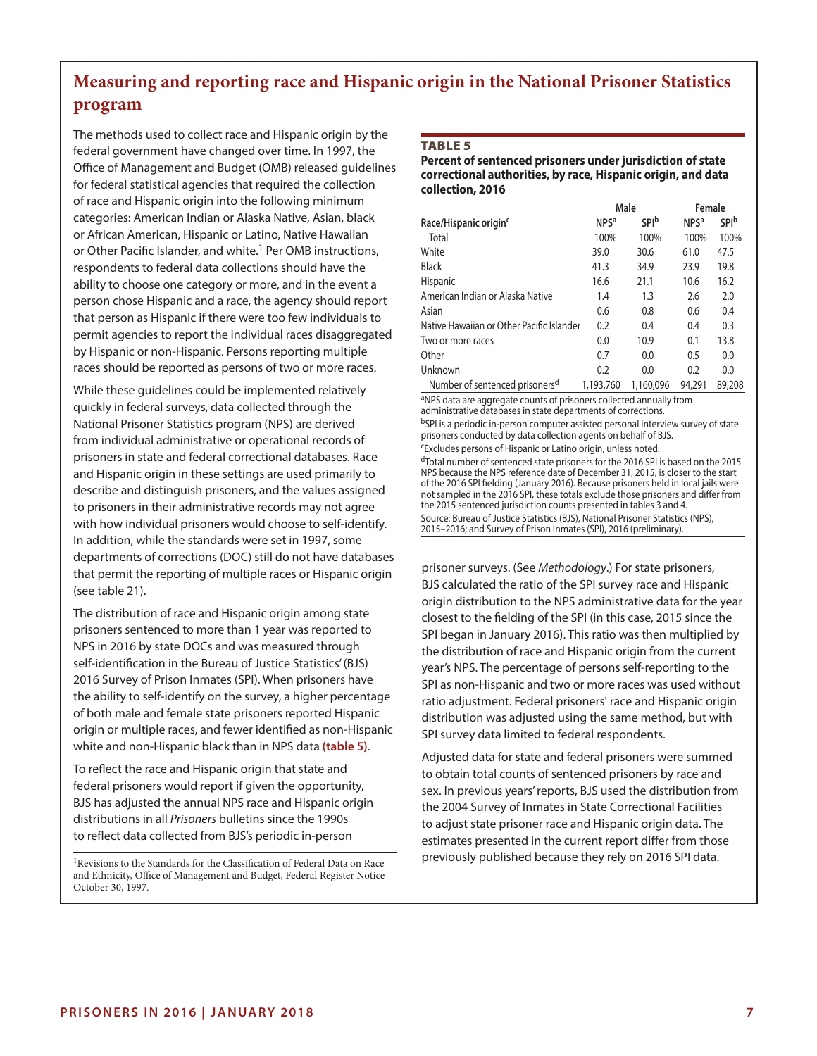# **Measuring and reporting race and Hispanic origin in the National Prisoner Statistics program**

The methods used to collect race and Hispanic origin by the federal government have changed over time. In 1997, the Office of Management and Budget (OMB) released guidelines for federal statistical agencies that required the collection of race and Hispanic origin into the following minimum categories: American Indian or Alaska Native, Asian, black or African American, Hispanic or Latino, Native Hawaiian or Other Pacific Islander, and white.<sup>1</sup> Per OMB instructions, respondents to federal data collections should have the ability to choose one category or more, and in the event a person chose Hispanic and a race, the agency should report that person as Hispanic if there were too few individuals to permit agencies to report the individual races disaggregated by Hispanic or non-Hispanic. Persons reporting multiple races should be reported as persons of two or more races.

While these guidelines could be implemented relatively quickly in federal surveys, data collected through the National Prisoner Statistics program (NPS) are derived from individual administrative or operational records of prisoners in state and federal correctional databases. Race and Hispanic origin in these settings are used primarily to describe and distinguish prisoners, and the values assigned to prisoners in their administrative records may not agree with how individual prisoners would choose to self-identify. In addition, while the standards were set in 1997, some departments of corrections (DOC) still do not have databases that permit the reporting of multiple races or Hispanic origin (see table 21).

The distribution of race and Hispanic origin among state prisoners sentenced to more than 1 year was reported to NPS in 2016 by state DOCs and was measured through self-identification in the Bureau of Justice Statistics' (BJS) 2016 Survey of Prison Inmates (SPI). When prisoners have the ability to self-identify on the survey, a higher percentage of both male and female state prisoners reported Hispanic origin or multiple races, and fewer identified as non-Hispanic white and non-Hispanic black than in NPS data **(table 5)**.

To reflect the race and Hispanic origin that state and federal prisoners would report if given the opportunity, BJS has adjusted the annual NPS race and Hispanic origin distributions in all *Prisoners* bulletins since the 1990s to reflect data collected from BJS's periodic in-person

<sup>1</sup>Revisions to the Standards for the Classification of Federal Data on Race and Ethnicity, Office of Management and Budget, Federal Register Notice October 30, 1997.

#### Table 5

**Percent of sentenced prisoners under jurisdiction of state correctional authorities, by race, Hispanic origin, and data collection, 2016**

|                                            |                        | Male         | Female                 |              |  |
|--------------------------------------------|------------------------|--------------|------------------------|--------------|--|
| Race/Hispanic origin <sup>c</sup>          | <b>NPS<sup>a</sup></b> | <b>SPI</b> b | <b>NPS<sup>a</sup></b> | <b>SPI</b> b |  |
| Total                                      | 100%                   | 100%         | 100%                   | 100%         |  |
| White                                      | 39.0                   | 30.6         | 61.0                   | 47.5         |  |
| <b>Black</b>                               | 41.3                   | 34.9         | 23.9                   | 19.8         |  |
| <b>Hispanic</b>                            | 16.6                   | 21.1         | 10.6                   | 16.2         |  |
| American Indian or Alaska Native           | 1.4                    | 1.3          | 2.6                    | 2.0          |  |
| Asian                                      | 0.6                    | 0.8          | 0.6                    | 0.4          |  |
| Native Hawaiian or Other Pacific Islander  | 0.2                    | 0.4          | 0.4                    | 0.3          |  |
| Two or more races                          | 0.0                    | 10.9         | 0.1                    | 13.8         |  |
| Other                                      | 0.7                    | 0.0          | 0.5                    | 0.0          |  |
| Unknown                                    | 0.2                    | 0.0          | 0.2                    | 0.0          |  |
| Number of sentenced prisoners <sup>d</sup> | 1,193,760              | 1,160,096    | 94.291                 | 89,208       |  |

aNPS data are aggregate counts of prisoners collected annually from administrative databases in state departments of corrections.

bSPI is a periodic in-person computer assisted personal interview survey of state prisoners conducted by data collection agents on behalf of BJS.

cExcludes persons of Hispanic or Latino origin, unless noted.

dTotal number of sentenced state prisoners for the 2016 SPI is based on the 2015 NPS because the NPS reference date of December 31, 2015, is closer to the start of the 2016 SPI fielding (January 2016). Because prisoners held in local jails were not sampled in the 2016 SPI, these totals exclude those prisoners and differ from the 2015 sentenced jurisdiction counts presented in tables 3 and 4. Source: Bureau of Justice Statistics (BJS), National Prisoner Statistics (NPS), 2015–2016; and Survey of Prison Inmates (SPI), 2016 (preliminary).

prisoner surveys. (See *Methodology*.) For state prisoners, BJS calculated the ratio of the SPI survey race and Hispanic origin distribution to the NPS administrative data for the year closest to the fielding of the SPI (in this case, 2015 since the SPI began in January 2016). This ratio was then multiplied by the distribution of race and Hispanic origin from the current year's NPS. The percentage of persons self-reporting to the SPI as non-Hispanic and two or more races was used without ratio adjustment. Federal prisoners' race and Hispanic origin distribution was adjusted using the same method, but with SPI survey data limited to federal respondents.

Adjusted data for state and federal prisoners were summed to obtain total counts of sentenced prisoners by race and sex. In previous years' reports, BJS used the distribution from the 2004 Survey of Inmates in State Correctional Facilities to adjust state prisoner race and Hispanic origin data. The estimates presented in the current report differ from those previously published because they rely on 2016 SPI data.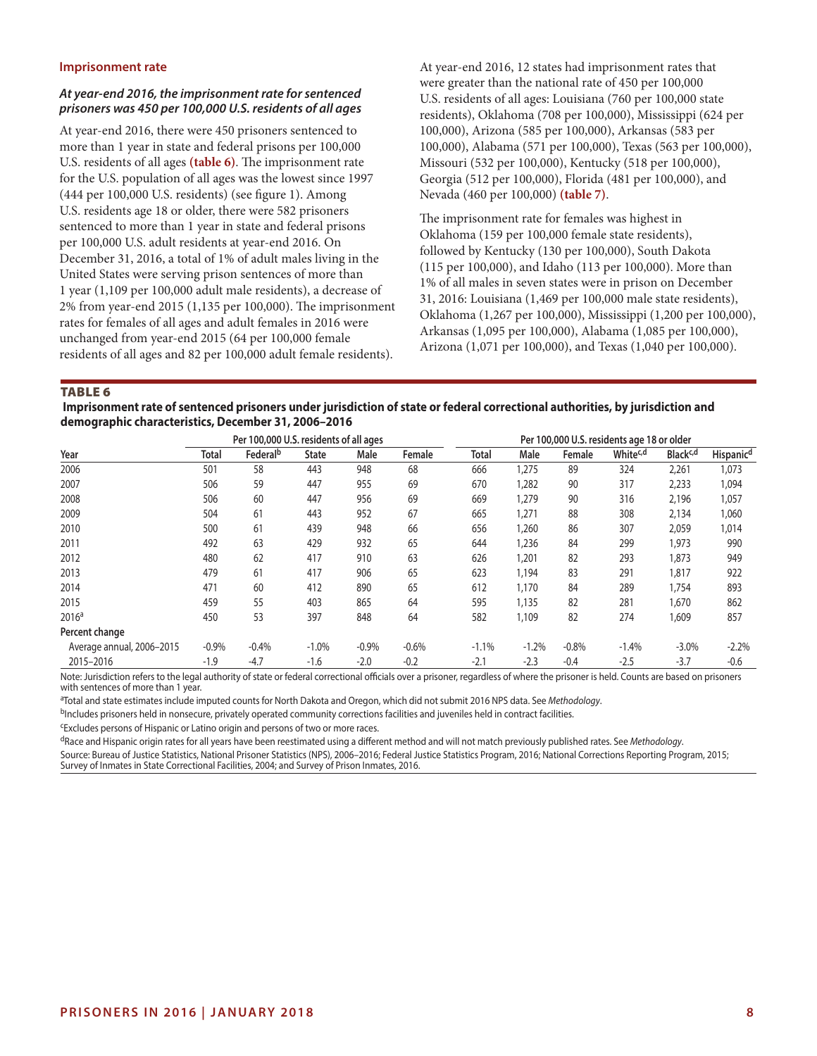#### **Imprisonment rate**

#### *At year-end 2016, the imprisonment rate for sentenced prisoners was 450 per 100,000 U.S. residents of all ages*

At year-end 2016, there were 450 prisoners sentenced to more than 1 year in state and federal prisons per 100,000 U.S. residents of all ages **(table 6)**. The imprisonment rate for the U.S. population of all ages was the lowest since 1997 (444 per 100,000 U.S. residents) (see figure 1). Among U.S. residents age 18 or older, there were 582 prisoners sentenced to more than 1 year in state and federal prisons per 100,000 U.S. adult residents at year-end 2016. On December 31, 2016, a total of 1% of adult males living in the United States were serving prison sentences of more than 1 year (1,109 per 100,000 adult male residents), a decrease of 2% from year-end 2015 (1,135 per 100,000). The imprisonment rates for females of all ages and adult females in 2016 were unchanged from year-end 2015 (64 per 100,000 female residents of all ages and 82 per 100,000 adult female residents).

At year-end 2016, 12 states had imprisonment rates that were greater than the national rate of 450 per 100,000 U.S. residents of all ages: Louisiana (760 per 100,000 state residents), Oklahoma (708 per 100,000), Mississippi (624 per 100,000), Arizona (585 per 100,000), Arkansas (583 per 100,000), Alabama (571 per 100,000), Texas (563 per 100,000), Missouri (532 per 100,000), Kentucky (518 per 100,000), Georgia (512 per 100,000), Florida (481 per 100,000), and Nevada (460 per 100,000) **(table 7)**.

The imprisonment rate for females was highest in Oklahoma (159 per 100,000 female state residents), followed by Kentucky (130 per 100,000), South Dakota (115 per 100,000), and Idaho (113 per 100,000). More than 1% of all males in seven states were in prison on December 31, 2016: Louisiana (1,469 per 100,000 male state residents), Oklahoma (1,267 per 100,000), Mississippi (1,200 per 100,000), Arkansas (1,095 per 100,000), Alabama (1,085 per 100,000), Arizona (1,071 per 100,000), and Texas (1,040 per 100,000).

**TABLE 6** 

 **Imprisonment rate of sentenced prisoners under jurisdiction of state or federal correctional authorities, by jurisdiction and demographic characteristics, December 31, 2006–2016**

|                           |         | Per 100,000 U.S. residents of all ages |              |         |         | Per 100,000 U.S. residents age 18 or older |         |         |                      |                      |                       |
|---------------------------|---------|----------------------------------------|--------------|---------|---------|--------------------------------------------|---------|---------|----------------------|----------------------|-----------------------|
| Year                      | Total   | Federal <sup>b</sup>                   | <b>State</b> | Male    | Female  | Total                                      | Male    | Female  | White <sup>c,d</sup> | Black <sup>c,d</sup> | Hispanic <sup>d</sup> |
| 2006                      | 501     | 58                                     | 443          | 948     | 68      | 666                                        | 1,275   | 89      | 324                  | 2,261                | 1,073                 |
| 2007                      | 506     | 59                                     | 447          | 955     | 69      | 670                                        | 1,282   | 90      | 317                  | 2,233                | 1,094                 |
| 2008                      | 506     | 60                                     | 447          | 956     | 69      | 669                                        | 1,279   | 90      | 316                  | 2,196                | 1,057                 |
| 2009                      | 504     | 61                                     | 443          | 952     | 67      | 665                                        | 1,271   | 88      | 308                  | 2,134                | 1,060                 |
| 2010                      | 500     | 61                                     | 439          | 948     | 66      | 656                                        | 1,260   | 86      | 307                  | 2,059                | 1,014                 |
| 2011                      | 492     | 63                                     | 429          | 932     | 65      | 644                                        | 1,236   | 84      | 299                  | 1,973                | 990                   |
| 2012                      | 480     | 62                                     | 417          | 910     | 63      | 626                                        | 1,201   | 82      | 293                  | 1,873                | 949                   |
| 2013                      | 479     | 61                                     | 417          | 906     | 65      | 623                                        | 1,194   | 83      | 291                  | 1,817                | 922                   |
| 2014                      | 471     | 60                                     | 412          | 890     | 65      | 612                                        | 1,170   | 84      | 289                  | 1,754                | 893                   |
| 2015                      | 459     | 55                                     | 403          | 865     | 64      | 595                                        | 1,135   | 82      | 281                  | 1,670                | 862                   |
| 2016 <sup>a</sup>         | 450     | 53                                     | 397          | 848     | 64      | 582                                        | 1,109   | 82      | 274                  | 1,609                | 857                   |
| Percent change            |         |                                        |              |         |         |                                            |         |         |                      |                      |                       |
| Average annual, 2006-2015 | $-0.9%$ | $-0.4%$                                | $-1.0%$      | $-0.9%$ | $-0.6%$ | $-1.1%$                                    | $-1.2%$ | $-0.8%$ | $-1.4%$              | $-3.0%$              | $-2.2%$               |
| 2015-2016                 | $-1.9$  | $-4.7$                                 | $-1.6$       | $-2.0$  | $-0.2$  | $-2.1$                                     | $-2.3$  | $-0.4$  | $-2.5$               | $-3.7$               | $-0.6$                |

Note: Jurisdiction refers to the legal authority of state or federal correctional officials over a prisoner, regardless of where the prisoner is held. Counts are based on prisoners with sentences of more than 1 year.

a Total and state estimates include imputed counts for North Dakota and Oregon, which did not submit 2016 NPS data. See *Methodology*.

bIncludes prisoners held in nonsecure, privately operated community corrections facilities and juveniles held in contract facilities.

cExcludes persons of Hispanic or Latino origin and persons of two or more races.

dRace and Hispanic origin rates for all years have been reestimated using a different method and will not match previously published rates. See *Methodology*.

Source: Bureau of Justice Statistics, National Prisoner Statistics (NPS), 2006–2016; Federal Justice Statistics Program, 2016; National Corrections Reporting Program, 2015; Survey of Inmates in State Correctional Facilities, 2004; and Survey of Prison Inmates, 2016.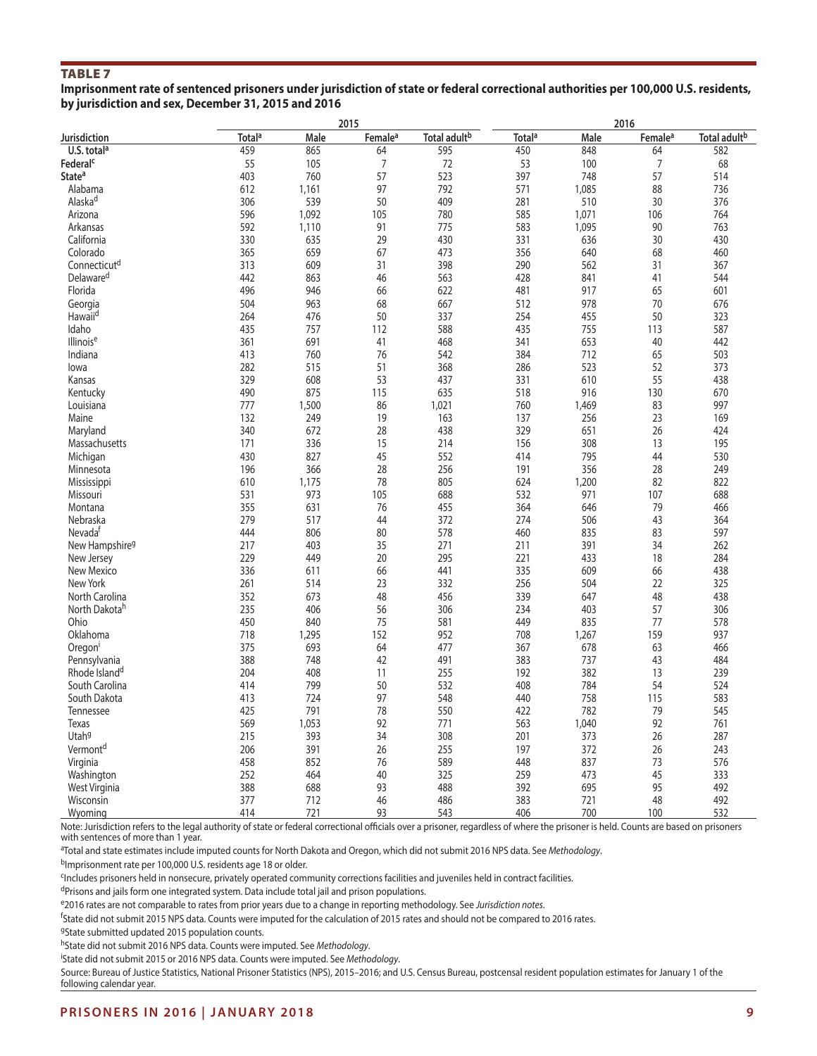# Table 7

**Imprisonment rate of sentenced prisoners under jurisdiction of state or federal correctional authorities per 100,000 U.S. residents, by jurisdiction and sex, December 31, 2015 and 2016**

|                            |                    |       | 2015                |                          |                          |       | 2016                |                          |
|----------------------------|--------------------|-------|---------------------|--------------------------|--------------------------|-------|---------------------|--------------------------|
| Jurisdiction               | Total <sup>a</sup> | Male  | Female <sup>a</sup> | Total adult <sup>b</sup> | <b>Total<sup>a</sup></b> | Male  | Female <sup>a</sup> | Total adult <sup>b</sup> |
| U.S. total <sup>a</sup>    | 459                | 865   | 64                  | 595                      | 450                      | 848   | 64                  | 582                      |
| Federal <sup>c</sup>       | 55                 | 105   | $\overline{7}$      | 72                       | 53                       | 100   | $\overline{7}$      | 68                       |
| State <sup>a</sup>         | 403                | 760   | 57                  | 523                      | 397                      | 748   | 57                  | 514                      |
| Alabama                    | 612                | 1,161 | 97                  | 792                      | 571                      | 1,085 | 88                  | 736                      |
| Alaska <sup>d</sup>        | 306                | 539   | 50                  | 409                      | 281                      | 510   | 30                  | 376                      |
| Arizona                    | 596                | 1,092 | 105                 | 780                      | 585                      | 1,071 | 106                 | 764                      |
| Arkansas                   | 592                | 1,110 | 91                  | 775                      | 583                      | 1,095 | 90                  | 763                      |
| California                 | 330                | 635   | 29                  | 430                      | 331                      | 636   | 30                  | 430                      |
| Colorado                   | 365                | 659   | 67                  | 473                      | 356                      | 640   | 68                  | 460                      |
| Connecticut <sup>d</sup>   | 313                | 609   | 31                  | 398                      | 290                      | 562   | 31                  | 367                      |
| Delaware <sup>d</sup>      | 442                | 863   | 46                  | 563                      | 428                      | 841   | 41                  | 544                      |
|                            |                    |       |                     |                          |                          |       |                     |                          |
| Florida                    | 496                | 946   | 66                  | 622                      | 481                      | 917   | 65                  | 601                      |
| Georgia                    | 504                | 963   | 68                  | 667                      | 512                      | 978   | 70                  | 676                      |
| Hawaii <sup>d</sup>        | 264                | 476   | 50                  | 337                      | 254                      | 455   | 50                  | 323                      |
| Idaho                      | 435                | 757   | 112                 | 588                      | 435                      | 755   | 113                 | 587                      |
| Illinoise                  | 361                | 691   | 41                  | 468                      | 341                      | 653   | 40                  | 442                      |
| Indiana                    | 413                | 760   | 76                  | 542                      | 384                      | 712   | 65                  | 503                      |
| lowa                       | 282                | 515   | 51                  | 368                      | 286                      | 523   | 52                  | 373                      |
| Kansas                     | 329                | 608   | 53                  | 437                      | 331                      | 610   | 55                  | 438                      |
| Kentucky                   | 490                | 875   | 115                 | 635                      | 518                      | 916   | 130                 | 670                      |
| Louisiana                  | 777                | 1,500 | 86                  | 1,021                    | 760                      | 1,469 | 83                  | 997                      |
| Maine                      | 132                | 249   | 19                  | 163                      | 137                      | 256   | 23                  | 169                      |
| Maryland                   | 340                | 672   | 28                  | 438                      | 329                      | 651   | 26                  | 424                      |
| Massachusetts              | 171                | 336   | 15                  | 214                      | 156                      | 308   | 13                  | 195                      |
| Michigan                   | 430                | 827   | 45                  | 552                      | 414                      | 795   | 44                  | 530                      |
| Minnesota                  | 196                | 366   | 28                  | 256                      | 191                      | 356   | 28                  | 249                      |
| Mississippi                | 610                | 1,175 | 78                  | 805                      | 624                      | 1,200 | 82                  | 822                      |
| Missouri                   | 531                | 973   | 105                 | 688                      | 532                      | 971   | 107                 | 688                      |
| Montana                    | 355                | 631   | 76                  | 455                      | 364                      | 646   | 79                  | 466                      |
| Nebraska                   | 279                | 517   | 44                  | 372                      | 274                      | 506   | 43                  | 364                      |
| Nevada <sup>t</sup>        | 444                | 806   | 80                  | 578                      | 460                      | 835   | 83                  | 597                      |
|                            | 217                | 403   | 35                  | 271                      | 211                      | 391   | 34                  | 262                      |
| New Hampshire <sup>g</sup> | 229                | 449   |                     | 295                      | 221                      | 433   | 18                  | 284                      |
| New Jersey                 | 336                |       | 20                  |                          | 335                      |       |                     |                          |
| New Mexico                 |                    | 611   | 66                  | 441                      |                          | 609   | 66                  | 438                      |
| New York                   | 261                | 514   | 23                  | 332                      | 256                      | 504   | 22                  | 325                      |
| North Carolina             | 352                | 673   | 48                  | 456                      | 339                      | 647   | 48                  | 438                      |
| North Dakota <sup>h</sup>  | 235                | 406   | 56                  | 306                      | 234                      | 403   | 57                  | 306                      |
| Ohio                       | 450                | 840   | 75                  | 581                      | 449                      | 835   | 77                  | 578                      |
| Oklahoma                   | 718                | 1,295 | 152                 | 952                      | 708                      | 1,267 | 159                 | 937                      |
| Oregon                     | 375                | 693   | 64                  | 477                      | 367                      | 678   | 63                  | 466                      |
| Pennsylvania               | 388                | 748   | 42                  | 491                      | 383                      | 737   | 43                  | 484                      |
| Rhode Island <sup>d</sup>  | 204                | 408   | 11                  | 255                      | 192                      | 382   | 13                  | 239                      |
| South Carolina             | 414                | 799   | 50                  | 532                      | 408                      | 784   | 54                  | 524                      |
| South Dakota               | 413                | 724   | 97                  | 548                      | 440                      | 758   | 115                 | 583                      |
| Tennessee                  | 425                | 791   | 78                  | 550                      | 422                      | 782   | 79                  | 545                      |
| Texas                      | 569                | 1,053 | 92                  | 771                      | 563                      | 1,040 | 92                  | 761                      |
| Utah <sup>9</sup>          | 215                | 393   | 34                  | 308                      | 201                      | 373   | 26                  | 287                      |
| Vermont <sup>d</sup>       | 206                | 391   | 26                  | 255                      | 197                      | 372   | 26                  | 243                      |
| Virginia                   | 458                | 852   | 76                  | 589                      | 448                      | 837   | 73                  | 576                      |
| Washington                 | 252                | 464   | 40                  | 325                      | 259                      | 473   | 45                  | 333                      |
| West Virginia              | 388                | 688   | 93                  | 488                      | 392                      | 695   | 95                  | 492                      |
| Wisconsin                  | 377                | 712   | 46                  | 486                      | 383                      | 721   | 48                  | 492                      |
| Wyoming                    | 414                | 721   | 93                  | 543                      | 406                      | 700   | 100                 | 532                      |

Note: Jurisdiction refers to the legal authority of state or federal correctional officials over a prisoner, regardless of where the prisoner is held. Counts are based on prisoners with sentences of more than 1 year.

a Total and state estimates include imputed counts for North Dakota and Oregon, which did not submit 2016 NPS data. See *Methodology*.

bImprisonment rate per 100,000 U.S. residents age 18 or older.

cIncludes prisoners held in nonsecure, privately operated community corrections facilities and juveniles held in contract facilities.

dPrisons and jails form one integrated system. Data include total jail and prison populations.

e2016 rates are not comparable to rates from prior years due to a change in reporting methodology. See *Jurisdiction notes*.

<sup>f</sup>State did not submit 2015 NPS data. Counts were imputed for the calculation of 2015 rates and should not be compared to 2016 rates.

<sup>g</sup>State submitted updated 2015 population counts.

hState did not submit 2016 NPS data. Counts were imputed. See *Methodology*.

i State did not submit 2015 or 2016 NPS data. Counts were imputed. See *Methodology*.

Source: Bureau of Justice Statistics, National Prisoner Statistics (NPS), 2015–2016; and U.S. Census Bureau, postcensal resident population estimates for January 1 of the following calendar year.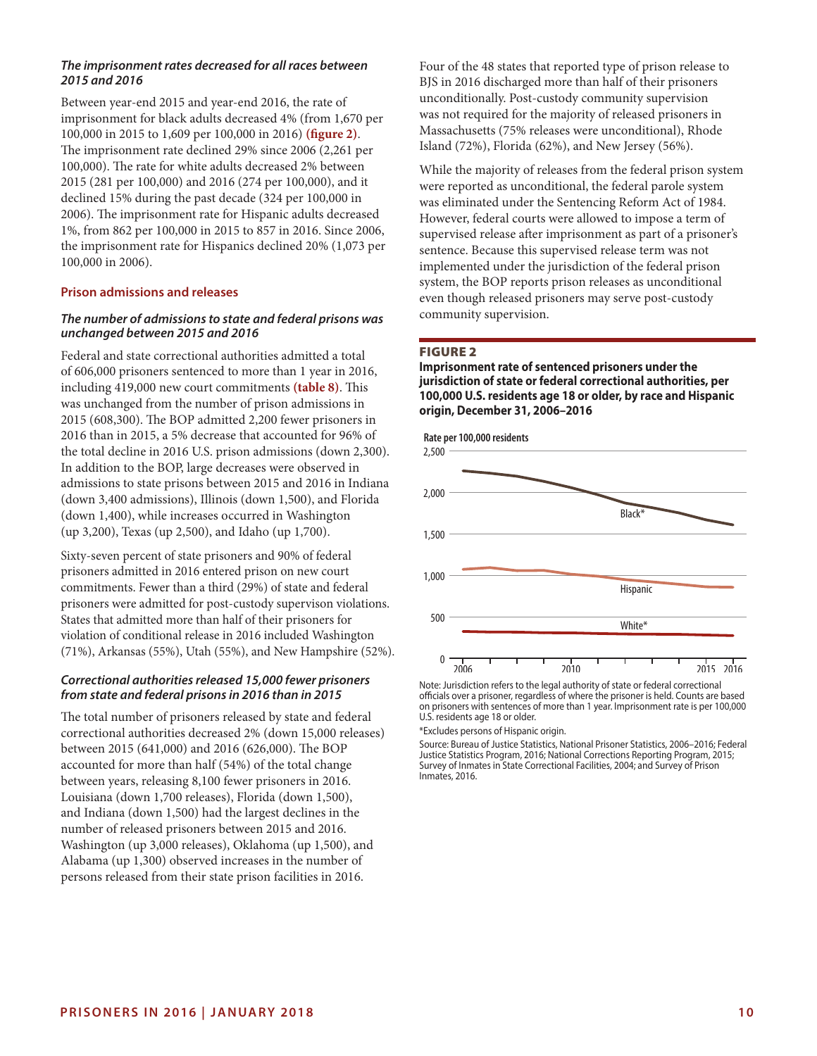### *The imprisonment rates decreased for all races between 2015 and 2016*

Between year-end 2015 and year-end 2016, the rate of imprisonment for black adults decreased 4% (from 1,670 per 100,000 in 2015 to 1,609 per 100,000 in 2016) **(figure 2)**. The imprisonment rate declined 29% since 2006 (2,261 per 100,000). The rate for white adults decreased 2% between 2015 (281 per 100,000) and 2016 (274 per 100,000), and it declined 15% during the past decade (324 per 100,000 in 2006). The imprisonment rate for Hispanic adults decreased 1%, from 862 per 100,000 in 2015 to 857 in 2016. Since 2006, the imprisonment rate for Hispanics declined 20% (1,073 per 100,000 in 2006).

#### **Prison admissions and releases**

# *The number of admissions to state and federal prisons was unchanged between 2015 and 2016*

Federal and state correctional authorities admitted a total of 606,000 prisoners sentenced to more than 1 year in 2016, including 419,000 new court commitments **(table 8)**. This was unchanged from the number of prison admissions in 2015 (608,300). The BOP admitted 2,200 fewer prisoners in 2016 than in 2015, a 5% decrease that accounted for 96% of the total decline in 2016 U.S. prison admissions (down 2,300). In addition to the BOP, large decreases were observed in admissions to state prisons between 2015 and 2016 in Indiana (down 3,400 admissions), Illinois (down 1,500), and Florida (down 1,400), while increases occurred in Washington (up 3,200), Texas (up 2,500), and Idaho (up 1,700).

Sixty-seven percent of state prisoners and 90% of federal prisoners admitted in 2016 entered prison on new court commitments. Fewer than a third (29%) of state and federal prisoners were admitted for post-custody supervison violations. States that admitted more than half of their prisoners for violation of conditional release in 2016 included Washington (71%), Arkansas (55%), Utah (55%), and New Hampshire (52%).

#### *Correctional authorities released 15,000 fewer prisoners from state and federal prisons in 2016 than in 2015*

The total number of prisoners released by state and federal correctional authorities decreased 2% (down 15,000 releases) between 2015 (641,000) and 2016 (626,000). The BOP accounted for more than half (54%) of the total change between years, releasing 8,100 fewer prisoners in 2016. Louisiana (down 1,700 releases), Florida (down 1,500), and Indiana (down 1,500) had the largest declines in the number of released prisoners between 2015 and 2016. Washington (up 3,000 releases), Oklahoma (up 1,500), and Alabama (up 1,300) observed increases in the number of persons released from their state prison facilities in 2016.

Four of the 48 states that reported type of prison release to BJS in 2016 discharged more than half of their prisoners unconditionally. Post-custody community supervision was not required for the majority of released prisoners in Massachusetts (75% releases were unconditional), Rhode Island (72%), Florida (62%), and New Jersey (56%).

While the majority of releases from the federal prison system were reported as unconditional, the federal parole system was eliminated under the Sentencing Reform Act of 1984. However, federal courts were allowed to impose a term of supervised release after imprisonment as part of a prisoner's sentence. Because this supervised release term was not implemented under the jurisdiction of the federal prison system, the BOP reports prison releases as unconditional even though released prisoners may serve post-custody community supervision.

#### Figure 2

**Imprisonment rate of sentenced prisoners under the jurisdiction of state or federal correctional authorities, per 100,000 U.S. residents age 18 or older, by race and Hispanic origin, December 31, 2006–2016**



Note: Jurisdiction refers to the legal authority of state or federal correctional officials over a prisoner, regardless of where the prisoner is held. Counts are based on prisoners with sentences of more than 1 year. Imprisonment rate is per 100,000 U.S. residents age 18 or older.

\*Excludes persons of Hispanic origin.

Source: Bureau of Justice Statistics, National Prisoner Statistics, 2006–2016; Federal Justice Statistics Program, 2016; National Corrections Reporting Program, 2015; Survey of Inmates in State Correctional Facilities, 2004; and Survey of Prison Inmates, 2016.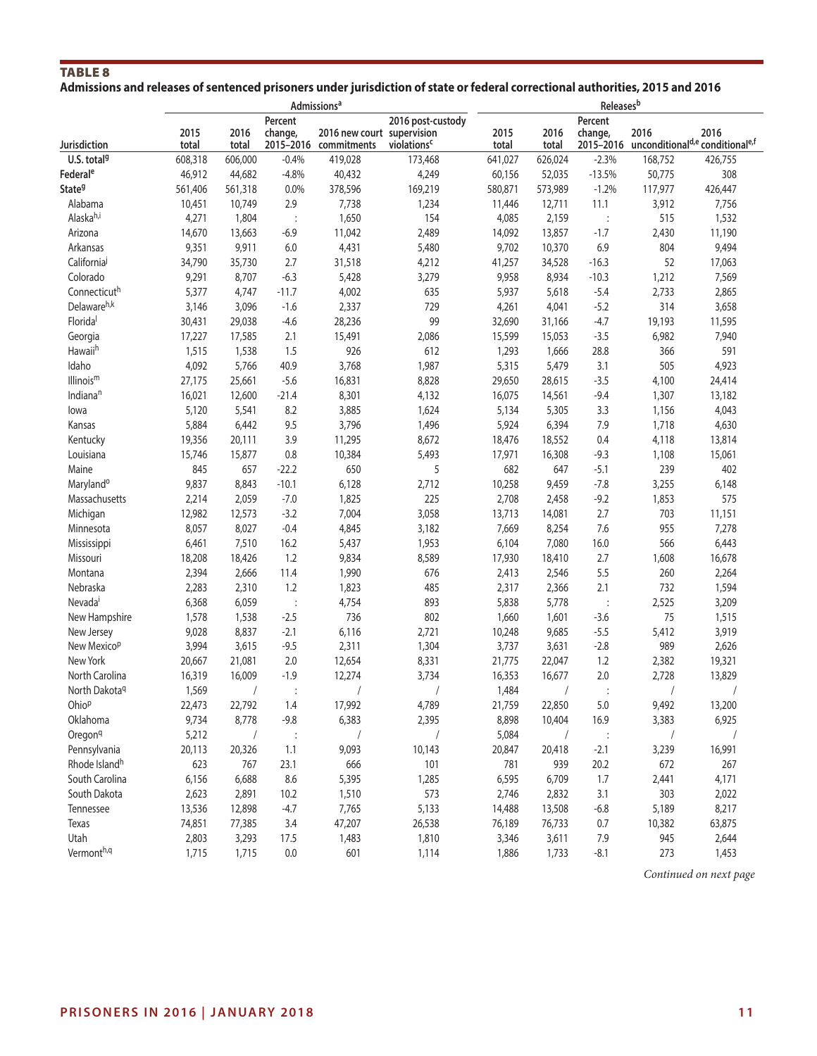# TABLE 8 **Admissions and releases of sentenced prisoners under jurisdiction of state or federal correctional authorities, 2015 and 2016**

|                           |               |               |                      | Admissions <sup>a</sup>                             |                                              | Releasesb     |               |                                 |         |                                                                 |
|---------------------------|---------------|---------------|----------------------|-----------------------------------------------------|----------------------------------------------|---------------|---------------|---------------------------------|---------|-----------------------------------------------------------------|
| Jurisdiction              | 2015<br>total | 2016<br>total | Percent<br>change,   | 2016 new court supervision<br>2015-2016 commitments | 2016 post-custody<br>violations <sup>c</sup> | 2015<br>total | 2016<br>total | Percent<br>change,<br>2015-2016 | 2016    | 2016<br>unconditional <sup>d,e</sup> conditional <sup>e,f</sup> |
| U.S. total <sup>9</sup>   | 608,318       | 606,000       | $-0.4%$              | 419,028                                             | 173,468                                      | 641,027       | 626,024       | $-2.3%$                         | 168,752 | 426,755                                                         |
| Federal <sup>e</sup>      | 46,912        | 44,682        | $-4.8%$              | 40,432                                              | 4,249                                        | 60,156        | 52,035        | $-13.5%$                        | 50,775  | 308                                                             |
| State <sup>9</sup>        | 561,406       | 561,318       | 0.0%                 | 378,596                                             | 169,219                                      | 580,871       | 573,989       | $-1.2%$                         | 117,977 | 426,447                                                         |
| Alabama                   | 10,451        | 10,749        | 2.9                  | 7,738                                               | 1,234                                        | 11,446        | 12,711        | 11.1                            | 3,912   | 7,756                                                           |
| Alaskah,i                 | 4,271         | 1,804         | $\ddot{\phantom{a}}$ | 1,650                                               | 154                                          | 4,085         | 2,159         | $\ddot{\cdot}$                  | 515     | 1,532                                                           |
| Arizona                   | 14,670        | 13,663        | $-6.9$               | 11,042                                              | 2,489                                        | 14,092        | 13,857        | $-1.7$                          | 2,430   | 11,190                                                          |
| Arkansas                  | 9,351         | 9,911         | 6.0                  | 4,431                                               | 5,480                                        | 9,702         | 10,370        | 6.9                             | 804     | 9,494                                                           |
| California                | 34,790        | 35,730        | 2.7                  | 31,518                                              | 4,212                                        | 41,257        | 34,528        | $-16.3$                         | 52      | 17,063                                                          |
| Colorado                  | 9,291         | 8,707         | $-6.3$               | 5,428                                               | 3,279                                        | 9,958         | 8,934         | $-10.3$                         | 1,212   | 7,569                                                           |
| Connecticuth              | 5,377         | 4,747         | $-11.7$              | 4,002                                               | 635                                          | 5,937         | 5,618         | $-5.4$                          | 2,733   | 2,865                                                           |
| Delawareh,k               | 3,146         | 3,096         | $-1.6$               | 2,337                                               | 729                                          | 4,261         | 4,041         | $-5.2$                          | 314     | 3,658                                                           |
| Florida                   | 30,431        | 29,038        | $-4.6$               | 28,236                                              | 99                                           | 32,690        | 31,166        | $-4.7$                          | 19,193  | 11,595                                                          |
| Georgia                   | 17,227        | 17,585        | 2.1                  | 15,491                                              | 2,086                                        | 15,599        | 15,053        | $-3.5$                          | 6,982   | 7,940                                                           |
| Hawaii <sup>h</sup>       | 1,515         | 1,538         | 1.5                  | 926                                                 | 612                                          | 1,293         | 1,666         | 28.8                            | 366     | 591                                                             |
| Idaho                     | 4,092         | 5,766         | 40.9                 | 3,768                                               | 1,987                                        | 5,315         | 5,479         | 3.1                             | 505     | 4,923                                                           |
| Illinois <sup>m</sup>     | 27,175        | 25,661        | $-5.6$               | 16,831                                              | 8,828                                        | 29,650        | 28,615        | $-3.5$                          | 4,100   | 24,414                                                          |
| Indiana <sup>n</sup>      | 16,021        | 12,600        | $-21.4$              | 8,301                                               | 4,132                                        | 16,075        | 14,561        | $-9.4$                          | 1,307   | 13,182                                                          |
| lowa                      | 5,120         | 5,541         | 8.2                  | 3,885                                               | 1,624                                        | 5,134         | 5,305         | 3.3                             | 1,156   | 4,043                                                           |
| Kansas                    | 5,884         | 6,442         | 9.5                  | 3,796                                               | 1,496                                        | 5,924         | 6,394         | 7.9                             | 1,718   | 4,630                                                           |
| Kentucky                  | 19,356        | 20,111        | 3.9                  | 11,295                                              | 8,672                                        | 18,476        | 18,552        | 0.4                             | 4,118   | 13,814                                                          |
| Louisiana                 | 15,746        | 15,877        | 0.8                  | 10,384                                              | 5,493                                        | 17,971        | 16,308        | $-9.3$                          | 1,108   | 15,061                                                          |
| Maine                     | 845           | 657           | $-22.2$              | 650                                                 | 5                                            | 682           | 647           | $-5.1$                          | 239     | 402                                                             |
| Maryland <sup>o</sup>     | 9,837         | 8,843         | $-10.1$              | 6,128                                               | 2,712                                        | 10,258        | 9,459         | $-7.8$                          | 3,255   | 6,148                                                           |
| Massachusetts             | 2,214         | 2,059         | $-7.0$               | 1,825                                               | 225                                          | 2,708         | 2,458         | $-9.2$                          | 1,853   | 575                                                             |
| Michigan                  | 12,982        | 12,573        | $-3.2$               | 7,004                                               | 3,058                                        | 13,713        | 14,081        | 2.7                             | 703     | 11,151                                                          |
| Minnesota                 | 8,057         | 8,027         | $-0.4$               | 4,845                                               | 3,182                                        | 7,669         | 8,254         | 7.6                             | 955     | 7,278                                                           |
| Mississippi               | 6,461         | 7,510         | 16.2                 | 5,437                                               | 1,953                                        | 6,104         | 7,080         | 16.0                            | 566     | 6,443                                                           |
| Missouri                  | 18,208        | 18,426        | 1.2                  | 9,834                                               | 8,589                                        | 17,930        | 18,410        | 2.7                             | 1,608   | 16,678                                                          |
| Montana                   | 2,394         | 2,666         | 11.4                 | 1,990                                               | 676                                          | 2,413         | 2,546         | 5.5                             | 260     | 2,264                                                           |
| Nebraska                  | 2,283         | 2,310         | 1.2                  | 1,823                                               | 485                                          | 2,317         | 2,366         | 2.1                             | 732     | 1,594                                                           |
| Nevada                    | 6,368         | 6,059         | $\ddot{\phantom{a}}$ | 4,754                                               | 893                                          | 5,838         | 5,778         | $\ddot{\cdot}$                  | 2,525   | 3,209                                                           |
| New Hampshire             | 1,578         | 1,538         | $-2.5$               | 736                                                 | 802                                          | 1,660         | 1,601         | $-3.6$                          | 75      | 1,515                                                           |
| New Jersey                | 9,028         | 8,837         | $-2.1$               | 6,116                                               | 2,721                                        | 10,248        | 9,685         | $-5.5$                          | 5,412   | 3,919                                                           |
| New Mexico <sup>p</sup>   | 3,994         | 3,615         | $-9.5$               | 2,311                                               | 1,304                                        | 3,737         | 3,631         | $-2.8$                          | 989     | 2,626                                                           |
| New York                  | 20,667        | 21,081        | 2.0                  | 12,654                                              | 8,331                                        | 21,775        | 22,047        | 1.2                             | 2,382   | 19,321                                                          |
| North Carolina            | 16,319        | 16,009        | $-1.9$               | 12,274                                              | 3,734                                        | 16,353        | 16,677        | 2.0                             | 2,728   | 13,829                                                          |
| North Dakota <sup>q</sup> | 1,569         |               | $\ddot{\cdot}$       |                                                     |                                              | 1,484         |               | $\vdots$                        |         |                                                                 |
| Ohio <sup>p</sup>         | 22,473        | 22,792        | 1.4                  | 17,992                                              | 4,789                                        | 21,759        | 22,850        | $5.0\,$                         | 9,492   | 13,200                                                          |
| Oklahoma                  | 9,734         | 8,778         | $-9.8$               | 6,383                                               | 2,395                                        | 8,898         | 10,404        | 16.9                            | 3,383   | 6,925                                                           |
| Oregon <sup>q</sup>       | 5,212         |               | $\ddot{\cdot}$       |                                                     | $\sqrt{2}$                                   | 5,084         | $\sqrt{2}$    | $\ddot{\cdot}$                  | T       |                                                                 |
| Pennsylvania              | 20,113        | 20,326        | 1.1                  | 9,093                                               | 10,143                                       | 20,847        | 20,418        | $-2.1$                          | 3,239   | 16,991                                                          |
| Rhode Islandh             | 623           | 767           | 23.1                 | 666                                                 | 101                                          | 781           | 939           | 20.2                            | 672     | 267                                                             |
| South Carolina            | 6,156         | 6,688         | 8.6                  | 5,395                                               | 1,285                                        | 6,595         | 6,709         | 1.7                             | 2,441   | 4,171                                                           |
| South Dakota              | 2,623         | 2,891         | 10.2                 | 1,510                                               | 573                                          | 2,746         | 2,832         | 3.1                             | 303     | 2,022                                                           |
| Tennessee                 | 13,536        | 12,898        | $-4.7$               | 7,765                                               | 5,133                                        | 14,488        | 13,508        | $-6.8$                          | 5,189   | 8,217                                                           |
| Texas                     | 74,851        | 77,385        | 3.4                  | 47,207                                              | 26,538                                       | 76,189        | 76,733        | $0.7\,$                         | 10,382  | 63,875                                                          |
| Utah                      | 2,803         | 3,293         | 17.5                 | 1,483                                               | 1,810                                        | 3,346         | 3,611         | 7.9                             | 945     | 2,644                                                           |
| Vermonth,q                | 1,715         | 1,715         | $0.0\,$              | 601                                                 | 1,114                                        | 1,886         | 1,733         | $-8.1$                          | 273     | 1,453                                                           |

*Continued on next page*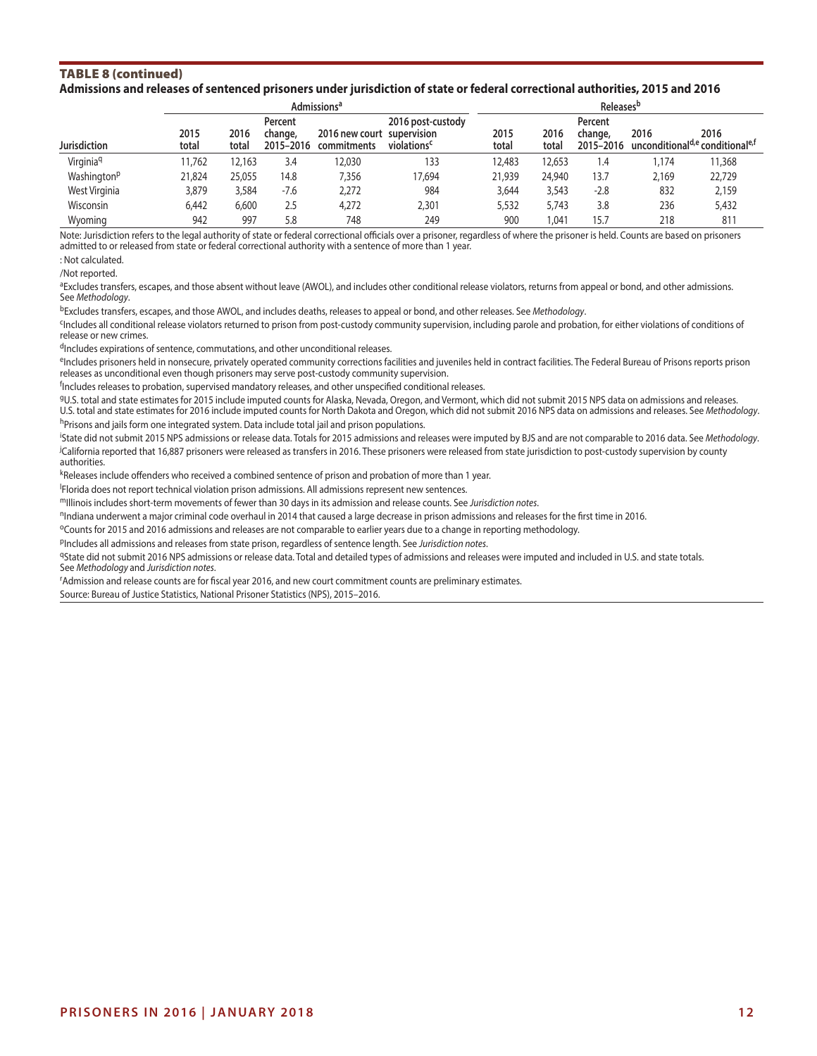#### TABLE 8 (continued) **Admissions and releases of sentenced prisoners under jurisdiction of state or federal correctional authorities, 2015 and 2016**

|                         |               | Admissions <sup>a</sup> |                                 |                                           |                                              |               |               | <b>Releases</b> <sup>b</sup>    |                                                                 |        |  |  |  |
|-------------------------|---------------|-------------------------|---------------------------------|-------------------------------------------|----------------------------------------------|---------------|---------------|---------------------------------|-----------------------------------------------------------------|--------|--|--|--|
| Jurisdiction            | 2015<br>total | 2016<br>total           | Percent<br>change,<br>2015-2016 | 2016 new court supervision<br>commitments | 2016 post-custody<br>violations <sup>c</sup> | 2015<br>total | 2016<br>total | Percent<br>change,<br>2015-2016 | 2016<br>unconditional <sup>d,e</sup> conditional <sup>e,f</sup> | 2016   |  |  |  |
| Virginia <sup>q</sup>   | 11.762        | 12.163                  | 3.4                             | 12,030                                    | 133                                          | 12,483        | 12,653        | 1.4                             | 1.174                                                           | 11,368 |  |  |  |
| Washington <sup>p</sup> | 21.824        | 25,055                  | 14.8                            | 7.356                                     | 17.694                                       | 21,939        | 24,940        | 13.7                            | 2.169                                                           | 22,729 |  |  |  |
| West Virginia           | 3,879         | 3,584                   | $-7.6$                          | 2,272                                     | 984                                          | 3,644         | 3,543         | $-2.8$                          | 832                                                             | 2,159  |  |  |  |
| <b>Wisconsin</b>        | 6.442         | 6,600                   | 2.5                             | 4.272                                     | 2,301                                        | 5,532         | 5.743         | 3.8                             | 236                                                             | 5,432  |  |  |  |
| Wvomina                 | 942           | 997                     | 5.8                             | 748                                       | 249                                          | 900           | .041          | 15.7                            | 218                                                             | 811    |  |  |  |

Note: Jurisdiction refers to the legal authority of state or federal correctional officials over a prisoner, regardless of where the prisoner is held. Counts are based on prisoners admitted to or released from state or federal correctional authority with a sentence of more than 1 year.

: Not calculated.

/Not reported.

aExcludes transfers, escapes, and those absent without leave (AWOL), and includes other conditional release violators, returns from appeal or bond, and other admissions. See *Methodology*.

bExcludes transfers, escapes, and those AWOL, and includes deaths, releases to appeal or bond, and other releases. See *Methodology*.

<sup>c</sup>Includes all conditional release violators returned to prison from post-custody community supervision, including parole and probation, for either violations of conditions of release or new crimes.

dIncludes expirations of sentence, commutations, and other unconditional releases.

eIncludes prisoners held in nonsecure, privately operated community corrections facilities and juveniles held in contract facilities. The Federal Bureau of Prisons reports prison releases as unconditional even though prisoners may serve post-custody community supervision.

<sup>f</sup>Includes releases to probation, supervised mandatory releases, and other unspecified conditional releases.

gU.S. total and state estimates for 2015 include imputed counts for Alaska, Nevada, Oregon, and Vermont, which did not submit 2015 NPS data on admissions and releases. U.S. total and state estimates for 2016 include imputed counts for North Dakota and Oregon, which did not submit 2016 NPS data on admissions and releases. See *Methodology*.

hPrisons and jails form one integrated system. Data include total jail and prison populations.

i State did not submit 2015 NPS admissions or release data. Totals for 2015 admissions and releases were imputed by BJS and are not comparable to 2016 data. See *Methodology*. j California reported that 16,887 prisoners were released as transfers in 2016. These prisoners were released from state jurisdiction to post-custody supervision by county authorities.

kReleases include offenders who received a combined sentence of prison and probation of more than 1 year.

l Florida does not report technical violation prison admissions. All admissions represent new sentences.

mIllinois includes short-term movements of fewer than 30 days in its admission and release counts. See *Jurisdiction notes*.

<sup>n</sup>Indiana underwent a major criminal code overhaul in 2014 that caused a large decrease in prison admissions and releases for the first time in 2016.

oCounts for 2015 and 2016 admissions and releases are not comparable to earlier years due to a change in reporting methodology.

pIncludes all admissions and releases from state prison, regardless of sentence length. See *Jurisdiction notes*.

9State did not submit 2016 NPS admissions or release data. Total and detailed types of admissions and releases were imputed and included in U.S. and state totals. See *Methodology* and *Jurisdiction notes*.

r Admission and release counts are for fiscal year 2016, and new court commitment counts are preliminary estimates.

Source: Bureau of Justice Statistics, National Prisoner Statistics (NPS), 2015–2016.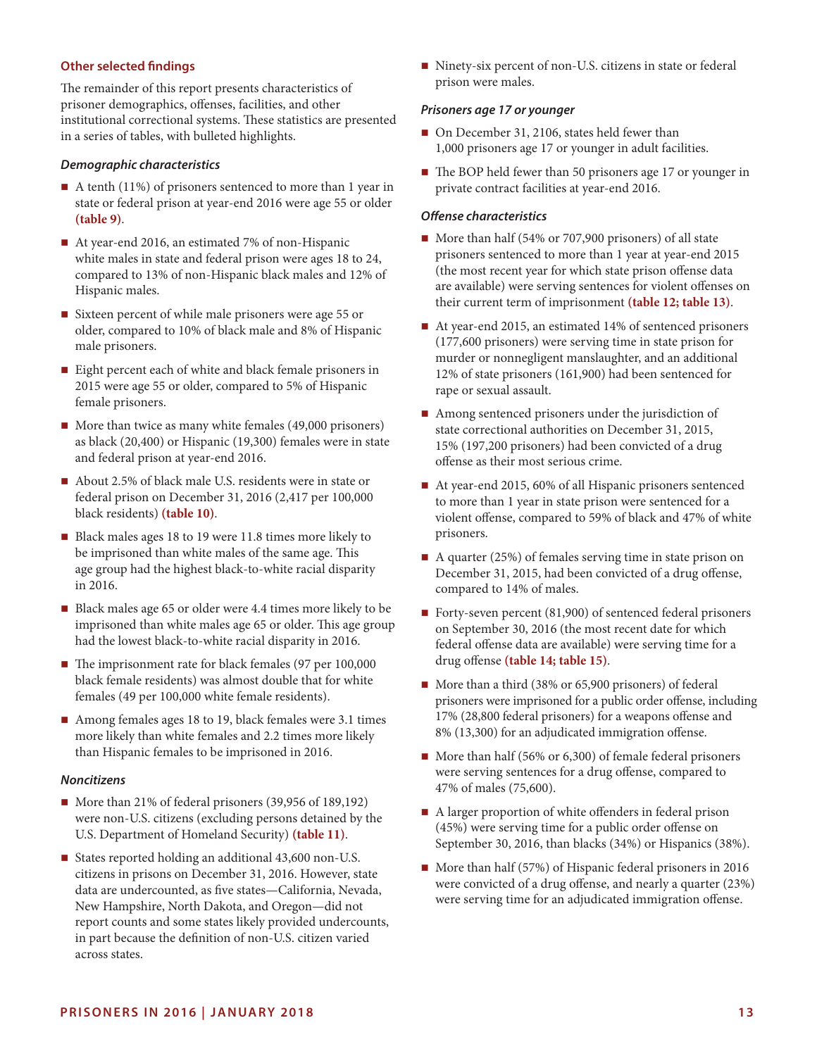## **Other selected findings**

The remainder of this report presents characteristics of prisoner demographics, offenses, facilities, and other institutional correctional systems. These statistics are presented in a series of tables, with bulleted highlights.

#### *Demographic characteristics*

- A tenth (11%) of prisoners sentenced to more than 1 year in state or federal prison at year-end 2016 were age 55 or older **(table 9)**.
- At year-end 2016, an estimated 7% of non-Hispanic white males in state and federal prison were ages 18 to 24, compared to 13% of non-Hispanic black males and 12% of Hispanic males.
- Sixteen percent of while male prisoners were age 55 or older, compared to 10% of black male and 8% of Hispanic male prisoners.
- Eight percent each of white and black female prisoners in 2015 were age 55 or older, compared to 5% of Hispanic female prisoners.
- $\blacksquare$  More than twice as many white females (49,000 prisoners) as black (20,400) or Hispanic (19,300) females were in state and federal prison at year-end 2016.
- About 2.5% of black male U.S. residents were in state or federal prison on December 31, 2016 (2,417 per 100,000 black residents) **(table 10)**.
- Black males ages 18 to 19 were 11.8 times more likely to be imprisoned than white males of the same age. This age group had the highest black-to-white racial disparity in 2016.
- Black males age 65 or older were 4.4 times more likely to be imprisoned than white males age 65 or older. This age group had the lowest black-to-white racial disparity in 2016.
- The imprisonment rate for black females (97 per 100,000 black female residents) was almost double that for white females (49 per 100,000 white female residents).
- Among females ages 18 to 19, black females were 3.1 times more likely than white females and 2.2 times more likely than Hispanic females to be imprisoned in 2016.

## *Noncitizens*

- More than 21% of federal prisoners (39,956 of 189,192) were non-U.S. citizens (excluding persons detained by the U.S. Department of Homeland Security) **(table 11)**.
- States reported holding an additional 43,600 non-U.S. citizens in prisons on December 31, 2016. However, state data are undercounted, as five states—California, Nevada, New Hampshire, North Dakota, and Oregon—did not report counts and some states likely provided undercounts, in part because the definition of non-U.S. citizen varied across states.

■ Ninety-six percent of non-U.S. citizens in state or federal prison were males.

#### *Prisoners age 17 or younger*

- On December 31, 2106, states held fewer than 1,000 prisoners age 17 or younger in adult facilities.
- The BOP held fewer than 50 prisoners age 17 or younger in private contract facilities at year-end 2016.

## *Offense characteristics*

- More than half (54% or 707,900 prisoners) of all state prisoners sentenced to more than 1 year at year-end 2015 (the most recent year for which state prison offense data are available) were serving sentences for violent offenses on their current term of imprisonment **(table 12; table 13)**.
- At year-end 2015, an estimated 14% of sentenced prisoners (177,600 prisoners) were serving time in state prison for murder or nonnegligent manslaughter, and an additional 12% of state prisoners (161,900) had been sentenced for rape or sexual assault.
- Among sentenced prisoners under the jurisdiction of state correctional authorities on December 31, 2015, 15% (197,200 prisoners) had been convicted of a drug offense as their most serious crime.
- At year-end 2015, 60% of all Hispanic prisoners sentenced to more than 1 year in state prison were sentenced for a violent offense, compared to 59% of black and 47% of white prisoners.
- $\blacksquare$  A quarter (25%) of females serving time in state prison on December 31, 2015, had been convicted of a drug offense, compared to 14% of males.
- Forty-seven percent (81,900) of sentenced federal prisoners on September 30, 2016 (the most recent date for which federal offense data are available) were serving time for a drug offense **(table 14; table 15)**.
- More than a third (38% or 65,900 prisoners) of federal prisoners were imprisoned for a public order offense, including 17% (28,800 federal prisoners) for a weapons offense and 8% (13,300) for an adjudicated immigration offense.
- More than half (56% or 6,300) of female federal prisoners were serving sentences for a drug offense, compared to 47% of males (75,600).
- A larger proportion of white offenders in federal prison (45%) were serving time for a public order offense on September 30, 2016, than blacks (34%) or Hispanics (38%).
- More than half (57%) of Hispanic federal prisoners in 2016 were convicted of a drug offense, and nearly a quarter (23%) were serving time for an adjudicated immigration offense.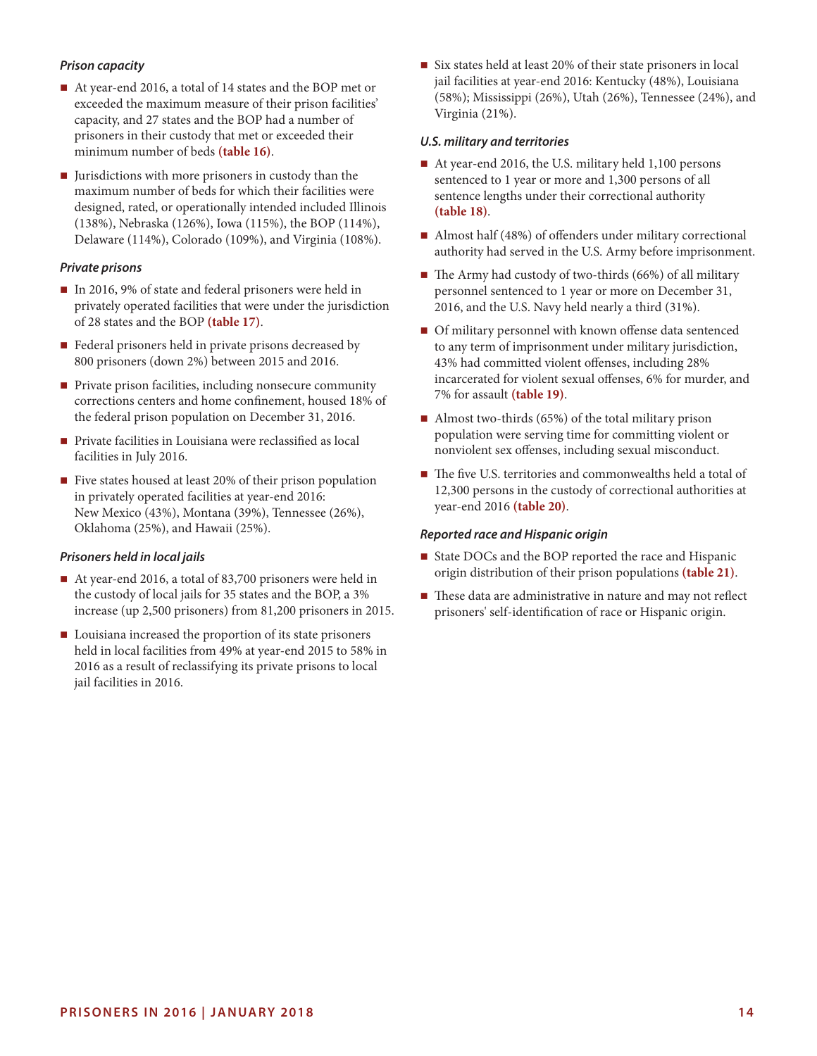# *Prison capacity*

- At year-end 2016, a total of 14 states and the BOP met or exceeded the maximum measure of their prison facilities' capacity, and 27 states and the BOP had a number of prisoners in their custody that met or exceeded their minimum number of beds **(table 16)**.
- I Jurisdictions with more prisoners in custody than the maximum number of beds for which their facilities were designed, rated, or operationally intended included Illinois (138%), Nebraska (126%), Iowa (115%), the BOP (114%), Delaware (114%), Colorado (109%), and Virginia (108%).

## *Private prisons*

- In 2016, 9% of state and federal prisoners were held in privately operated facilities that were under the jurisdiction of 28 states and the BOP **(table 17)**.
- Federal prisoners held in private prisons decreased by 800 prisoners (down 2%) between 2015 and 2016.
- Private prison facilities, including nonsecure community corrections centers and home confinement, housed 18% of the federal prison population on December 31, 2016.
- **Private facilities in Louisiana were reclassified as local** facilities in July 2016.
- Five states housed at least 20% of their prison population in privately operated facilities at year-end 2016: New Mexico (43%), Montana (39%), Tennessee (26%), Oklahoma (25%), and Hawaii (25%).

## *Prisoners held in local jails*

- At year-end 2016, a total of 83,700 prisoners were held in the custody of local jails for 35 states and the BOP, a 3% increase (up 2,500 prisoners) from 81,200 prisoners in 2015.
- **Louisiana increased the proportion of its state prisoners** held in local facilities from 49% at year-end 2015 to 58% in 2016 as a result of reclassifying its private prisons to local jail facilities in 2016.

■ Six states held at least 20% of their state prisoners in local jail facilities at year-end 2016: Kentucky (48%), Louisiana (58%); Mississippi (26%), Utah (26%), Tennessee (24%), and Virginia (21%).

#### *U.S. military and territories*

- At year-end 2016, the U.S. military held 1,100 persons sentenced to 1 year or more and 1,300 persons of all sentence lengths under their correctional authority **(table 18)**.
- Almost half (48%) of offenders under military correctional authority had served in the U.S. Army before imprisonment.
- $\blacksquare$  The Army had custody of two-thirds (66%) of all military personnel sentenced to 1 year or more on December 31, 2016, and the U.S. Navy held nearly a third (31%).
- Of military personnel with known offense data sentenced to any term of imprisonment under military jurisdiction, 43% had committed violent offenses, including 28% incarcerated for violent sexual offenses, 6% for murder, and 7% for assault **(table 19)**.
- Almost two-thirds  $(65%)$  of the total military prison population were serving time for committing violent or nonviolent sex offenses, including sexual misconduct.
- The five U.S. territories and commonwealths held a total of 12,300 persons in the custody of correctional authorities at year-end 2016 **(table 20)**.

#### *Reported race and Hispanic origin*

- State DOCs and the BOP reported the race and Hispanic origin distribution of their prison populations **(table 21)**.
- These data are administrative in nature and may not reflect prisoners' self-identification of race or Hispanic origin.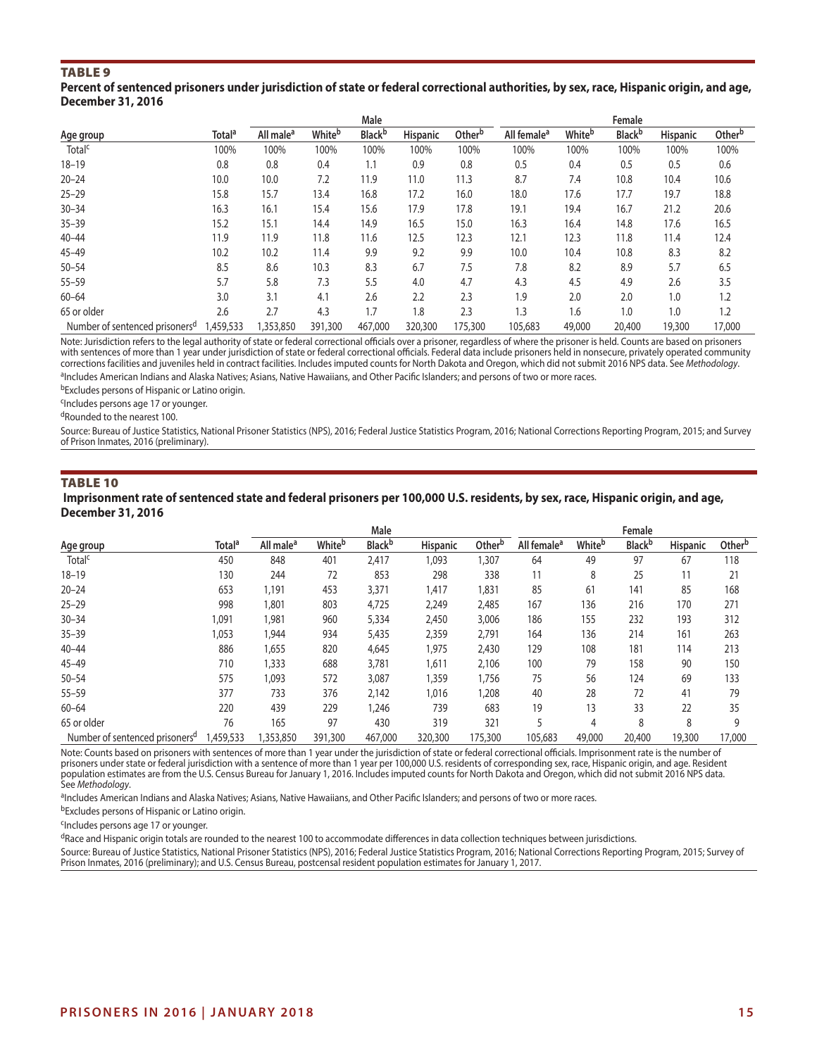#### Table 9

#### **Percent of sentenced prisoners under jurisdiction of state or federal correctional authorities, by sex, race, Hispanic origin, and age, December 31, 2016**

|                                            |                    |                       |         | Male           |                 |                    |                         |        | Female         |                 |                    |
|--------------------------------------------|--------------------|-----------------------|---------|----------------|-----------------|--------------------|-------------------------|--------|----------------|-----------------|--------------------|
| Age group                                  | Total <sup>a</sup> | All male <sup>a</sup> | Whiteb  | <b>Black</b> b | <b>Hispanic</b> | Other <sup>b</sup> | All female <sup>a</sup> | Whiteb | <b>Black</b> b | <b>Hispanic</b> | Other <sup>b</sup> |
| Total <sup>c</sup>                         | 100%               | 100%                  | 100%    | 100%           | 100%            | 100%               | 100%                    | 100%   | 100%           | 100%            | 100%               |
| $18 - 19$                                  | 0.8                | 0.8                   | 0.4     | 1.1            | 0.9             | 0.8                | 0.5                     | 0.4    | 0.5            | 0.5             | 0.6                |
| $20 - 24$                                  | 10.0               | 10.0                  | 7.2     | 11.9           | 11.0            | 11.3               | 8.7                     | 7.4    | 10.8           | 10.4            | 10.6               |
| $25 - 29$                                  | 15.8               | 15.7                  | 13.4    | 16.8           | 17.2            | 16.0               | 18.0                    | 17.6   | 17.7           | 19.7            | 18.8               |
| $30 - 34$                                  | 16.3               | 16.1                  | 15.4    | 15.6           | 17.9            | 17.8               | 19.1                    | 19.4   | 16.7           | 21.2            | 20.6               |
| $35 - 39$                                  | 15.2               | 15.1                  | 14.4    | 14.9           | 16.5            | 15.0               | 16.3                    | 16.4   | 14.8           | 17.6            | 16.5               |
| $40 - 44$                                  | 11.9               | 11.9                  | 11.8    | 11.6           | 12.5            | 12.3               | 12.1                    | 12.3   | 11.8           | 11.4            | 12.4               |
| $45 - 49$                                  | 10.2               | 10.2                  | 11.4    | 9.9            | 9.2             | 9.9                | 10.0                    | 10.4   | 10.8           | 8.3             | 8.2                |
| $50 - 54$                                  | 8.5                | 8.6                   | 10.3    | 8.3            | 6.7             | 7.5                | 7.8                     | 8.2    | 8.9            | 5.7             | 6.5                |
| $55 - 59$                                  | 5.7                | 5.8                   | 7.3     | 5.5            | 4.0             | 4.7                | 4.3                     | 4.5    | 4.9            | 2.6             | 3.5                |
| $60 - 64$                                  | 3.0                | 3.1                   | 4.1     | 2.6            | 2.2             | 2.3                | 1.9                     | 2.0    | 2.0            | 1.0             | 1.2                |
| 65 or older                                | 2.6                | 2.7                   | 4.3     | 1.7            | 1.8             | 2.3                | 1.3                     | 1.6    | 1.0            | 1.0             | 1.2                |
| Number of sentenced prisoners <sup>d</sup> | 1,459,533          | 1,353,850             | 391,300 | 467,000        | 320,300         | 175,300            | 105,683                 | 49,000 | 20,400         | 19,300          | 17,000             |

Note: Jurisdiction refers to the legal authority of state or federal correctional officials over a prisoner, regardless of where the prisoner is held. Counts are based on prisoners with sentences of more than 1 year under jurisdiction of state or federal correctional officials. Federal data include prisoners held in nonsecure, privately operated community corrections facilities and juveniles held in contract facilities. Includes imputed counts for North Dakota and Oregon, which did not submit 2016 NPS data. See *Methodology*. aIncludes American Indians and Alaska Natives; Asians, Native Hawaiians, and Other Pacific Islanders; and persons of two or more races.

bExcludes persons of Hispanic or Latino origin.

cIncludes persons age 17 or younger.

dRounded to the nearest 100.

Source: Bureau of Justice Statistics, National Prisoner Statistics (NPS), 2016; Federal Justice Statistics Program, 2016; National Corrections Reporting Program, 2015; and Survey of Prison Inmates, 2016 (preliminary).

#### Table 10

 **Imprisonment rate of sentenced state and federal prisoners per 100,000 U.S. residents, by sex, race, Hispanic origin, and age, December 31, 2016**

|                                            |                    |                       |         | Male           |                 |         |                         |        | Female                    |                 |                    |
|--------------------------------------------|--------------------|-----------------------|---------|----------------|-----------------|---------|-------------------------|--------|---------------------------|-----------------|--------------------|
| Age group                                  | Total <sup>a</sup> | All male <sup>a</sup> | Whiteb  | <b>Black</b> b | <b>Hispanic</b> | Otherb  | All female <sup>a</sup> | Whiteb | <b>Black</b> <sup>b</sup> | <b>Hispanic</b> | Other <sup>b</sup> |
| Total <sup>c</sup>                         | 450                | 848                   | 401     | 2,417          | 1,093           | 1,307   | 64                      | 49     | 97                        | 67              | 118                |
| $18 - 19$                                  | 130                | 244                   | 72      | 853            | 298             | 338     | 11                      | 8      | 25                        | 11              | 21                 |
| $20 - 24$                                  | 653                | 1,191                 | 453     | 3,371          | 1,417           | 1,831   | 85                      | 61     | 141                       | 85              | 168                |
| $25 - 29$                                  | 998                | 1,801                 | 803     | 4,725          | 2,249           | 2,485   | 167                     | 136    | 216                       | 170             | 271                |
| $30 - 34$                                  | 1,091              | 1,981                 | 960     | 5,334          | 2,450           | 3,006   | 186                     | 155    | 232                       | 193             | 312                |
| $35 - 39$                                  | 1,053              | 1,944                 | 934     | 5,435          | 2,359           | 2,791   | 164                     | 136    | 214                       | 161             | 263                |
| $40 - 44$                                  | 886                | 1,655                 | 820     | 4,645          | 1,975           | 2,430   | 129                     | 108    | 181                       | 114             | 213                |
| $45 - 49$                                  | 710                | 1,333                 | 688     | 3,781          | 1,611           | 2,106   | 100                     | 79     | 158                       | 90              | 150                |
| $50 - 54$                                  | 575                | 1,093                 | 572     | 3,087          | 1,359           | 1,756   | 75                      | 56     | 124                       | 69              | 133                |
| $55 - 59$                                  | 377                | 733                   | 376     | 2,142          | 1,016           | 1,208   | 40                      | 28     | 72                        | 41              | 79                 |
| $60 - 64$                                  | 220                | 439                   | 229     | 1,246          | 739             | 683     | 19                      | 13     | 33                        | 22              | 35                 |
| 65 or older                                | 76                 | 165                   | 97      | 430            | 319             | 321     |                         | 4      | 8                         | 8               | 9                  |
| Number of sentenced prisoners <sup>a</sup> | 1,459,533          | ,353,850              | 391,300 | 467,000        | 320,300         | 175,300 | 105,683                 | 49,000 | 20,400                    | 19,300          | 17,000             |

Note: Counts based on prisoners with sentences of more than 1 year under the jurisdiction of state or federal correctional officials. Imprisonment rate is the number of prisoners under state or federal jurisdiction with a sentence of more than 1 year per 100,000 U.S. residents of corresponding sex, race, Hispanic origin, and age. Resident population estimates are from the U.S. Census Bureau for January 1, 2016. Includes imputed counts for North Dakota and Oregon, which did not submit 2016 NPS data. See *Methodology*.

aIncludes American Indians and Alaska Natives; Asians, Native Hawaiians, and Other Pacific Islanders; and persons of two or more races.

bExcludes persons of Hispanic or Latino origin.

<sup>c</sup>Includes persons age 17 or younger.

dRace and Hispanic origin totals are rounded to the nearest 100 to accommodate differences in data collection techniques between jurisdictions.

Source: Bureau of Justice Statistics, National Prisoner Statistics (NPS), 2016; Federal Justice Statistics Program, 2016; National Corrections Reporting Program, 2015; Survey of Prison Inmates, 2016 (preliminary); and U.S. Census Bureau, postcensal resident population estimates for January 1, 2017.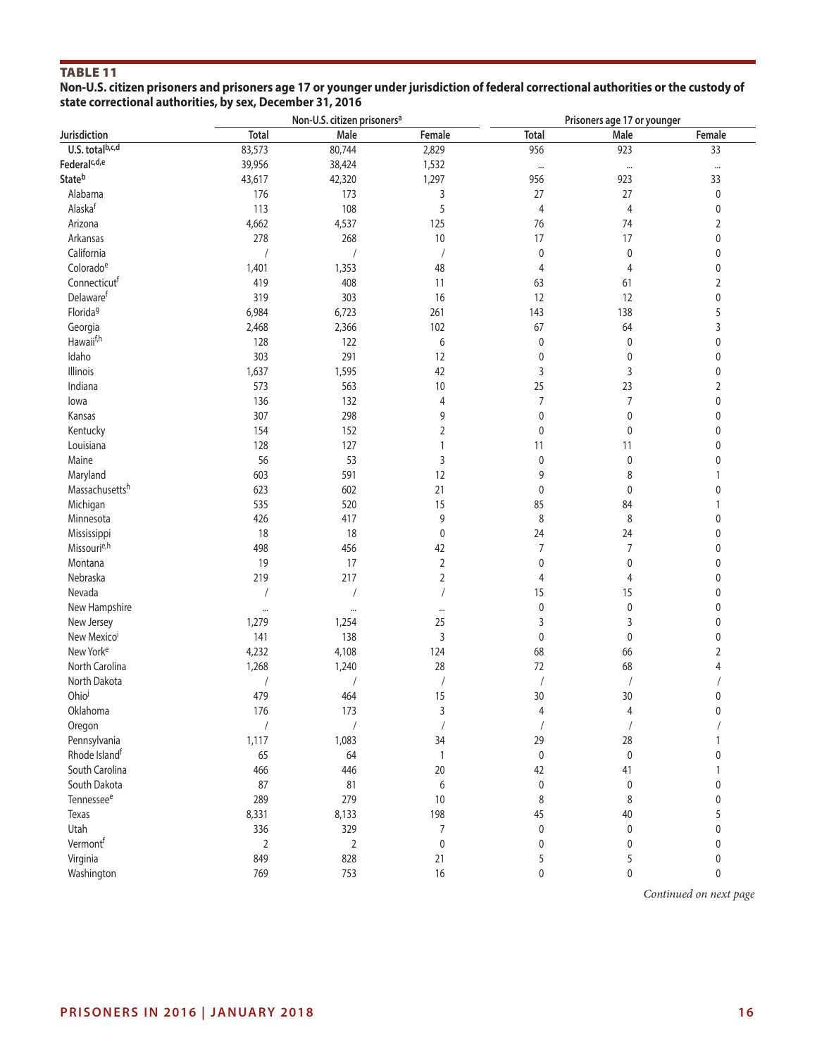# Table 11

**Non-U.S. citizen prisoners and prisoners age 17 or younger under jurisdiction of federal correctional authorities or the custody of state correctional authorities, by sex, December 31, 2016**

|                          |                | Non-U.S. citizen prisoners <sup>a</sup> |                | Prisoners age 17 or younger |                |              |  |  |
|--------------------------|----------------|-----------------------------------------|----------------|-----------------------------|----------------|--------------|--|--|
| Jurisdiction             | <b>Total</b>   | Male                                    | Female         | <b>Total</b>                | Male           | Female       |  |  |
| U.S. totalb,c,d          | 83,573         | 80,744                                  | 2,829          | 956                         | 923            | 33           |  |  |
| Federal <sup>c,d,e</sup> | 39,956         | 38,424                                  | 1,532          | $\cdots$                    | $\cdots$       | $\cdots$     |  |  |
| Stateb                   | 43,617         | 42,320                                  | 1,297          | 956                         | 923            | 33           |  |  |
| Alabama                  | 176            | 173                                     | 3              | 27                          | 27             | $\pmb{0}$    |  |  |
| Alaskaf                  | 113            | 108                                     | 5              | $\overline{4}$              | $\overline{4}$ | $\mathbf 0$  |  |  |
| Arizona                  | 4,662          | 4,537                                   | 125            | 76                          | 74             | 2            |  |  |
| Arkansas                 | 278            | 268                                     | $10\,$         | 17                          | 17             | $\mathbf 0$  |  |  |
| California               | $\sqrt{2}$     |                                         |                | 0                           | $\pmb{0}$      | 0            |  |  |
| Colorado <sup>e</sup>    | 1,401          | 1,353                                   | 48             | $\overline{4}$              | 4              | 0            |  |  |
| Connecticutf             | 419            | 408                                     | 11             | 63                          | 61             | $\sqrt{2}$   |  |  |
| Delawaref                | 319            | 303                                     | 16             | 12                          | 12             | 0            |  |  |
| Florida <sup>g</sup>     | 6,984          | 6,723                                   | 261            | 143                         | 138            | 5            |  |  |
| Georgia                  | 2,468          | 2,366                                   | 102            | 67                          | 64             | 3            |  |  |
| Hawaii <sup>f,h</sup>    | 128            | 122                                     | 6              | $\pmb{0}$                   | 0              | 0            |  |  |
| Idaho                    | 303            | 291                                     | 12             | $\pmb{0}$                   | 0              | $\mathbf 0$  |  |  |
| Illinois                 | 1,637          | 1,595                                   | 42             | 3                           | 3              | 0            |  |  |
| Indiana                  | 573            | 563                                     | $10$           | 25                          | 23             |              |  |  |
|                          |                |                                         |                |                             |                | 2            |  |  |
| lowa                     | 136            | 132                                     | 4              | $\boldsymbol{7}$            | $\overline{7}$ | $\pmb{0}$    |  |  |
| Kansas                   | 307            | 298                                     | 9              | $\pmb{0}$                   | $\pmb{0}$      | 0            |  |  |
| Kentucky                 | 154            | 152                                     | 2              | $\pmb{0}$                   | $\pmb{0}$      | 0            |  |  |
| Louisiana                | 128            | 127                                     | $\mathbf{1}$   | 11                          | 11             | $\mathbf 0$  |  |  |
| Maine                    | 56             | 53                                      | 3              | $\pmb{0}$                   | $\pmb{0}$      | 0            |  |  |
| Maryland                 | 603            | 591                                     | 12             | 9                           | 8              |              |  |  |
| Massachusettsh           | 623            | 602                                     | 21             | $\pmb{0}$                   | 0              | 0            |  |  |
| Michigan                 | 535            | 520                                     | 15             | 85                          | 84             | $\mathbf{1}$ |  |  |
| Minnesota                | 426            | 417                                     | 9              | 8                           | 8              | 0            |  |  |
| Mississippi              | 18             | 18                                      | $\pmb{0}$      | 24                          | 24             | 0            |  |  |
| Missouri <sup>e,h</sup>  | 498            | 456                                     | 42             | $\overline{7}$              | 7              | $\mathbf 0$  |  |  |
| Montana                  | 19             | 17                                      | $\overline{2}$ | $\pmb{0}$                   | 0              | 0            |  |  |
| Nebraska                 | 219            | 217                                     | 2              | 4                           | 4              | 0            |  |  |
| Nevada                   |                | $\sqrt{2}$                              |                | 15                          | 15             | 0            |  |  |
| New Hampshire            | $\cdots$       |                                         |                | $\pmb{0}$                   | $\pmb{0}$      | 0            |  |  |
| New Jersey               | 1,279          | 1,254                                   | 25             | 3                           | 3              | 0            |  |  |
| New Mexico <sup>i</sup>  | 141            | 138                                     | 3              | $\mathbf 0$                 | $\mathbf 0$    | 0            |  |  |
| New York <sup>e</sup>    | 4,232          | 4,108                                   | 124            | 68                          | 66             | 2            |  |  |
| North Carolina           | 1,268          | 1,240                                   | 28             | $72\,$                      | 68             | 4            |  |  |
| North Dakota             | $\sqrt{2}$     |                                         |                | $\sqrt{2}$                  |                |              |  |  |
| Ohio                     | 479            | 464                                     | 15             | 30                          | 30             | 0            |  |  |
| Oklahoma                 | 176            | 173                                     | 3              | $\overline{4}$              | 4              | 0            |  |  |
| Oregon                   |                |                                         |                |                             |                |              |  |  |
| Pennsylvania             | 1,117          | 1,083                                   | 34             | 29                          | 28             |              |  |  |
| Rhode Islandf            | 65             | 64                                      | $\mathbf{1}$   | $\pmb{0}$                   | $\pmb{0}$      | 0            |  |  |
| South Carolina           | 466            | 446                                     | $20\,$         | 42                          | 41             |              |  |  |
| South Dakota             | 87             | 81                                      | 6              | $\pmb{0}$                   | 0              | 0            |  |  |
| Tennessee <sup>e</sup>   | 289            | 279                                     | $10$           | 8                           | 8              | 0            |  |  |
|                          |                |                                         | 198            | 45                          | 40             | 5            |  |  |
| Texas<br>Utah            | 8,331          | 8,133                                   |                |                             |                |              |  |  |
|                          | 336            | 329                                     | $\overline{7}$ | $\mathbf 0$                 | 0              | 0            |  |  |
| Vermontf                 | $\overline{2}$ | $\overline{2}$                          | 0              | 0                           | 0              | 0            |  |  |
| Virginia                 | 849            | 828                                     | 21             | 5                           | 5              | 0            |  |  |
| Washington               | 769            | 753                                     | 16             | 0                           | 0              | 0            |  |  |

*Continued on next page*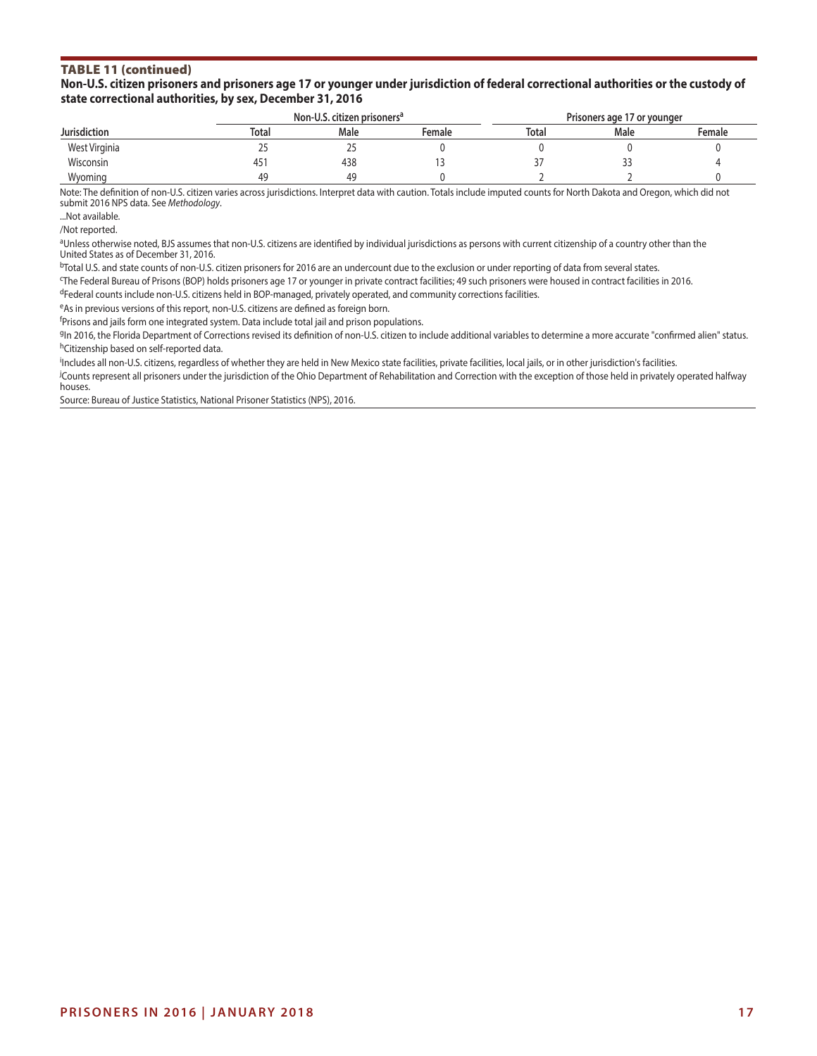# TABLE 11 (continued)

#### **Non-U.S. citizen prisoners and prisoners age 17 or younger under jurisdiction of federal correctional authorities or the custody of state correctional authorities, by sex, December 31, 2016**

|                     |       | Non-U.S. citizen prisoners <sup>a</sup> |        | Prisoners age 17 or younger |      |        |  |
|---------------------|-------|-----------------------------------------|--------|-----------------------------|------|--------|--|
| <b>Jurisdiction</b> | Total | Male                                    | Female | Total                       | Male | Female |  |
| West Virginia       |       |                                         |        |                             |      |        |  |
| Wisconsin           | 45    | 438                                     |        |                             | --   |        |  |
| Wyoming             | 49    | ΔQ                                      |        |                             |      |        |  |

Note: The definition of non-U.S. citizen varies across jurisdictions. Interpret data with caution. Totals include imputed counts for North Dakota and Oregon, which did not submit 2016 NPS data. See *Methodology*.

...Not available.

/Not reported.

aUnless otherwise noted, BJS assumes that non-U.S. citizens are identified by individual jurisdictions as persons with current citizenship of a country other than the United States as of December 31, 2016.

 $bT$ otal U.S. and state counts of non-U.S. citizen prisoners for 2016 are an undercount due to the exclusion or under reporting of data from several states.

c The Federal Bureau of Prisons (BOP) holds prisoners age 17 or younger in private contract facilities; 49 such prisoners were housed in contract facilities in 2016. dFederal counts include non-U.S. citizens held in BOP-managed, privately operated, and community corrections facilities.

eAs in previous versions of this report, non-U.S. citizens are defined as foreign born.

<sup>f</sup>Prisons and jails form one integrated system. Data include total jail and prison populations.

9In 2016, the Florida Department of Corrections revised its definition of non-U.S. citizen to include additional variables to determine a more accurate "confirmed alien" status. hCitizenship based on self-reported data.

i Includes all non-U.S. citizens, regardless of whether they are held in New Mexico state facilities, private facilities, local jails, or in other jurisdiction's facilities.

j Counts represent all prisoners under the jurisdiction of the Ohio Department of Rehabilitation and Correction with the exception of those held in privately operated halfway houses.

Source: Bureau of Justice Statistics, National Prisoner Statistics (NPS), 2016.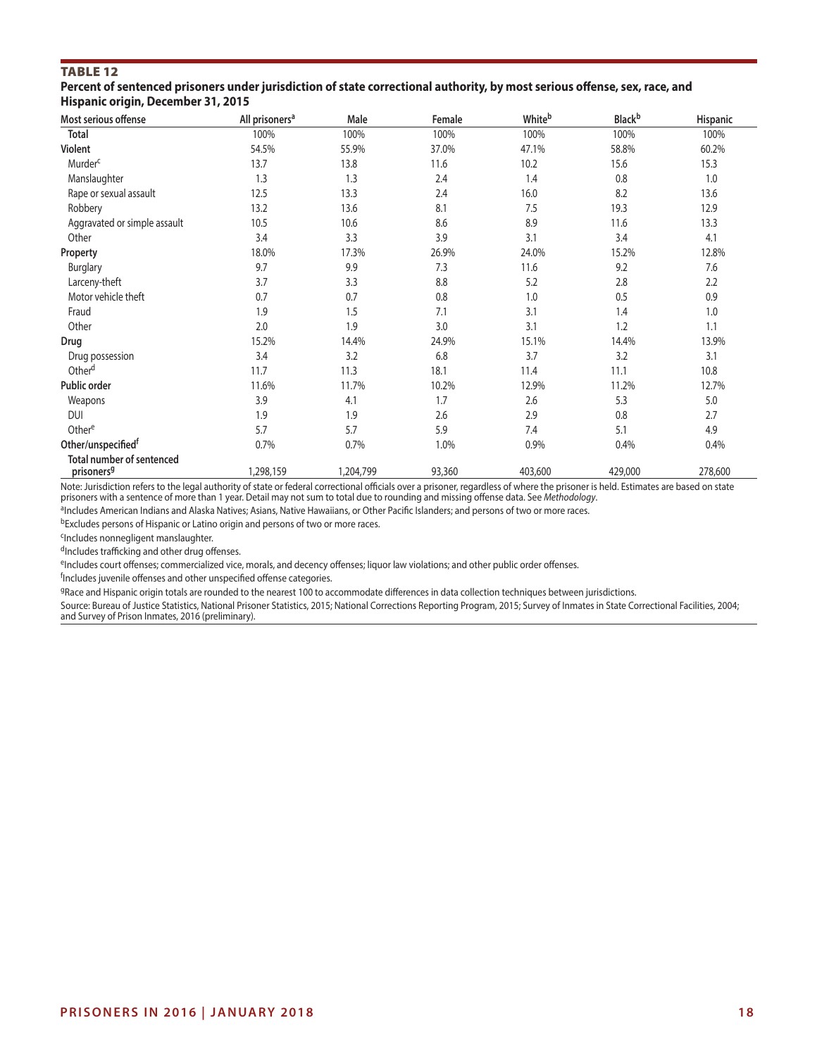# Table 12

**Percent of sentenced prisoners under jurisdiction of state correctional authority, by most serious offense, sex, race, and Hispanic origin, December 31, 2015**

| Most serious offense                                       | All prisoners <sup>a</sup> | Male      | Female | Whiteb  | <b>Black</b> b | Hispanic |
|------------------------------------------------------------|----------------------------|-----------|--------|---------|----------------|----------|
| <b>Total</b>                                               | 100%                       | 100%      | 100%   | 100%    | 100%           | 100%     |
| Violent                                                    | 54.5%                      | 55.9%     | 37.0%  | 47.1%   | 58.8%          | 60.2%    |
| Murder <sup>c</sup>                                        | 13.7                       | 13.8      | 11.6   | 10.2    | 15.6           | 15.3     |
| Manslaughter                                               | 1.3                        | 1.3       | 2.4    | 1.4     | 0.8            | 1.0      |
| Rape or sexual assault                                     | 12.5                       | 13.3      | 2.4    | 16.0    | 8.2            | 13.6     |
| Robbery                                                    | 13.2                       | 13.6      | 8.1    | 7.5     | 19.3           | 12.9     |
| Aggravated or simple assault                               | 10.5                       | 10.6      | 8.6    | 8.9     | 11.6           | 13.3     |
| Other                                                      | 3.4                        | 3.3       | 3.9    | 3.1     | 3.4            | 4.1      |
| Property                                                   | 18.0%                      | 17.3%     | 26.9%  | 24.0%   | 15.2%          | 12.8%    |
| Burglary                                                   | 9.7                        | 9.9       | 7.3    | 11.6    | 9.2            | 7.6      |
| Larceny-theft                                              | 3.7                        | 3.3       | 8.8    | 5.2     | 2.8            | 2.2      |
| Motor vehicle theft                                        | 0.7                        | 0.7       | 0.8    | 1.0     | 0.5            | 0.9      |
| Fraud                                                      | 1.9                        | 1.5       | 7.1    | 3.1     | 1.4            | 1.0      |
| Other                                                      | 2.0                        | 1.9       | 3.0    | 3.1     | 1.2            | 1.1      |
| Drug                                                       | 15.2%                      | 14.4%     | 24.9%  | 15.1%   | 14.4%          | 13.9%    |
| Drug possession                                            | 3.4                        | 3.2       | 6.8    | 3.7     | 3.2            | 3.1      |
| Other <sup>d</sup>                                         | 11.7                       | 11.3      | 18.1   | 11.4    | 11.1           | 10.8     |
| Public order                                               | 11.6%                      | 11.7%     | 10.2%  | 12.9%   | 11.2%          | 12.7%    |
| Weapons                                                    | 3.9                        | 4.1       | 1.7    | 2.6     | 5.3            | 5.0      |
| <b>DUI</b>                                                 | 1.9                        | 1.9       | 2.6    | 2.9     | 0.8            | 2.7      |
| Othere                                                     | 5.7                        | 5.7       | 5.9    | 7.4     | 5.1            | 4.9      |
| Other/unspecifiedf                                         | 0.7%                       | 0.7%      | 1.0%   | 0.9%    | 0.4%           | 0.4%     |
| <b>Total number of sentenced</b><br>prisoners <sup>9</sup> | 1,298,159                  | 1,204,799 | 93,360 | 403,600 | 429,000        | 278,600  |

Note: Jurisdiction refers to the legal authority of state or federal correctional officials over a prisoner, regardless of where the prisoner is held. Estimates are based on state prisoners with a sentence of more than 1 year. Detail may not sum to total due to rounding and missing offense data. See Methodology.

aIncludes American Indians and Alaska Natives; Asians, Native Hawaiians, or Other Pacific Islanders; and persons of two or more races.

bExcludes persons of Hispanic or Latino origin and persons of two or more races.

cIncludes nonnegligent manslaughter.

dIncludes trafficking and other drug offenses.

eIncludes court offenses; commercialized vice, morals, and decency offenses; liquor law violations; and other public order offenses.

<sup>f</sup>Includes juvenile offenses and other unspecified offense categories.

9Race and Hispanic origin totals are rounded to the nearest 100 to accommodate differences in data collection techniques between jurisdictions.

Source: Bureau of Justice Statistics, National Prisoner Statistics, 2015; National Corrections Reporting Program, 2015; Survey of Inmates in State Correctional Facilities, 2004; and Survey of Prison Inmates, 2016 (preliminary).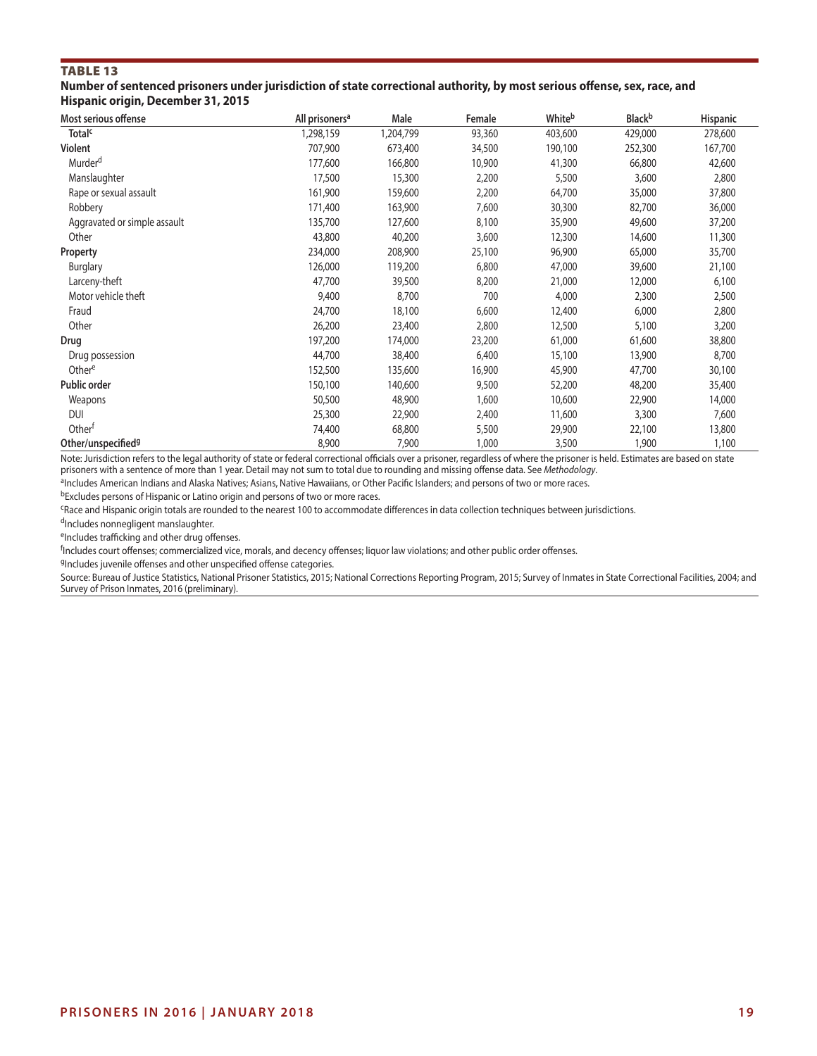### TABLE 13

**Number of sentenced prisoners under jurisdiction of state correctional authority, by most serious offense, sex, race, and Hispanic origin, December 31, 2015**

| Most serious offense           | All prisoners <sup>a</sup> | Male      | Female | Whiteb  | <b>Black</b> b | <b>Hispanic</b> |
|--------------------------------|----------------------------|-----------|--------|---------|----------------|-----------------|
| <b>Total<sup>c</sup></b>       | 1,298,159                  | 1,204,799 | 93,360 | 403,600 | 429,000        | 278,600         |
| Violent                        | 707,900                    | 673,400   | 34,500 | 190,100 | 252,300        | 167,700         |
| Murder <sup>d</sup>            | 177,600                    | 166,800   | 10,900 | 41,300  | 66,800         | 42,600          |
| Manslaughter                   | 17,500                     | 15,300    | 2,200  | 5,500   | 3,600          | 2,800           |
| Rape or sexual assault         | 161,900                    | 159,600   | 2,200  | 64,700  | 35,000         | 37,800          |
| Robbery                        | 171,400                    | 163,900   | 7,600  | 30,300  | 82,700         | 36,000          |
| Aggravated or simple assault   | 135,700                    | 127,600   | 8,100  | 35,900  | 49,600         | 37,200          |
| Other                          | 43,800                     | 40,200    | 3,600  | 12,300  | 14,600         | 11,300          |
| Property                       | 234,000                    | 208,900   | 25,100 | 96,900  | 65,000         | 35,700          |
| <b>Burglary</b>                | 126,000                    | 119,200   | 6,800  | 47,000  | 39,600         | 21,100          |
| Larceny-theft                  | 47,700                     | 39,500    | 8,200  | 21,000  | 12,000         | 6,100           |
| Motor vehicle theft            | 9,400                      | 8,700     | 700    | 4,000   | 2,300          | 2,500           |
| Fraud                          | 24,700                     | 18,100    | 6,600  | 12,400  | 6,000          | 2,800           |
| Other                          | 26,200                     | 23,400    | 2,800  | 12,500  | 5,100          | 3,200           |
| Drug                           | 197,200                    | 174,000   | 23,200 | 61,000  | 61,600         | 38,800          |
| Drug possession                | 44,700                     | 38,400    | 6,400  | 15,100  | 13,900         | 8,700           |
| Othere                         | 152,500                    | 135,600   | 16,900 | 45,900  | 47,700         | 30,100          |
| Public order                   | 150,100                    | 140,600   | 9,500  | 52,200  | 48,200         | 35,400          |
| Weapons                        | 50,500                     | 48,900    | 1,600  | 10,600  | 22,900         | 14,000          |
| <b>DUI</b>                     | 25,300                     | 22,900    | 2,400  | 11,600  | 3,300          | 7,600           |
| Other <sup>f</sup>             | 74,400                     | 68,800    | 5,500  | 29,900  | 22,100         | 13,800          |
| Other/unspecified <sup>9</sup> | 8,900                      | 7,900     | 1,000  | 3,500   | 1,900          | 1,100           |

Note: Jurisdiction refers to the legal authority of state or federal correctional officials over a prisoner, regardless of where the prisoner is held. Estimates are based on state prisoners with a sentence of more than 1 year. Detail may not sum to total due to rounding and missing offense data. See *Methodology*.

aIncludes American Indians and Alaska Natives; Asians, Native Hawaiians, or Other Pacific Islanders; and persons of two or more races.

bExcludes persons of Hispanic or Latino origin and persons of two or more races.

cRace and Hispanic origin totals are rounded to the nearest 100 to accommodate differences in data collection techniques between jurisdictions.

dIncludes nonnegligent manslaughter.

eIncludes trafficking and other drug offenses.

f Includes court offenses; commercialized vice, morals, and decency offenses; liquor law violations; and other public order offenses.

9Includes juvenile offenses and other unspecified offense categories.

Source: Bureau of Justice Statistics, National Prisoner Statistics, 2015; National Corrections Reporting Program, 2015; Survey of Inmates in State Correctional Facilities, 2004; and Survey of Prison Inmates, 2016 (preliminary).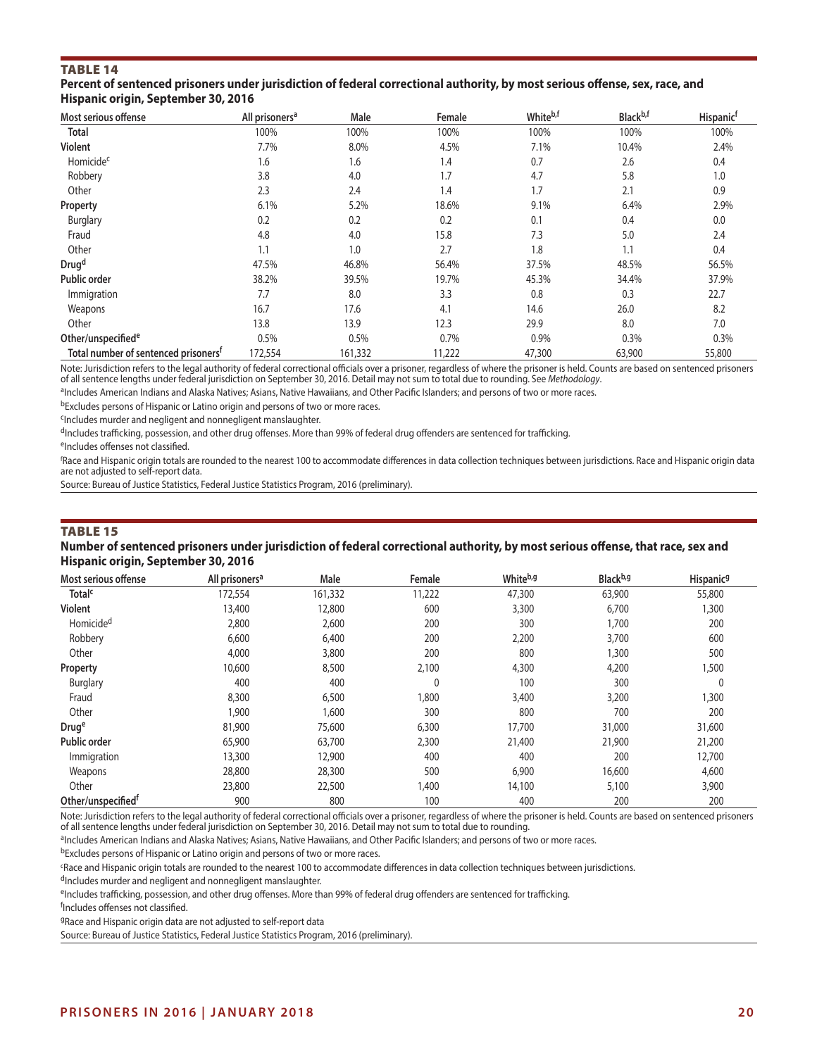# TABLE 14

#### **Percent of sentenced prisoners under jurisdiction of federal correctional authority, by most serious offense, sex, race, and Hispanic origin, September 30, 2016**

| Most serious offense                             | All prisoners <sup>a</sup> | Male    | Female | Whiteb,f | Black <sup>b,f</sup> | <b>Hispanic<sup>f</sup></b> |
|--------------------------------------------------|----------------------------|---------|--------|----------|----------------------|-----------------------------|
| Total                                            | 100%                       | 100%    | 100%   | 100%     | 100%                 | 100%                        |
| <b>Violent</b>                                   | 7.7%                       | 8.0%    | 4.5%   | 7.1%     | 10.4%                | 2.4%                        |
| Homicide <sup>c</sup>                            | 1.6                        | 1.6     | 1.4    | 0.7      | 2.6                  | 0.4                         |
| Robbery                                          | 3.8                        | 4.0     | 1.7    | 4.7      | 5.8                  | 1.0                         |
| Other                                            | 2.3                        | 2.4     | 1.4    | 1.7      | 2.1                  | 0.9                         |
| Property                                         | 6.1%                       | 5.2%    | 18.6%  | 9.1%     | 6.4%                 | 2.9%                        |
| Burglary                                         | 0.2                        | 0.2     | 0.2    | 0.1      | 0.4                  | 0.0                         |
| Fraud                                            | 4.8                        | 4.0     | 15.8   | 7.3      | 5.0                  | 2.4                         |
| Other                                            | 1.1                        | 1.0     | 2.7    | 1.8      | 1.1                  | 0.4                         |
| Drug <sup>d</sup>                                | 47.5%                      | 46.8%   | 56.4%  | 37.5%    | 48.5%                | 56.5%                       |
| <b>Public order</b>                              | 38.2%                      | 39.5%   | 19.7%  | 45.3%    | 34.4%                | 37.9%                       |
| Immigration                                      | 7.7                        | 8.0     | 3.3    | 0.8      | 0.3                  | 22.7                        |
| Weapons                                          | 16.7                       | 17.6    | 4.1    | 14.6     | 26.0                 | 8.2                         |
| Other                                            | 13.8                       | 13.9    | 12.3   | 29.9     | 8.0                  | 7.0                         |
| Other/unspecified <sup>e</sup>                   | 0.5%                       | 0.5%    | 0.7%   | 0.9%     | 0.3%                 | 0.3%                        |
| Total number of sentenced prisoners <sup>f</sup> | 172,554                    | 161,332 | 11,222 | 47,300   | 63,900               | 55,800                      |

Note: Jurisdiction refers to the legal authority of federal correctional officials over a prisoner, regardless of where the prisoner is held. Counts are based on sentenced prisoners of all sentence lengths under federal jurisdiction on September 30, 2016. Detail may not sum to total due to rounding. See *Methodology*.

aIncludes American Indians and Alaska Natives; Asians, Native Hawaiians, and Other Pacific Islanders; and persons of two or more races. bExcludes persons of Hispanic or Latino origin and persons of two or more races.

cIncludes murder and negligent and nonnegligent manslaughter.

dIncludes trafficking, possession, and other drug offenses. More than 99% of federal drug offenders are sentenced for trafficking.

eIncludes offenses not classified.

f Race and Hispanic origin totals are rounded to the nearest 100 to accommodate differences in data collection techniques between jurisdictions. Race and Hispanic origin data are not adjusted to self-report data.

Source: Bureau of Justice Statistics, Federal Justice Statistics Program, 2016 (preliminary).

#### TABLE 15

#### **Number of sentenced prisoners under jurisdiction of federal correctional authority, by most serious offense, that race, sex and Hispanic origin, September 30, 2016**

| Most serious offense           | All prisoners <sup>a</sup> | Male    | Female       | Whiteb,g | Black <sup>b,g</sup> | Hispanic <sup>9</sup> |
|--------------------------------|----------------------------|---------|--------------|----------|----------------------|-----------------------|
| <b>Total<sup>c</sup></b>       | 172,554                    | 161,332 | 11,222       | 47,300   | 63,900               | 55,800                |
| <b>Violent</b>                 | 13,400                     | 12,800  | 600          | 3,300    | 6,700                | 1,300                 |
| Homicide <sup>d</sup>          | 2,800                      | 2,600   | 200          | 300      | 1,700                | 200                   |
| Robbery                        | 6,600                      | 6,400   | 200          | 2,200    | 3,700                | 600                   |
| Other                          | 4,000                      | 3,800   | 200          | 800      | 1,300                | 500                   |
| Property                       | 10,600                     | 8,500   | 2,100        | 4,300    | 4,200                | 1,500                 |
| <b>Burglary</b>                | 400                        | 400     | $\mathbf{0}$ | 100      | 300                  | $\mathbf 0$           |
| Fraud                          | 8,300                      | 6,500   | ,800         | 3,400    | 3,200                | 1,300                 |
| Other                          | 1,900                      | 1,600   | 300          | 800      | 700                  | 200                   |
| Druge                          | 81,900                     | 75,600  | 6,300        | 17,700   | 31,000               | 31,600                |
| Public order                   | 65,900                     | 63,700  | 2,300        | 21,400   | 21,900               | 21,200                |
| Immigration                    | 13,300                     | 12,900  | 400          | 400      | 200                  | 12,700                |
| Weapons                        | 28,800                     | 28,300  | 500          | 6,900    | 16,600               | 4,600                 |
| Other                          | 23,800                     | 22,500  | 1,400        | 14,100   | 5,100                | 3,900                 |
| Other/unspecified <sup>t</sup> | 900                        | 800     | 100          | 400      | 200                  | 200                   |

Note: Jurisdiction refers to the legal authority of federal correctional officials over a prisoner, regardless of where the prisoner is held. Counts are based on sentenced prisoners of all sentence lengths under federal jurisdiction on September 30, 2016. Detail may not sum to total due to rounding.

aIncludes American Indians and Alaska Natives; Asians, Native Hawaiians, and Other Pacific Islanders; and persons of two or more races.

bExcludes persons of Hispanic or Latino origin and persons of two or more races.

cRace and Hispanic origin totals are rounded to the nearest 100 to accommodate differences in data collection techniques between jurisdictions.

dIncludes murder and negligent and nonnegligent manslaughter.

eIncludes trafficking, possession, and other drug offenses. More than 99% of federal drug offenders are sentenced for trafficking.

f Includes offenses not classified.

gRace and Hispanic origin data are not adjusted to self-report data

Source: Bureau of Justice Statistics, Federal Justice Statistics Program, 2016 (preliminary).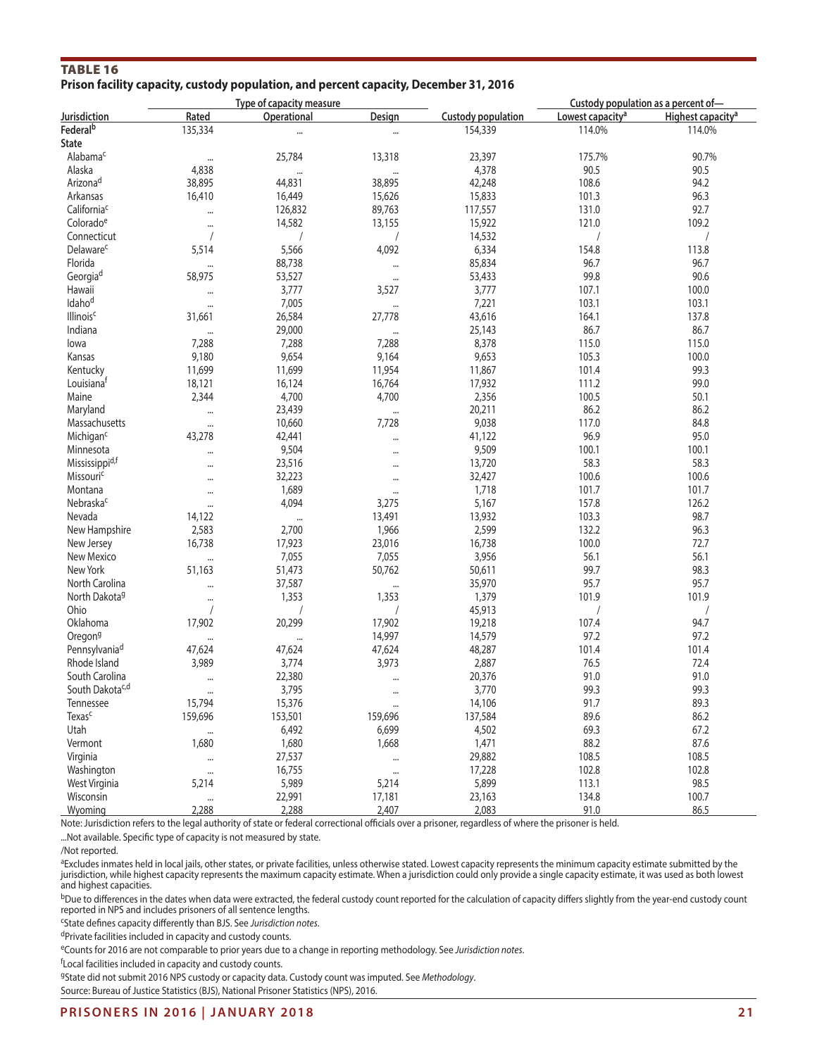# Table 16 **Prison facility capacity, custody population, and percent capacity, December 31, 2016**

|                             |                    | Type of capacity measure |               |                    | Custody population as a percent of- |                               |  |
|-----------------------------|--------------------|--------------------------|---------------|--------------------|-------------------------------------|-------------------------------|--|
| Jurisdiction                | Rated              | Operational              | <b>Design</b> | Custody population | Lowest capacity <sup>a</sup>        | Highest capacity <sup>a</sup> |  |
| Federal <sup>b</sup>        | 135,334            | $\cdots$                 |               | 154,339            | 114.0%                              | 114.0%                        |  |
| State                       |                    |                          |               |                    |                                     |                               |  |
| Alabama <sup>c</sup>        | $\cdots$           | 25,784                   | 13,318        | 23,397             | 175.7%                              | 90.7%                         |  |
| Alaska                      | 4,838              |                          |               | 4,378              | 90.5                                | 90.5                          |  |
| Arizonad                    | 38,895             | 44,831                   | 38,895        | 42,248             | 108.6                               | 94.2                          |  |
| Arkansas                    | 16,410             | 16,449                   | 15,626        | 15,833             | 101.3                               | 96.3                          |  |
| California <sup>c</sup>     |                    | 126,832                  | 89,763        | 117,557            | 131.0                               | 92.7                          |  |
| Colorado <sup>e</sup>       |                    | 14,582                   | 13,155        | 15,922             | 121.0                               | 109.2                         |  |
| Connecticut                 |                    |                          |               | 14,532             |                                     | $\sqrt{2}$                    |  |
| Delaware <sup>c</sup>       |                    |                          | 4,092         | 6,334              |                                     | 113.8                         |  |
| Florida                     | 5,514              | 5,566                    |               |                    | 154.8                               | 96.7                          |  |
|                             |                    | 88,738                   |               | 85,834             | 96.7                                |                               |  |
| Georgiad                    | 58,975             | 53,527                   | $\cdots$      | 53,433             | 99.8                                | 90.6                          |  |
| Hawaii                      |                    | 3,777                    | 3,527         | 3,777              | 107.1                               | 100.0                         |  |
| Idaho <sup>d</sup>          |                    | 7,005                    |               | 7,221              | 103.1                               | 103.1                         |  |
| <b>Illinois<sup>c</sup></b> | 31,661             | 26,584                   | 27,778        | 43,616             | 164.1                               | 137.8                         |  |
| Indiana                     |                    | 29,000                   | $\cdots$      | 25,143             | 86.7                                | 86.7                          |  |
| lowa                        | 7,288              | 7,288                    | 7,288         | 8,378              | 115.0                               | 115.0                         |  |
| Kansas                      | 9,180              | 9,654                    | 9,164         | 9,653              | 105.3                               | 100.0                         |  |
| Kentucky                    | 11,699             | 11,699                   | 11,954        | 11,867             | 101.4                               | 99.3                          |  |
| Louisiana <sup>t</sup>      | 18,121             | 16,124                   | 16,764        | 17,932             | 111.2                               | 99.0                          |  |
| Maine                       | 2,344              | 4,700                    | 4,700         | 2,356              | 100.5                               | 50.1                          |  |
| Maryland                    | $\cdots$           | 23,439                   | $\cdots$      | 20,211             | 86.2                                | 86.2                          |  |
| Massachusetts               |                    | 10,660                   | 7,728         | 9,038              | 117.0                               | 84.8                          |  |
| Michigan <sup>c</sup>       | 43,278             | 42,441                   | $\cdots$      | 41,122             | 96.9                                | 95.0                          |  |
| Minnesota                   |                    | 9,504                    |               | 9,509              | 100.1                               | 100.1                         |  |
| Mississippi <sup>d,f</sup>  |                    | 23,516                   |               | 13,720             | 58.3                                | 58.3                          |  |
| Missouric                   |                    | 32,223                   |               | 32,427             | 100.6                               | 100.6                         |  |
| Montana                     |                    | 1,689                    | $\cdots$      | 1,718              | 101.7                               | 101.7                         |  |
| Nebraskac                   |                    | 4,094                    | 3,275         | 5,167              | 157.8                               | 126.2                         |  |
| Nevada                      | 14,122             | $\cdots$                 | 13,491        | 13,932             | 103.3                               | 98.7                          |  |
| New Hampshire               | 2,583              | 2,700                    | 1,966         | 2,599              | 132.2                               | 96.3                          |  |
| New Jersey                  | 16,738             | 17,923                   | 23,016        | 16,738             | 100.0                               | 72.7                          |  |
| New Mexico                  | $\cdots$           | 7,055                    | 7,055         | 3,956              | 56.1                                | 56.1                          |  |
| New York                    | 51,163             | 51,473                   | 50,762        | 50,611             | 99.7                                | 98.3                          |  |
| North Carolina              |                    | 37,587                   |               | 35,970             | 95.7                                | 95.7                          |  |
| North Dakota <sup>g</sup>   |                    | 1,353                    | 1,353         | 1,379              | 101.9                               | 101.9                         |  |
| Ohio                        | $\sqrt{2}$         |                          | $\sqrt{2}$    | 45,913             | $\sqrt{2}$                          | $\sqrt{2}$                    |  |
| Oklahoma                    | 17,902             | 20,299                   | 17,902        | 19,218             | 107.4                               | 94.7                          |  |
| Oregon <sup>g</sup>         |                    |                          | 14,997        | 14,579             | 97.2                                | 97.2                          |  |
| Pennsylvania <sup>d</sup>   | $\cdots$<br>47,624 | $\cdots$<br>47,624       | 47,624        | 48,287             | 101.4                               | 101.4                         |  |
| Rhode Island                | 3,989              | 3,774                    | 3,973         | 2,887              | 76.5                                | 72.4                          |  |
| South Carolina              |                    | 22,380                   |               | 20,376             | 91.0                                | 91.0                          |  |
| South Dakotac,d             |                    | 3,795                    |               | 3,770              | 99.3                                | 99.3                          |  |
| Tennessee                   | 15,794             | 15,376                   |               | 14,106             | 91.7                                | 89.3                          |  |
| Texas <sup>c</sup>          |                    |                          | $\cdots$      |                    |                                     |                               |  |
|                             | 159,696            | 153,501                  | 159,696       | 137,584            | 89.6                                | 86.2                          |  |
| Utah                        |                    | 6,492                    | 6,699         | 4,502              | 69.3                                | 67.2                          |  |
| Vermont                     | 1,680              | 1,680                    | 1,668         | 1,471              | 88.2                                | 87.6                          |  |
| Virginia                    | $\cdots$           | 27,537                   | $\cdots$      | 29,882             | 108.5                               | 108.5                         |  |
| Washington                  | $\cdots$           | 16,755                   | $\cdots$      | 17,228             | 102.8                               | 102.8                         |  |
| West Virginia               | 5,214              | 5,989                    | 5,214         | 5,899              | 113.1                               | 98.5                          |  |
| Wisconsin                   | $\cdots$           | 22,991                   | 17,181        | 23,163             | 134.8                               | 100.7                         |  |
| Wyoming                     | 2,288              | 2,288                    | 2,407         | 2,083              | 91.0                                | 86.5                          |  |

Note: Jurisdiction refers to the legal authority of state or federal correctional officials over a prisoner, regardless of where the prisoner is held.

...Not available. Specific type of capacity is not measured by state.

aExcludes inmates held in local jails, other states, or private facilities, unless otherwise stated. Lowest capacity represents the minimum capacity estimate submitted by the jurisdiction, while highest capacity represents the maximum capacity estimate. When a jurisdiction could only provide a single capacity estimate, it was used as both lowest and highest capacities.

<sup>b</sup>Due to differences in the dates when data were extracted, the federal custody count reported for the calculation of capacity differs slightly from the year-end custody count reported in NPS and includes prisoners of all sentence lengths.

cState defines capacity differently than BJS. See *Jurisdiction notes*.

dPrivate facilities included in capacity and custody counts.

eCounts for 2016 are not comparable to prior years due to a change in reporting methodology. See *Jurisdiction notes*.

f Local facilities included in capacity and custody counts.

gState did not submit 2016 NPS custody or capacity data. Custody count was imputed. See *Methodology*.

Source: Bureau of Justice Statistics (BJS), National Prisoner Statistics (NPS), 2016.

<sup>/</sup>Not reported.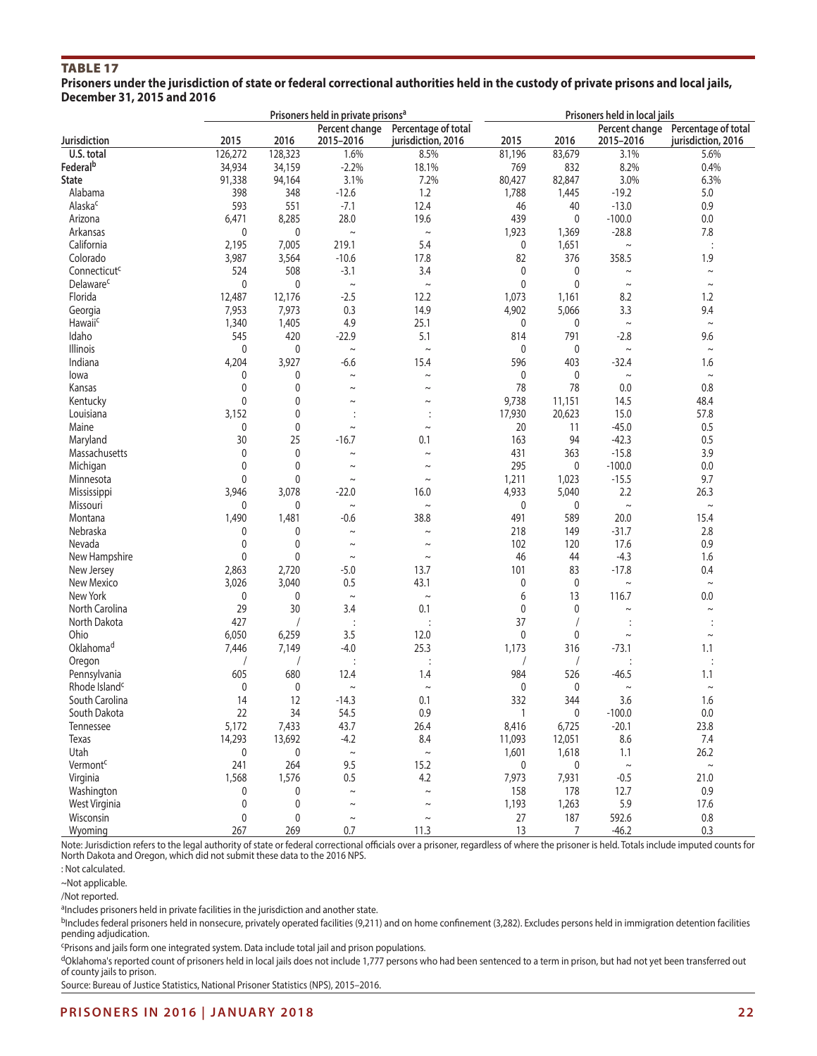# TABLE 17

**Prisoners under the jurisdiction of state or federal correctional authorities held in the custody of private prisons and local jails, December 31, 2015 and 2016**

|                           |              |              | Prisoners held in private prisons <sup>a</sup> |                                           | Prisoners held in local jails |             |                             |                                           |  |
|---------------------------|--------------|--------------|------------------------------------------------|-------------------------------------------|-------------------------------|-------------|-----------------------------|-------------------------------------------|--|
| Jurisdiction              | 2015         | 2016         | Percent change<br>2015-2016                    | Percentage of total<br>jurisdiction, 2016 | 2015                          | 2016        | Percent change<br>2015-2016 | Percentage of total<br>jurisdiction, 2016 |  |
| U.S. total                | 126,272      | 128,323      | 1.6%                                           | 8.5%                                      | 81,196                        | 83,679      | 3.1%                        | 5.6%                                      |  |
| Federal <sup>b</sup>      | 34,934       | 34,159       | $-2.2%$                                        | 18.1%                                     | 769                           | 832         | 8.2%                        | 0.4%                                      |  |
| State                     | 91,338       | 94,164       | 3.1%                                           | 7.2%                                      | 80,427                        | 82,847      | 3.0%                        | 6.3%                                      |  |
| Alabama                   | 398          | 348          | $-12.6$                                        | 1.2                                       | 1,788                         | 1,445       | $-19.2$                     | 5.0                                       |  |
| Alaska <sup>c</sup>       | 593          | 551          | $-7.1$                                         | 12.4                                      | 46                            | 40          | $-13.0$                     | 0.9                                       |  |
| Arizona                   | 6,471        | 8,285        | 28.0                                           | 19.6                                      | 439                           | $\mathbf 0$ | $-100.0$                    | 0.0                                       |  |
| Arkansas                  | 0            | 0            | $\thicksim$                                    | $\thicksim$                               | 1,923                         | 1,369       | $-28.8$                     | 7.8                                       |  |
| California                | 2,195        | 7,005        | 219.1                                          | 5.4                                       | 0                             | 1,651       | $\sim$                      |                                           |  |
| Colorado                  | 3,987        | 3,564        | $-10.6$                                        | 17.8                                      | 82                            | 376         | 358.5                       | 1.9                                       |  |
| Connecticut <sup>c</sup>  | 524          | 508          | $-3.1$                                         | 3.4                                       | 0                             | 0           | $\sim$                      | $\sim$                                    |  |
| Delaware <sup>c</sup>     | 0            | $\mathbf 0$  | $\thicksim$                                    | $\sim$                                    | 0                             | $\mathbf 0$ | $\sim$                      | $\thicksim$                               |  |
| Florida                   |              |              | $-2.5$                                         | 12.2                                      |                               |             |                             | 1.2                                       |  |
|                           | 12,487       | 12,176       |                                                |                                           | 1,073                         | 1,161       | 8.2                         |                                           |  |
| Georgia                   | 7,953        | 7,973        | 0.3                                            | 14.9                                      | 4,902                         | 5,066       | 3.3                         | 9.4                                       |  |
| Hawaiic                   | 1,340        | 1,405        | 4.9                                            | 25.1                                      | 0                             | 0           | $\sim$                      | $\thicksim$                               |  |
| Idaho                     | 545          | 420          | $-22.9$                                        | 5.1                                       | 814                           | 791         | $-2.8$                      | 9.6                                       |  |
| Illinois                  | $\mathbf 0$  | $\mathbf 0$  | $\sim$                                         | $\sim$                                    | 0                             | 0           | $\sim$                      | $\sim$                                    |  |
| Indiana                   | 4,204        | 3,927        | $-6.6$                                         | 15.4                                      | 596                           | 403         | $-32.4$                     | 1.6                                       |  |
| lowa                      | 0            | 0            | $\sim$                                         | $\sim$                                    | 0                             | 0           | $\sim$                      | $\thicksim$                               |  |
| Kansas                    | 0            | $\mathbf{0}$ | $\sim$                                         | $\sim$                                    | 78                            | 78          | 0.0                         | 0.8                                       |  |
| Kentucky                  | $\mathbf{0}$ | $\mathbf{0}$ | $\sim$                                         | $\sim$                                    | 9,738                         | 11,151      | 14.5                        | 48.4                                      |  |
| Louisiana                 | 3,152        | 0            |                                                |                                           | 17,930                        | 20,623      | 15.0                        | 57.8                                      |  |
| Maine                     | 0            | 0            | $\sim$                                         | $\sim$                                    | 20                            | 11          | $-45.0$                     | 0.5                                       |  |
| Maryland                  | 30           | 25           | $-16.7$                                        | 0.1                                       | 163                           | 94          | $-42.3$                     | 0.5                                       |  |
| Massachusetts             | 0            | $\mathbf 0$  | $\sim$                                         | $\sim$                                    | 431                           | 363         | $-15.8$                     | 3.9                                       |  |
| Michigan                  | $\mathbf{0}$ | $\mathbf{0}$ | $\sim$                                         | $\sim$                                    | 295                           | 0           | $-100.0$                    | 0.0                                       |  |
| Minnesota                 | $\mathbf{0}$ | 0            | $\sim$                                         | $\sim$                                    | 1,211                         | 1,023       | $-15.5$                     | 9.7                                       |  |
| Mississippi               | 3,946        | 3,078        | $-22.0$                                        | 16.0                                      | 4,933                         | 5,040       | 2.2                         | 26.3                                      |  |
| Missouri                  | 0            | 0            | $\thicksim$                                    | $\thicksim$                               | $\mathbf 0$                   | 0           | $\sim$                      | $\thicksim$                               |  |
| Montana                   | 1,490        | 1,481        | $-0.6$                                         | 38.8                                      | 491                           | 589         | 20.0                        | 15.4                                      |  |
| Nebraska                  | 0            | 0            | $\sim$                                         | $\sim$                                    | 218                           | 149         | $-31.7$                     | 2.8                                       |  |
| Nevada                    | $\mathbf 0$  | 0            | $\sim$                                         | $\sim$                                    | 102                           | 120         | 17.6                        | 0.9                                       |  |
| New Hampshire             | $\mathbf 0$  | 0            | $\sim$                                         | $\sim$                                    | 46                            | 44          | $-4.3$                      | 1.6                                       |  |
| New Jersey                | 2,863        | 2,720        | $-5.0$                                         | 13.7                                      | 101                           | 83          | $-17.8$                     | 0.4                                       |  |
| New Mexico                | 3,026        | 3,040        | 0.5                                            | 43.1                                      | 0                             | $\mathbf 0$ | $\thicksim$                 | $\sim$                                    |  |
| New York                  | $\mathbf{0}$ | 0            | $\sim$                                         | $\sim$                                    | 6                             | 13          | 116.7                       | 0.0                                       |  |
| North Carolina            | 29           | 30           | 3.4                                            | 0.1                                       | $\mathbf 0$                   | 0           | $\thicksim$                 | $\sim$                                    |  |
| North Dakota              | 427          |              | $\vdots$                                       | $\ddot{\cdot}$                            | 37                            |             |                             |                                           |  |
| Ohio                      | 6,050        | 6,259        | 3.5                                            | 12.0                                      | $\mathbf 0$                   | 0           | $\thicksim$                 | $\thicksim$                               |  |
| Oklahoma <sup>d</sup>     | 7,446        | 7,149        | $-4.0$                                         | 25.3                                      | 1,173                         | 316         | $-73.1$                     | 1.1                                       |  |
|                           |              |              |                                                |                                           |                               |             |                             |                                           |  |
| Oregon                    |              | 680          | $\ddot{\cdot}$                                 |                                           | 984                           |             |                             |                                           |  |
| Pennsylvania              | 605          |              | 12.4                                           | 1.4                                       |                               | 526         | $-46.5$                     | 1.1                                       |  |
| Rhode Island <sup>c</sup> | 0            | 0            | $\sim$                                         | $\sim$                                    | 0                             | 0           | $\sim$                      | $\thicksim$                               |  |
| South Carolina            | 14           | 12           | $-14.3$                                        | 0.1                                       | 332                           | 344         | 3.6                         | 1.6                                       |  |
| South Dakota              | 22           | 34           | 54.5                                           | 0.9                                       | 1                             | 0           | $-100.0$                    | $0.0\,$                                   |  |
| Tennessee                 | 5,172        | 7,433        | 43.7                                           | 26.4                                      | 8,416                         | 6,725       | $-20.1$                     | 23.8                                      |  |
| Texas                     | 14,293       | 13,692       | $-4.2$                                         | $8.4\,$                                   | 11,093                        | 12,051      | 8.6                         | $7.4\,$                                   |  |
| Utah                      | 0            | 0            | $\thicksim$                                    | $\thicksim$                               | 1,601                         | 1,618       | 1.1                         | 26.2                                      |  |
| Vermont <sup>c</sup>      | 241          | 264          | 9.5                                            | 15.2                                      | 0                             | 0           | $\sim$                      | $\thicksim$                               |  |
| Virginia                  | 1,568        | 1,576        | 0.5                                            | 4.2                                       | 7,973                         | 7,931       | $-0.5$                      | 21.0                                      |  |
| Washington                | 0            | 0            | $\sim$                                         | $\sim$                                    | 158                           | 178         | 12.7                        | $0.9\,$                                   |  |
| West Virginia             | $\pmb{0}$    | 0            | $\thicksim$                                    | $\sim$                                    | 1,193                         | 1,263       | 5.9                         | 17.6                                      |  |
| Wisconsin                 | $\pmb{0}$    | 0            | $\sim$                                         | $\sim$                                    | 27                            | 187         | 592.6                       | $0.8\,$                                   |  |
| Wyoming                   | 267          | 269          | 0.7                                            | 11.3                                      | 13                            | 7           | $-46.2$                     | 0.3                                       |  |

Note: Jurisdiction refers to the legal authority of state or federal correctional officials over a prisoner, regardless of where the prisoner is held. Totals include imputed counts for North Dakota and Oregon, which did not submit these data to the 2016 NPS.

: Not calculated.

~Not applicable.

/Not reported.

aIncludes prisoners held in private facilities in the jurisdiction and another state.

bIncludes federal prisoners held in nonsecure, privately operated facilities (9,211) and on home confinement (3,282). Excludes persons held in immigration detention facilities pending adjudication.

cPrisons and jails form one integrated system. Data include total jail and prison populations.

dOklahoma's reported count of prisoners held in local jails does not include 1,777 persons who had been sentenced to a term in prison, but had not yet been transferred out of county jails to prison.

Source: Bureau of Justice Statistics, National Prisoner Statistics (NPS), 2015–2016.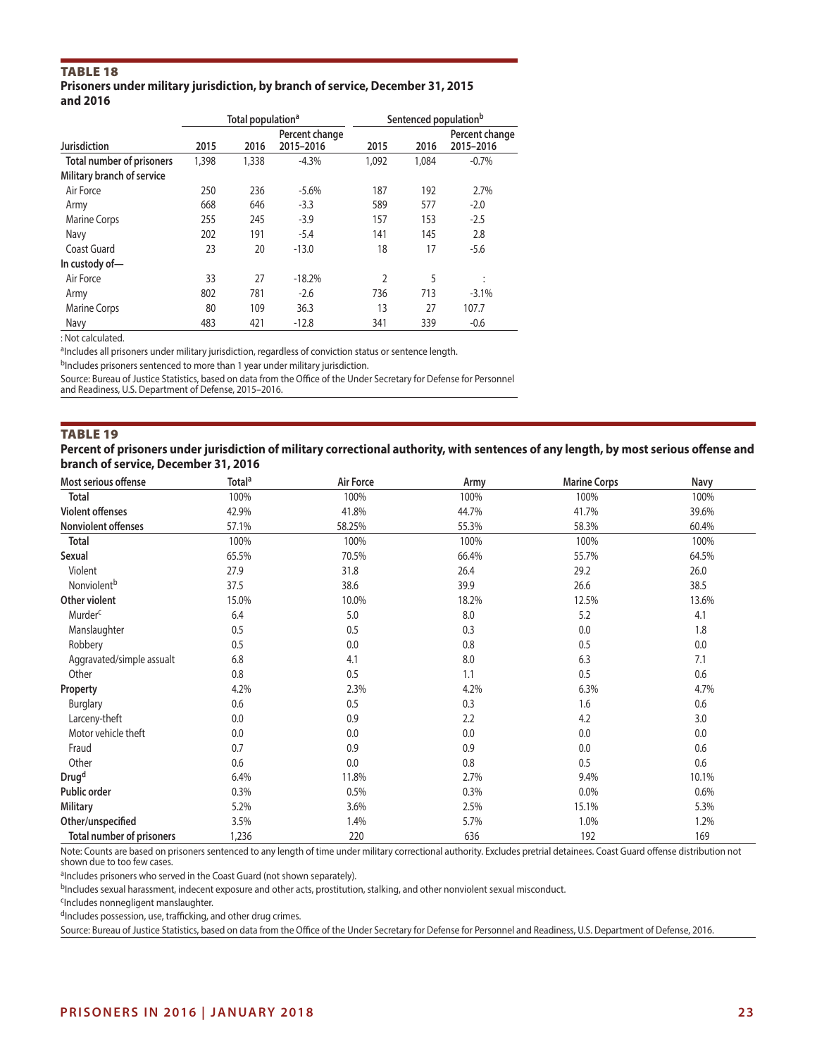## Table 18

#### **Prisoners under military jurisdiction, by branch of service, December 31, 2015 and 2016**

|                            | Total population <sup>a</sup> |       |                | Sentenced population <sup>b</sup> |       |                |  |
|----------------------------|-------------------------------|-------|----------------|-----------------------------------|-------|----------------|--|
|                            |                               |       | Percent change |                                   |       | Percent change |  |
| <b>Jurisdiction</b>        | 2015                          | 2016  | 2015-2016      | 2015                              | 2016  | 2015-2016      |  |
| Total number of prisoners  | 1,398                         | 1,338 | $-4.3%$        | 1.092                             | 1,084 | $-0.7%$        |  |
| Military branch of service |                               |       |                |                                   |       |                |  |
| Air Force                  | 250                           | 236   | $-5.6%$        | 187                               | 192   | 2.7%           |  |
| Army                       | 668                           | 646   | $-3.3$         | 589                               | 577   | $-2.0$         |  |
| <b>Marine Corps</b>        | 255                           | 245   | $-3.9$         | 157                               | 153   | $-2.5$         |  |
| Navy                       | 202                           | 191   | $-5.4$         | 141                               | 145   | 2.8            |  |
| Coast Guard                | 23                            | 20    | $-13.0$        | 18                                | 17    | $-5.6$         |  |
| In custody of-             |                               |       |                |                                   |       |                |  |
| Air Force                  | 33                            | 27    | $-18.2%$       | $\mathfrak z$                     | 5     | ÷              |  |
| Army                       | 802                           | 781   | $-2.6$         | 736                               | 713   | $-3.1%$        |  |
| Marine Corps               | 80                            | 109   | 36.3           | 13                                | 27    | 107.7          |  |
| Navy                       | 483                           | 421   | $-12.8$        | 341                               | 339   | $-0.6$         |  |

: Not calculated.

aIncludes all prisoners under military jurisdiction, regardless of conviction status or sentence length.

bIncludes prisoners sentenced to more than 1 year under military jurisdiction.

Source: Bureau of Justice Statistics, based on data from the Office of the Under Secretary for Defense for Personnel and Readiness, U.S. Department of Defense, 2015–2016.

#### Table 19

**Percent of prisoners under jurisdiction of military correctional authority, with sentences of any length, by most serious offense and branch of service, December 31, 2016**

| Most serious offense             | Total <sup>a</sup> | Air Force | Army  | <b>Marine Corps</b> | Navy  |
|----------------------------------|--------------------|-----------|-------|---------------------|-------|
| Total                            | 100%               | 100%      | 100%  | 100%                | 100%  |
| <b>Violent offenses</b>          | 42.9%              | 41.8%     | 44.7% | 41.7%               | 39.6% |
| Nonviolent offenses              | 57.1%              | 58.25%    | 55.3% | 58.3%               | 60.4% |
| <b>Total</b>                     | 100%               | 100%      | 100%  | 100%                | 100%  |
| Sexual                           | 65.5%              | 70.5%     | 66.4% | 55.7%               | 64.5% |
| Violent                          | 27.9               | 31.8      | 26.4  | 29.2                | 26.0  |
| Nonviolent <sup>b</sup>          | 37.5               | 38.6      | 39.9  | 26.6                | 38.5  |
| Other violent                    | 15.0%              | 10.0%     | 18.2% | 12.5%               | 13.6% |
| Murder <sup>c</sup>              | 6.4                | 5.0       | 8.0   | 5.2                 | 4.1   |
| Manslaughter                     | 0.5                | 0.5       | 0.3   | 0.0                 | 1.8   |
| Robbery                          | 0.5                | 0.0       | 0.8   | 0.5                 | 0.0   |
| Aggravated/simple assualt        | 6.8                | 4.1       | 8.0   | 6.3                 | 7.1   |
| Other                            | 0.8                | 0.5       | 1.1   | 0.5                 | 0.6   |
| Property                         | 4.2%               | 2.3%      | 4.2%  | 6.3%                | 4.7%  |
| <b>Burglary</b>                  | 0.6                | 0.5       | 0.3   | 1.6                 | 0.6   |
| Larceny-theft                    | 0.0                | 0.9       | 2.2   | 4.2                 | 3.0   |
| Motor vehicle theft              | 0.0                | 0.0       | 0.0   | 0.0                 | 0.0   |
| Fraud                            | 0.7                | 0.9       | 0.9   | 0.0                 | 0.6   |
| Other                            | 0.6                | 0.0       | 0.8   | 0.5                 | 0.6   |
| Drug <sup>d</sup>                | 6.4%               | 11.8%     | 2.7%  | 9.4%                | 10.1% |
| Public order                     | 0.3%               | 0.5%      | 0.3%  | 0.0%                | 0.6%  |
| <b>Military</b>                  | 5.2%               | 3.6%      | 2.5%  | 15.1%               | 5.3%  |
| Other/unspecified                | 3.5%               | 1.4%      | 5.7%  | 1.0%                | 1.2%  |
| <b>Total number of prisoners</b> | 1,236              | 220       | 636   | 192                 | 169   |

Note: Counts are based on prisoners sentenced to any length of time under military correctional authority. Excludes pretrial detainees. Coast Guard offense distribution not shown due to too few cases.

<sup>a</sup>Includes prisoners who served in the Coast Guard (not shown separately).

bIncludes sexual harassment, indecent exposure and other acts, prostitution, stalking, and other nonviolent sexual misconduct.

cIncludes nonnegligent manslaughter.

dIncludes possession, use, trafficking, and other drug crimes.

Source: Bureau of Justice Statistics, based on data from the Office of the Under Secretary for Defense for Personnel and Readiness, U.S. Department of Defense, 2016.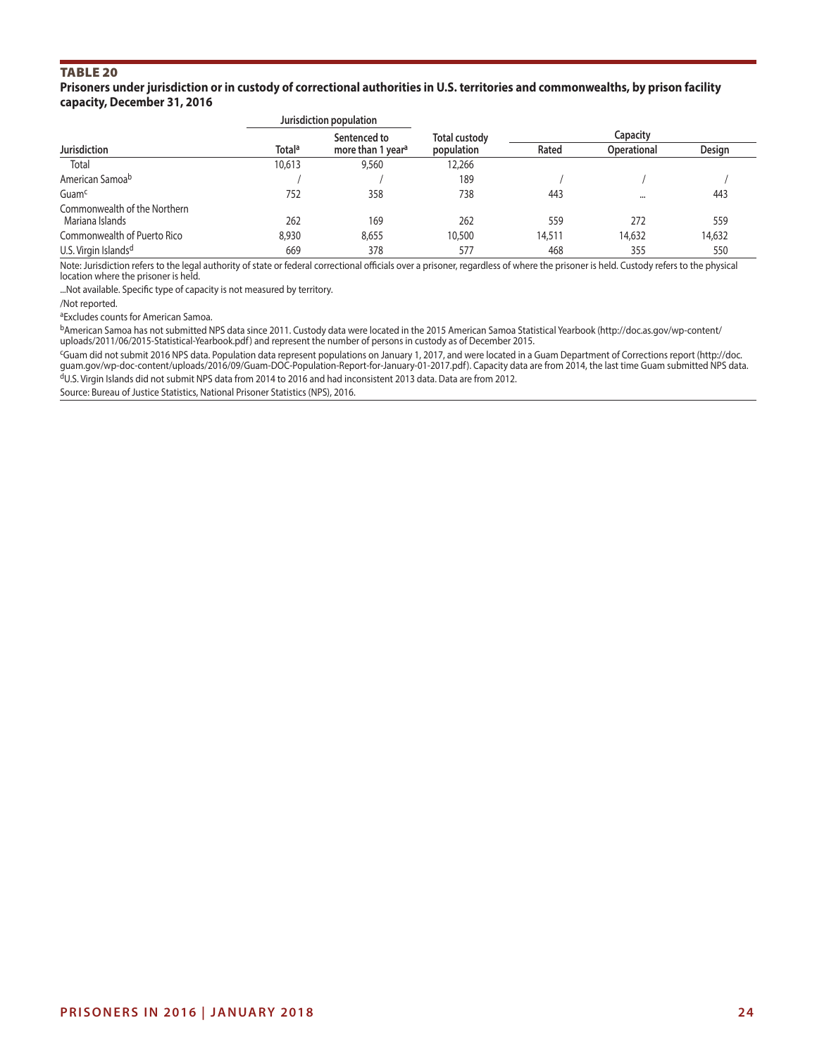# Table 20

**Prisoners under jurisdiction or in custody of correctional authorities in U.S. territories and commonwealths, by prison facility capacity, December 31, 2016**

|                                                 |                    | Jurisdiction population       |                      |          |                    |        |  |  |
|-------------------------------------------------|--------------------|-------------------------------|----------------------|----------|--------------------|--------|--|--|
|                                                 |                    | Sentenced to                  | <b>Total custody</b> | Capacity |                    |        |  |  |
| <b>Jurisdiction</b>                             | Total <sup>a</sup> | more than 1 year <sup>a</sup> | population           | Rated    | <b>Operational</b> | Design |  |  |
| Total                                           | 10,613             | 9,560                         | 12,266               |          |                    |        |  |  |
| American Samoa <sup>b</sup>                     |                    |                               | 189                  |          |                    |        |  |  |
| Guam <sup>c</sup>                               | 752                | 358                           | 738                  | 443      | $\cdots$           | 443    |  |  |
| Commonwealth of the Northern<br>Mariana Islands | 262                | 169                           | 262                  | 559      | 272                | 559    |  |  |
| Commonwealth of Puerto Rico                     | 8,930              | 8,655                         | 10,500               | 14,511   | 14,632             | 14,632 |  |  |
| U.S. Virgin Islands <sup>d</sup>                | 669                | 378                           | 577                  | 468      | 355                | 550    |  |  |

Note: Jurisdiction refers to the legal authority of state or federal correctional officials over a prisoner, regardless of where the prisoner is held. Custody refers to the physical location where the prisoner is held.

...Not available. Specific type of capacity is not measured by territory.

/Not reported.

aExcludes counts for American Samoa.

bAmerican Samoa has not submitted NPS data since 2011. Custody data were located in the 2015 American Samoa Statistical Yearbook (http://doc.as.gov/wp-content/ uploads/2011/06/2015-Statistical-Yearbook.pdf) and represent the number of persons in custody as of December 2015.

cGuam did not submit 2016 NPS data. Population data represent populations on January 1, 2017, and were located in a Guam Department of Corrections report (http://doc. guam.gov/wp-doc-content/uploads/2016/09/Guam-DOC-Population-Report-for-January-01-2017.pdf). Capacity data are from 2014, the last time Guam submitted NPS data. dU.S. Virgin Islands did not submit NPS data from 2014 to 2016 and had inconsistent 2013 data. Data are from 2012.

Source: Bureau of Justice Statistics, National Prisoner Statistics (NPS), 2016.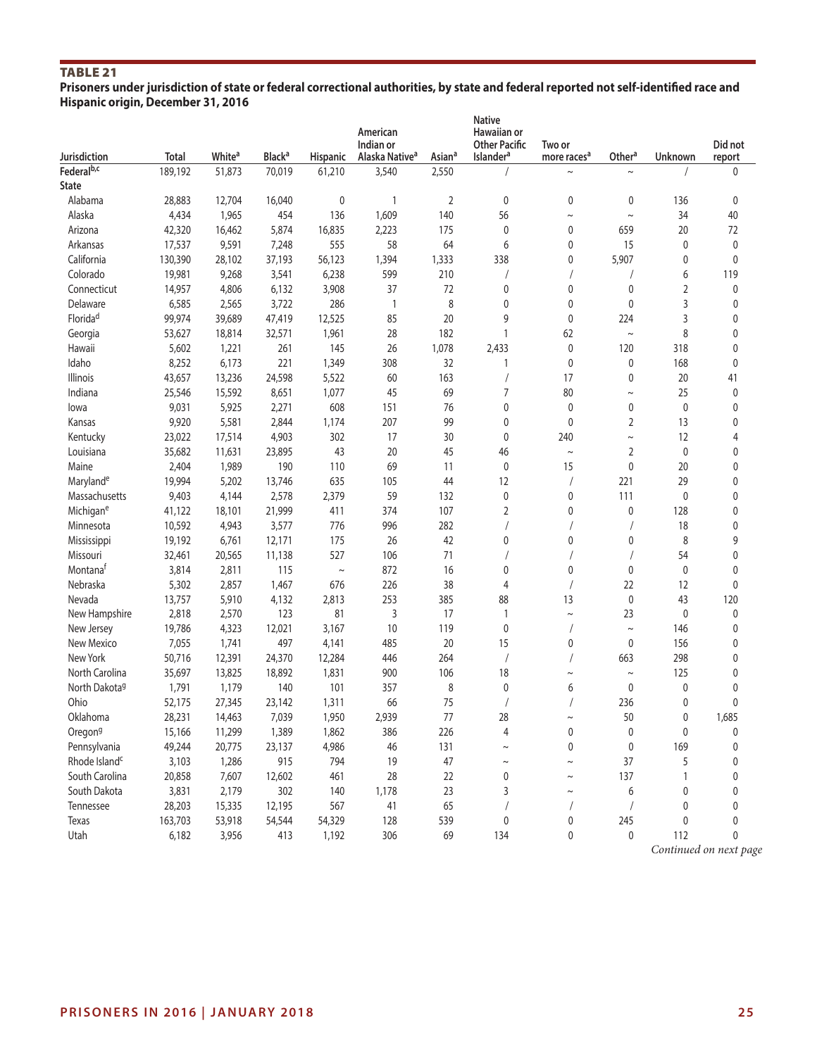# TABLE<sub>21</sub>

**Prisoners under jurisdiction of state or federal correctional authorities, by state and federal reported not self-identified race and Hispanic origin, December 31, 2016**

| Jurisdiction              | <b>Total</b> | White <sup>a</sup> | <b>Black<sup>a</sup></b> | <b>Hispanic</b> | American<br>Indian or<br>Alaska Native <sup>a</sup> | Asian <sup>a</sup> | <b>Native</b><br>Hawaiian or<br><b>Other Pacific</b><br><b>Islander<sup>a</sup></b> | Two or<br>more races <sup>a</sup> | Othera         | Unknown      | Did not     |
|---------------------------|--------------|--------------------|--------------------------|-----------------|-----------------------------------------------------|--------------------|-------------------------------------------------------------------------------------|-----------------------------------|----------------|--------------|-------------|
| Federal <sup>b,c</sup>    | 189,192      | 51,873             | 70,019                   | 61,210          | 3,540                                               | 2,550              |                                                                                     | $\sim$                            | $\sim$         |              | report<br>0 |
| <b>State</b>              |              |                    |                          |                 |                                                     |                    |                                                                                     |                                   |                |              |             |
| Alabama                   | 28,883       | 12,704             | 16,040                   | 0               |                                                     | 2                  | $\mathbf{0}$                                                                        | $\mathbf{0}$                      | 0              | 136          | 0           |
| Alaska                    | 4,434        | 1,965              | 454                      | 136             | 1,609                                               | 140                | 56                                                                                  | $\sim$                            | $\sim$         | 34           | 40          |
| Arizona                   |              |                    | 5,874                    |                 |                                                     | 175                | $\mathbf 0$                                                                         | $\mathbf{0}$                      | 659            | 20           | 72          |
|                           | 42,320       | 16,462             |                          | 16,835<br>555   | 2,223<br>58                                         | 64                 | 6                                                                                   | 0                                 | 15             | 0            |             |
| Arkansas<br>California    | 17,537       | 9,591              | 7,248                    |                 |                                                     |                    |                                                                                     |                                   |                |              | 0           |
|                           | 130,390      | 28,102             | 37,193                   | 56,123          | 1,394                                               | 1,333              | 338                                                                                 | 0                                 | 5,907          | 0            | 0           |
| Colorado                  | 19,981       | 9,268              | 3,541                    | 6,238           | 599                                                 | 210                |                                                                                     |                                   |                | 6            | 119         |
| Connecticut               | 14,957       | 4,806              | 6,132                    | 3,908           | 37                                                  | 72                 | $\mathbf 0$                                                                         | $\mathbf{0}$                      | $\mathbf 0$    | 2            | 0           |
| Delaware                  | 6,585        | 2,565              | 3,722                    | 286             | $\overline{\phantom{a}}$                            | 8                  | $\mathbf 0$                                                                         | $\mathbf{0}$                      | 0              | 3            | 0           |
| Florida <sup>d</sup>      | 99,974       | 39,689             | 47,419                   | 12,525          | 85                                                  | 20                 | 9                                                                                   | $\mathbf 0$                       | 224            | 3            | 0           |
| Georgia                   | 53,627       | 18,814             | 32,571                   | 1,961           | 28                                                  | 182                | 1                                                                                   | 62                                | $\sim$         | 8            | 0           |
| Hawaii                    | 5,602        | 1,221              | 261                      | 145             | 26                                                  | 1,078              | 2,433                                                                               | $\mathbf 0$                       | 120            | 318          | 0           |
| Idaho                     | 8,252        | 6,173              | 221                      | 1,349           | 308                                                 | 32                 | 1                                                                                   | $\mathbf{0}$                      | 0              | 168          | 0           |
| <b>Illinois</b>           | 43,657       | 13,236             | 24,598                   | 5,522           | 60                                                  | 163                |                                                                                     | 17                                | 0              | 20           | 41          |
| Indiana                   | 25,546       | 15,592             | 8,651                    | 1,077           | 45                                                  | 69                 | 7                                                                                   | 80                                | $\sim$         | 25           | 0           |
| lowa                      | 9,031        | 5,925              | 2,271                    | 608             | 151                                                 | 76                 | 0                                                                                   | $\mathbf{0}$                      | $\pmb{0}$      | $\mathbf{0}$ | 0           |
| Kansas                    | 9,920        | 5,581              | 2,844                    | 1,174           | 207                                                 | 99                 | $\mathbf 0$                                                                         | $\mathbf{0}$                      | $\overline{2}$ | 13           | 0           |
| Kentucky                  | 23,022       | 17,514             | 4,903                    | 302             | 17                                                  | 30                 | $\mathbf 0$                                                                         | 240                               | $\sim$         | 12           | 4           |
| Louisiana                 | 35,682       | 11,631             | 23,895                   | 43              | 20                                                  | 45                 | 46                                                                                  | $\sim$                            | $\overline{2}$ | 0            | 0           |
| Maine                     | 2,404        | 1,989              | 190                      | 110             | 69                                                  | 11                 | $\mathbf{0}$                                                                        | 15                                | $\mathbf 0$    | 20           | 0           |
| Marylande                 | 19,994       | 5,202              | 13,746                   | 635             | 105                                                 | 44                 | 12                                                                                  |                                   | 221            | 29           | 0           |
| Massachusetts             | 9,403        | 4,144              | 2,578                    | 2,379           | 59                                                  | 132                | $\mathbf{0}$                                                                        | $\mathbf{0}$                      | 111            | 0            | 0           |
| Michigane                 | 41,122       | 18,101             | 21,999                   | 411             | 374                                                 | 107                | 2                                                                                   | $\mathbf 0$                       | $\mathbf 0$    | 128          | 0           |
| Minnesota                 | 10,592       | 4,943              | 3,577                    | 776             | 996                                                 | 282                |                                                                                     |                                   |                | 18           | 0           |
| Mississippi               | 19,192       | 6,761              | 12,171                   | 175             | 26                                                  | 42                 | $\mathbf 0$                                                                         | 0                                 | 0              | 8            | 9           |
| Missouri                  | 32,461       | 20,565             | 11,138                   | 527             | 106                                                 | 71                 |                                                                                     |                                   |                | 54           | 0           |
| Montana <sup>t</sup>      | 3,814        | 2,811              | 115                      | $\thicksim$     | 872                                                 | 16                 | $\mathbf 0$                                                                         | $\mathbf{0}$                      | 0              | 0            | 0           |
| Nebraska                  | 5,302        | 2,857              | 1,467                    | 676             | 226                                                 | 38                 | $\overline{4}$                                                                      |                                   | 22             | 12           | 0           |
| Nevada                    | 13,757       | 5,910              | 4,132                    | 2,813           | 253                                                 | 385                | 88                                                                                  | 13                                | 0              | 43           | 120         |
| New Hampshire             | 2,818        | 2,570              | 123                      | 81              | 3                                                   | 17                 | 1                                                                                   | $\sim$                            | 23             | 0            | $\pmb{0}$   |
| New Jersey                | 19,786       | 4,323              | 12,021                   | 3,167           | 10                                                  | 119                | $\mathbf{0}$                                                                        |                                   | $\thicksim$    | 146          | 0           |
| New Mexico                | 7,055        | 1,741              | 497                      | 4,141           | 485                                                 | 20                 | 15                                                                                  | 0                                 | 0              | 156          | 0           |
| New York                  | 50,716       | 12,391             | 24,370                   | 12,284          | 446                                                 | 264                |                                                                                     |                                   | 663            | 298          | 0           |
| North Carolina            | 35,697       | 13,825             | 18,892                   | 1,831           | 900                                                 | 106                | 18                                                                                  | $\sim$                            | $\sim$         | 125          | 0           |
| North Dakota <sup>g</sup> | 1,791        | 1,179              | 140                      | 101             | 357                                                 | 8                  | 0                                                                                   | 6                                 | $\mathbf 0$    | 0            | 0           |
| Ohio                      | 52,175       | 27,345             | 23,142                   | 1,311           | 66                                                  | 75                 |                                                                                     |                                   | 236            | 0            | 0           |
| Oklahoma                  | 28,231       | 14,463             | 7,039                    | 1,950           | 2,939                                               | $77 \,$            | 28                                                                                  | $\sim$                            | 50             | 0            | 1,685       |
| Oregon <sup>g</sup>       | 15,166       | 11,299             | 1,389                    | 1,862           | 386                                                 | 226                | 4                                                                                   | 0                                 | $\pmb{0}$      | 0            | 0           |
| Pennsylvania              | 49,244       | 20,775             | 23,137                   | 4,986           | 46                                                  | 131                | $\thicksim$                                                                         | $\mathbf 0$                       | 0              | 169          | 0           |
| Rhode Island <sup>c</sup> | 3,103        | 1,286              | 915                      | 794             | 19                                                  | 47                 | $\tilde{}$                                                                          | $\sim$                            | 37             | 5            | 0           |
| South Carolina            | 20,858       | 7,607              | 12,602                   | 461             | 28                                                  | 22                 | 0                                                                                   | $\sim$                            | 137            | 1            | 0           |
| South Dakota              | 3,831        | 2,179              | 302                      | 140             | 1,178                                               | 23                 | 3                                                                                   | $\sim$                            | 6              | 0            | 0           |
| Tennessee                 | 28,203       | 15,335             | 12,195                   | 567             | 41                                                  | 65                 |                                                                                     |                                   | $\sqrt{2}$     | 0            | 0           |
| Texas                     | 163,703      | 53,918             | 54,544                   | 54,329          | 128                                                 | 539                | 0                                                                                   | 0                                 | 245            | 0            | 0           |
| Utah                      | 6,182        | 3,956              | 413                      | 1,192           | 306                                                 | 69                 | 134                                                                                 | 0                                 | 0              | 112          | 0           |

*Continued on next page*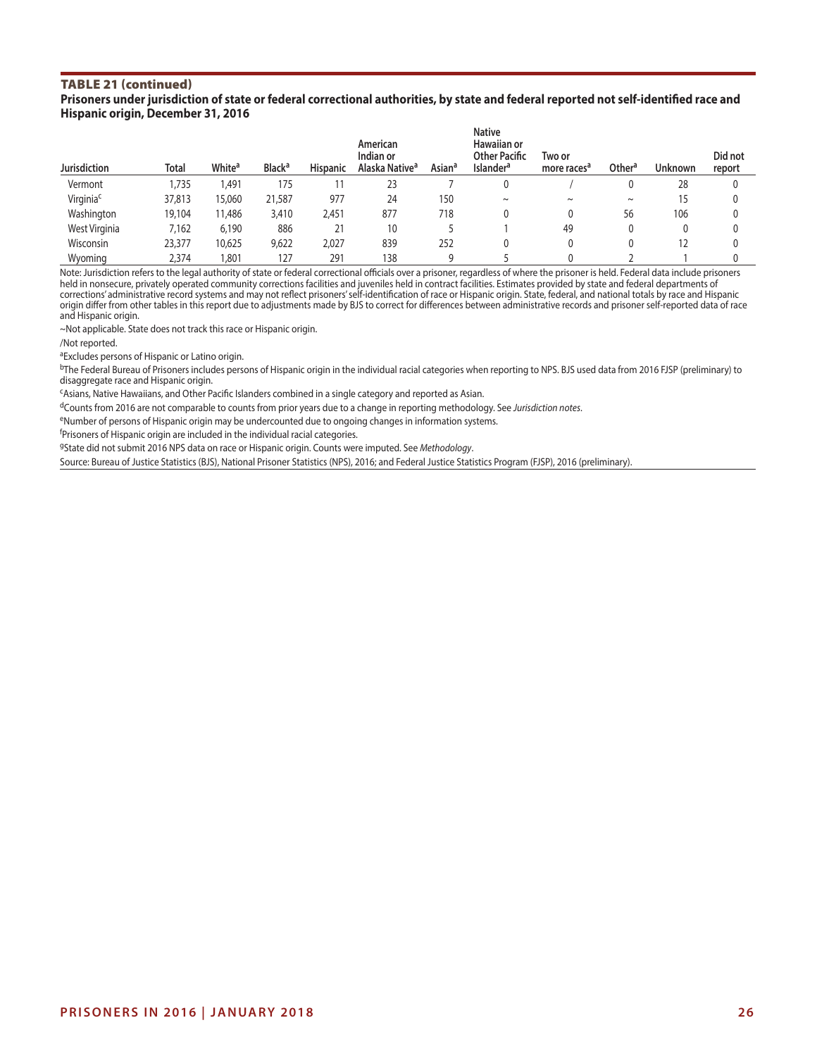#### TABLE 21 (continued) **Prisoners under jurisdiction of state or federal correctional authorities, by state and federal reported not self-identified race and Hispanic origin, December 31, 2016**

| <b>Jurisdiction</b>   | Total  | White <sup>a</sup> | <b>Black<sup>a</sup></b> | <b>Hispanic</b> | American<br>Indian or<br>Alaska Native <sup>a</sup> | <b>Asian<sup>a</sup></b> | <b>Native</b><br><b>Hawaiian or</b><br><b>Other Pacific</b><br><b>Islander<sup>a</sup></b> | Two or<br>more races <sup>a</sup> | Other <sup>a</sup> | <b>Unknown</b> | Did not<br>report |
|-----------------------|--------|--------------------|--------------------------|-----------------|-----------------------------------------------------|--------------------------|--------------------------------------------------------------------------------------------|-----------------------------------|--------------------|----------------|-------------------|
| Vermont               | 1,735  | .491               | 175                      |                 | 23                                                  |                          | 0                                                                                          |                                   |                    | 28             |                   |
| Virginia <sup>c</sup> | 37,813 | 15,060             | 21,587                   | 977             | 24                                                  | 150                      | $\sim$                                                                                     | $\sim$                            | $\sim$             | 15             |                   |
| Washington            | 19,104 | 11,486             | 3,410                    | 2,451           | 877                                                 | 718                      |                                                                                            |                                   | 56                 | 106            |                   |
| West Virginia         | 7.162  | 6.190              | 886                      | 21              | 10                                                  |                          |                                                                                            | 49                                |                    |                |                   |
| Wisconsin             | 23,377 | 10,625             | 9,622                    | 2,027           | 839                                                 | 252                      |                                                                                            |                                   |                    | 12             |                   |
| Wyoming               | 2,374  | .80 <sup>°</sup>   | 127                      | 291             | 138                                                 |                          |                                                                                            |                                   |                    |                |                   |

Note: Jurisdiction refers to the legal authority of state or federal correctional officials over a prisoner, regardless of where the prisoner is held. Federal data include prisoners held in nonsecure, privately operated community corrections facilities and juveniles held in contract facilities. Estimates provided by state and federal departments of corrections' administrative record systems and may not reflect prisoners' self-identification of race or Hispanic origin. State, federal, and national totals by race and Hispanic origin differ from other tables in this report due to adjustments made by BJS to correct for differences between administrative records and prisoner self-reported data of race and Hispanic origin.

~Not applicable. State does not track this race or Hispanic origin.

/Not reported.

aExcludes persons of Hispanic or Latino origin.

<sup>b</sup>The Federal Bureau of Prisoners includes persons of Hispanic origin in the individual racial categories when reporting to NPS. BJS used data from 2016 FJSP (preliminary) to disaggregate race and Hispanic origin.

cAsians, Native Hawaiians, and Other Pacific Islanders combined in a single category and reported as Asian.

dCounts from 2016 are not comparable to counts from prior years due to a change in reporting methodology. See *Jurisdiction notes*.

eNumber of persons of Hispanic origin may be undercounted due to ongoing changes in information systems.

<sup>f</sup>Prisoners of Hispanic origin are included in the individual racial categories.

gState did not submit 2016 NPS data on race or Hispanic origin. Counts were imputed. See *Methodology*.

Source: Bureau of Justice Statistics (BJS), National Prisoner Statistics (NPS), 2016; and Federal Justice Statistics Program (FJSP), 2016 (preliminary).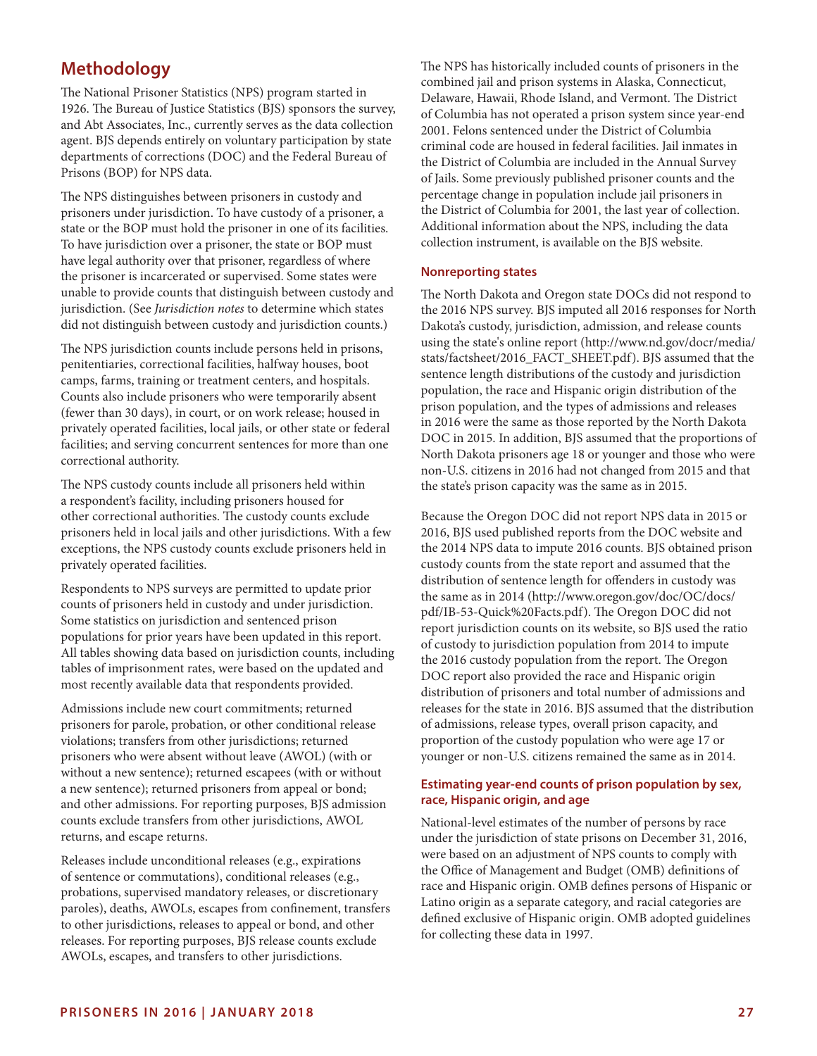# **Methodology**

The National Prisoner Statistics (NPS) program started in 1926. The Bureau of Justice Statistics (BJS) sponsors the survey, and Abt Associates, Inc., currently serves as the data collection agent. BJS depends entirely on voluntary participation by state departments of corrections (DOC) and the Federal Bureau of Prisons (BOP) for NPS data.

The NPS distinguishes between prisoners in custody and prisoners under jurisdiction. To have custody of a prisoner, a state or the BOP must hold the prisoner in one of its facilities. To have jurisdiction over a prisoner, the state or BOP must have legal authority over that prisoner, regardless of where the prisoner is incarcerated or supervised. Some states were unable to provide counts that distinguish between custody and jurisdiction. (See *Jurisdiction notes* to determine which states did not distinguish between custody and jurisdiction counts.)

The NPS jurisdiction counts include persons held in prisons, penitentiaries, correctional facilities, halfway houses, boot camps, farms, training or treatment centers, and hospitals. Counts also include prisoners who were temporarily absent (fewer than 30 days), in court, or on work release; housed in privately operated facilities, local jails, or other state or federal facilities; and serving concurrent sentences for more than one correctional authority.

The NPS custody counts include all prisoners held within a respondent's facility, including prisoners housed for other correctional authorities. The custody counts exclude prisoners held in local jails and other jurisdictions. With a few exceptions, the NPS custody counts exclude prisoners held in privately operated facilities.

Respondents to NPS surveys are permitted to update prior counts of prisoners held in custody and under jurisdiction. Some statistics on jurisdiction and sentenced prison populations for prior years have been updated in this report. All tables showing data based on jurisdiction counts, including tables of imprisonment rates, were based on the updated and most recently available data that respondents provided.

Admissions include new court commitments; returned prisoners for parole, probation, or other conditional release violations; transfers from other jurisdictions; returned prisoners who were absent without leave (AWOL) (with or without a new sentence); returned escapees (with or without a new sentence); returned prisoners from appeal or bond; and other admissions. For reporting purposes, BJS admission counts exclude transfers from other jurisdictions, AWOL returns, and escape returns.

Releases include unconditional releases (e.g., expirations of sentence or commutations), conditional releases (e.g., probations, supervised mandatory releases, or discretionary paroles), deaths, AWOLs, escapes from confinement, transfers to other jurisdictions, releases to appeal or bond, and other releases. For reporting purposes, BJS release counts exclude AWOLs, escapes, and transfers to other jurisdictions.

The NPS has historically included counts of prisoners in the combined jail and prison systems in Alaska, Connecticut, Delaware, Hawaii, Rhode Island, and Vermont. The District of Columbia has not operated a prison system since year-end 2001. Felons sentenced under the District of Columbia criminal code are housed in federal facilities. Jail inmates in the District of Columbia are included in the Annual Survey of Jails. Some previously published prisoner counts and the percentage change in population include jail prisoners in the District of Columbia for 2001, the last year of collection. Additional information about the NPS, including the data collection instrument, is available on the BJS website.

#### **Nonreporting states**

The North Dakota and Oregon state DOCs did not respond to the 2016 NPS survey. BJS imputed all 2016 responses for North Dakota's custody, jurisdiction, admission, and release counts using the state's online report ([http://www.nd.gov/docr/media/](http://www.nd.gov/docr/media/stats/factsheet/2016_FACT_SHEET.pdf) [stats/factsheet/2016\\_FACT\\_SHEET.pdf\)](http://www.nd.gov/docr/media/stats/factsheet/2016_FACT_SHEET.pdf). BJS assumed that the sentence length distributions of the custody and jurisdiction population, the race and Hispanic origin distribution of the prison population, and the types of admissions and releases in 2016 were the same as those reported by the North Dakota DOC in 2015. In addition, BJS assumed that the proportions of North Dakota prisoners age 18 or younger and those who were non-U.S. citizens in 2016 had not changed from 2015 and that the state's prison capacity was the same as in 2015.

Because the Oregon DOC did not report NPS data in 2015 or 2016, BJS used published reports from the DOC website and the 2014 NPS data to impute 2016 counts. BJS obtained prison custody counts from the state report and assumed that the distribution of sentence length for offenders in custody was the same as in 2014 ([http://www.oregon.gov/doc/OC/docs/](http://www.oregon.gov/doc/OC/docs/pdf/IB-53-Quick%20Facts.pdf) [pdf/IB-53-Quick%20Facts.pdf](http://www.oregon.gov/doc/OC/docs/pdf/IB-53-Quick%20Facts.pdf)). The Oregon DOC did not report jurisdiction counts on its website, so BJS used the ratio of custody to jurisdiction population from 2014 to impute the 2016 custody population from the report. The Oregon DOC report also provided the race and Hispanic origin distribution of prisoners and total number of admissions and releases for the state in 2016. BJS assumed that the distribution of admissions, release types, overall prison capacity, and proportion of the custody population who were age 17 or younger or non-U.S. citizens remained the same as in 2014.

# **Estimating year-end counts of prison population by sex, race, Hispanic origin, and age**

National-level estimates of the number of persons by race under the jurisdiction of state prisons on December 31, 2016, were based on an adjustment of NPS counts to comply with the Office of Management and Budget (OMB) definitions of race and Hispanic origin. OMB defines persons of Hispanic or Latino origin as a separate category, and racial categories are defined exclusive of Hispanic origin. OMB adopted guidelines for collecting these data in 1997.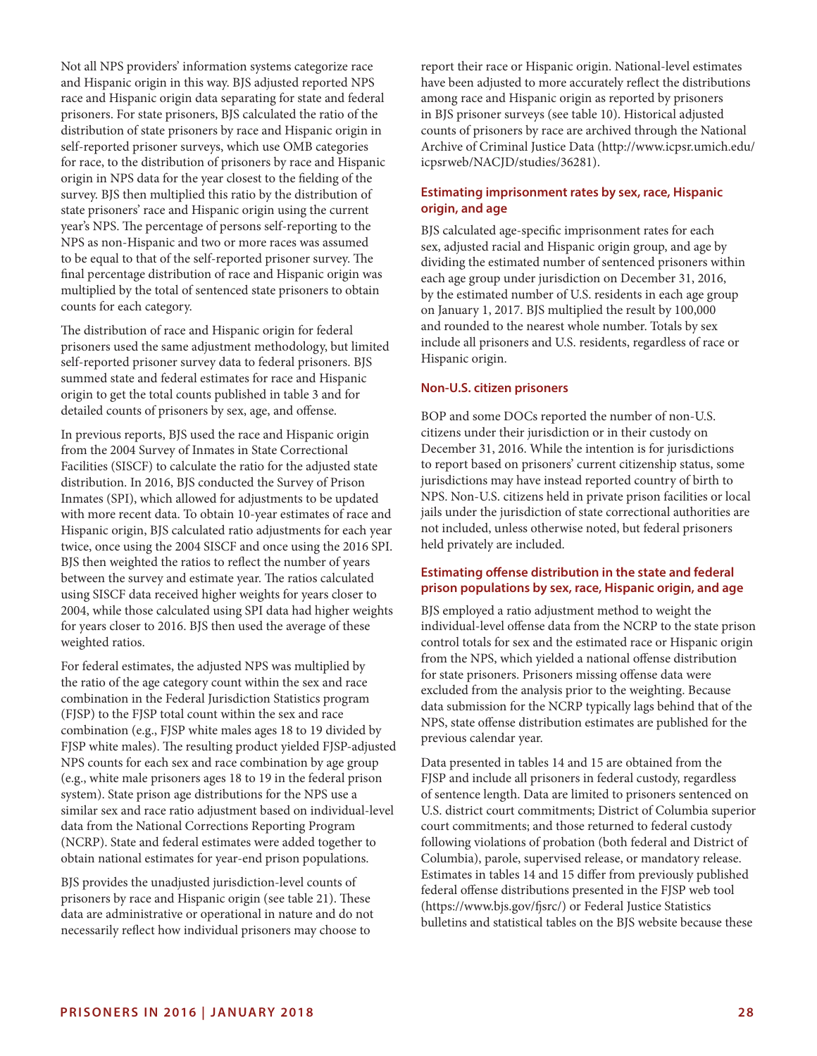Not all NPS providers' information systems categorize race and Hispanic origin in this way. BJS adjusted reported NPS race and Hispanic origin data separating for state and federal prisoners. For state prisoners, BJS calculated the ratio of the distribution of state prisoners by race and Hispanic origin in self-reported prisoner surveys, which use OMB categories for race, to the distribution of prisoners by race and Hispanic origin in NPS data for the year closest to the fielding of the survey. BJS then multiplied this ratio by the distribution of state prisoners' race and Hispanic origin using the current year's NPS. The percentage of persons self-reporting to the NPS as non-Hispanic and two or more races was assumed to be equal to that of the self-reported prisoner survey. The final percentage distribution of race and Hispanic origin was multiplied by the total of sentenced state prisoners to obtain counts for each category.

The distribution of race and Hispanic origin for federal prisoners used the same adjustment methodology, but limited self-reported prisoner survey data to federal prisoners. BJS summed state and federal estimates for race and Hispanic origin to get the total counts published in table 3 and for detailed counts of prisoners by sex, age, and offense.

In previous reports, BJS used the race and Hispanic origin from the 2004 Survey of Inmates in State Correctional Facilities (SISCF) to calculate the ratio for the adjusted state distribution. In 2016, BJS conducted the Survey of Prison Inmates (SPI), which allowed for adjustments to be updated with more recent data. To obtain 10-year estimates of race and Hispanic origin, BJS calculated ratio adjustments for each year twice, once using the 2004 SISCF and once using the 2016 SPI. BJS then weighted the ratios to reflect the number of years between the survey and estimate year. The ratios calculated using SISCF data received higher weights for years closer to 2004, while those calculated using SPI data had higher weights for years closer to 2016. BJS then used the average of these weighted ratios.

For federal estimates, the adjusted NPS was multiplied by the ratio of the age category count within the sex and race combination in the Federal Jurisdiction Statistics program (FJSP) to the FJSP total count within the sex and race combination (e.g., FJSP white males ages 18 to 19 divided by FJSP white males). The resulting product yielded FJSP-adjusted NPS counts for each sex and race combination by age group (e.g., white male prisoners ages 18 to 19 in the federal prison system). State prison age distributions for the NPS use a similar sex and race ratio adjustment based on individual-level data from the National Corrections Reporting Program (NCRP). State and federal estimates were added together to obtain national estimates for year-end prison populations.

BJS provides the unadjusted jurisdiction-level counts of prisoners by race and Hispanic origin (see table 21). These data are administrative or operational in nature and do not necessarily reflect how individual prisoners may choose to

report their race or Hispanic origin. National-level estimates have been adjusted to more accurately reflect the distributions among race and Hispanic origin as reported by prisoners in BJS prisoner surveys (see table 10). Historical adjusted counts of prisoners by race are archived through the National Archive of Criminal Justice Data [\(http://www.icpsr.umich.edu/](http://www.icpsr.umich.edu/icpsrweb/NACJD/studies/36281) [icpsrweb/NACJD/studies/36281](http://www.icpsr.umich.edu/icpsrweb/NACJD/studies/36281)).

# **Estimating imprisonment rates by sex, race, Hispanic origin, and age**

BJS calculated age-specific imprisonment rates for each sex, adjusted racial and Hispanic origin group, and age by dividing the estimated number of sentenced prisoners within each age group under jurisdiction on December 31, 2016, by the estimated number of U.S. residents in each age group on January 1, 2017. BJS multiplied the result by 100,000 and rounded to the nearest whole number. Totals by sex include all prisoners and U.S. residents, regardless of race or Hispanic origin.

#### **Non-U.S. citizen prisoners**

BOP and some DOCs reported the number of non-U.S. citizens under their jurisdiction or in their custody on December 31, 2016. While the intention is for jurisdictions to report based on prisoners' current citizenship status, some jurisdictions may have instead reported country of birth to NPS. Non-U.S. citizens held in private prison facilities or local jails under the jurisdiction of state correctional authorities are not included, unless otherwise noted, but federal prisoners held privately are included.

#### **Estimating offense distribution in the state and federal prison populations by sex, race, Hispanic origin, and age**

BJS employed a ratio adjustment method to weight the individual-level offense data from the NCRP to the state prison control totals for sex and the estimated race or Hispanic origin from the NPS, which yielded a national offense distribution for state prisoners. Prisoners missing offense data were excluded from the analysis prior to the weighting. Because data submission for the NCRP typically lags behind that of the NPS, state offense distribution estimates are published for the previous calendar year.

Data presented in tables 14 and 15 are obtained from the FJSP and include all prisoners in federal custody, regardless of sentence length. Data are limited to prisoners sentenced on U.S. district court commitments; District of Columbia superior court commitments; and those returned to federal custody following violations of probation (both federal and District of Columbia), parole, supervised release, or mandatory release. Estimates in tables 14 and 15 differ from previously published federal offense distributions presented in the FJSP web tool [\(https://www.bjs.gov/fjsrc/](https://www.bjs.gov/fjsrc/)) or Federal Justice Statistics bulletins and statistical tables on the BJS website because these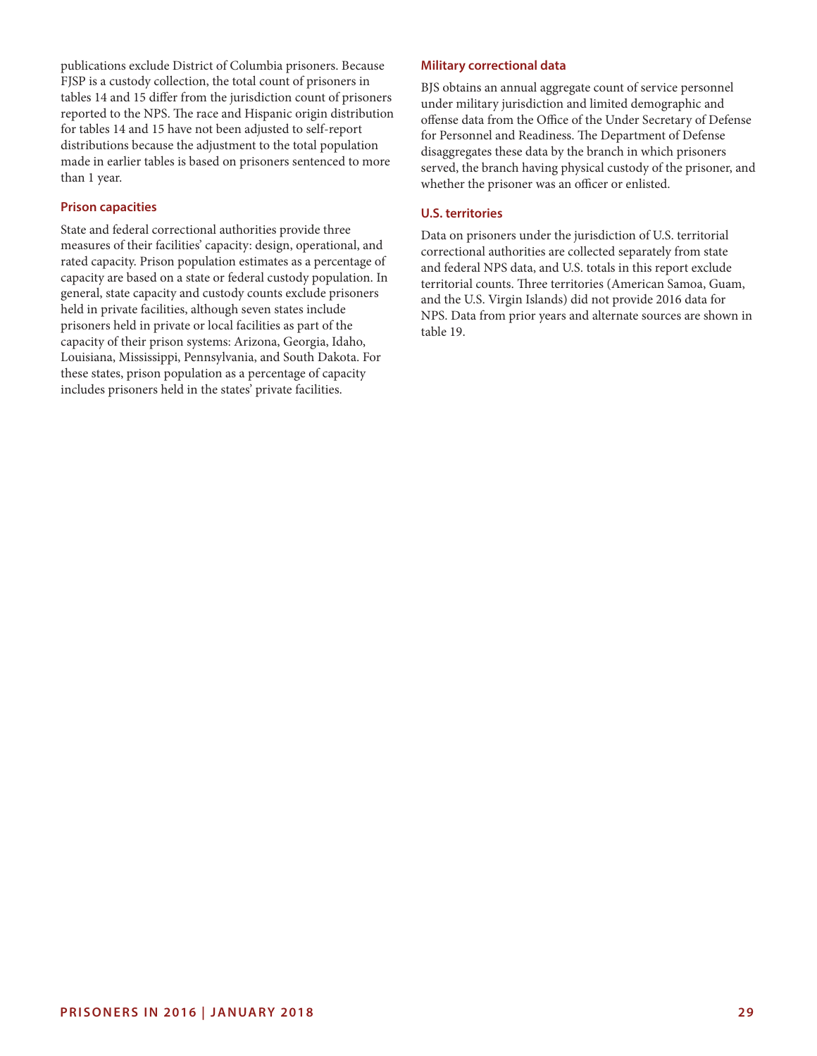publications exclude District of Columbia prisoners. Because FJSP is a custody collection, the total count of prisoners in tables 14 and 15 differ from the jurisdiction count of prisoners reported to the NPS. The race and Hispanic origin distribution for tables 14 and 15 have not been adjusted to self-report distributions because the adjustment to the total population made in earlier tables is based on prisoners sentenced to more than 1 year.

#### **Prison capacities**

State and federal correctional authorities provide three measures of their facilities' capacity: design, operational, and rated capacity. Prison population estimates as a percentage of capacity are based on a state or federal custody population. In general, state capacity and custody counts exclude prisoners held in private facilities, although seven states include prisoners held in private or local facilities as part of the capacity of their prison systems: Arizona, Georgia, Idaho, Louisiana, Mississippi, Pennsylvania, and South Dakota. For these states, prison population as a percentage of capacity includes prisoners held in the states' private facilities.

#### **Military correctional data**

BJS obtains an annual aggregate count of service personnel under military jurisdiction and limited demographic and offense data from the Office of the Under Secretary of Defense for Personnel and Readiness. The Department of Defense disaggregates these data by the branch in which prisoners served, the branch having physical custody of the prisoner, and whether the prisoner was an officer or enlisted.

#### **U.S. territories**

Data on prisoners under the jurisdiction of U.S. territorial correctional authorities are collected separately from state and federal NPS data, and U.S. totals in this report exclude territorial counts. Three territories (American Samoa, Guam, and the U.S. Virgin Islands) did not provide 2016 data for NPS. Data from prior years and alternate sources are shown in table 19.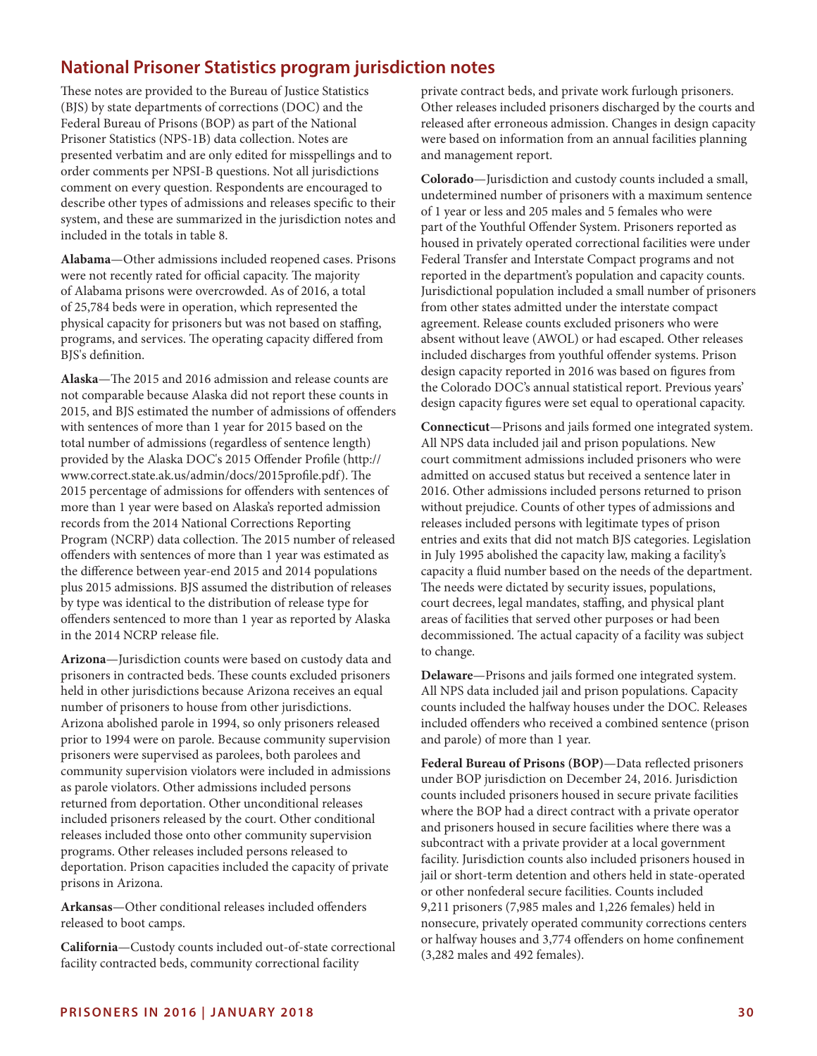# **National Prisoner Statistics program jurisdiction notes**

These notes are provided to the Bureau of Justice Statistics (BJS) by state departments of corrections (DOC) and the Federal Bureau of Prisons (BOP) as part of the National Prisoner Statistics (NPS-1B) data collection. Notes are presented verbatim and are only edited for misspellings and to order comments per NPSI-B questions. Not all jurisdictions comment on every question. Respondents are encouraged to describe other types of admissions and releases specific to their system, and these are summarized in the jurisdiction notes and included in the totals in table 8.

**Alabama**—Other admissions included reopened cases. Prisons were not recently rated for official capacity. The majority of Alabama prisons were overcrowded. As of 2016, a total of 25,784 beds were in operation, which represented the physical capacity for prisoners but was not based on staffing, programs, and services. The operating capacity differed from BJS's definition.

**Alaska**—The 2015 and 2016 admission and release counts are not comparable because Alaska did not report these counts in 2015, and BJS estimated the number of admissions of offenders with sentences of more than 1 year for 2015 based on the total number of admissions (regardless of sentence length) provided by the Alaska DOC's 2015 Offender Profile (http:// www.correct.state.ak.us/admin/docs/2015profile.pdf). The 2015 percentage of admissions for offenders with sentences of more than 1 year were based on Alaska's reported admission records from the 2014 National Corrections Reporting Program (NCRP) data collection. The 2015 number of released offenders with sentences of more than 1 year was estimated as the difference between year-end 2015 and 2014 populations plus 2015 admissions. BJS assumed the distribution of releases by type was identical to the distribution of release type for offenders sentenced to more than 1 year as reported by Alaska in the 2014 NCRP release file.

**Arizona**—Jurisdiction counts were based on custody data and prisoners in contracted beds. These counts excluded prisoners held in other jurisdictions because Arizona receives an equal number of prisoners to house from other jurisdictions. Arizona abolished parole in 1994, so only prisoners released prior to 1994 were on parole. Because community supervision prisoners were supervised as parolees, both parolees and community supervision violators were included in admissions as parole violators. Other admissions included persons returned from deportation. Other unconditional releases included prisoners released by the court. Other conditional releases included those onto other community supervision programs. Other releases included persons released to deportation. Prison capacities included the capacity of private prisons in Arizona.

**Arkansas**—Other conditional releases included offenders released to boot camps.

**California**—Custody counts included out-of-state correctional facility contracted beds, community correctional facility

private contract beds, and private work furlough prisoners. Other releases included prisoners discharged by the courts and released after erroneous admission. Changes in design capacity were based on information from an annual facilities planning and management report.

**Colorado**—Jurisdiction and custody counts included a small, undetermined number of prisoners with a maximum sentence of 1 year or less and 205 males and 5 females who were part of the Youthful Offender System. Prisoners reported as housed in privately operated correctional facilities were under Federal Transfer and Interstate Compact programs and not reported in the department's population and capacity counts. Jurisdictional population included a small number of prisoners from other states admitted under the interstate compact agreement. Release counts excluded prisoners who were absent without leave (AWOL) or had escaped. Other releases included discharges from youthful offender systems. Prison design capacity reported in 2016 was based on figures from the Colorado DOC's annual statistical report. Previous years' design capacity figures were set equal to operational capacity.

**Connecticut**—Prisons and jails formed one integrated system. All NPS data included jail and prison populations. New court commitment admissions included prisoners who were admitted on accused status but received a sentence later in 2016. Other admissions included persons returned to prison without prejudice. Counts of other types of admissions and releases included persons with legitimate types of prison entries and exits that did not match BJS categories. Legislation in July 1995 abolished the capacity law, making a facility's capacity a fluid number based on the needs of the department. The needs were dictated by security issues, populations, court decrees, legal mandates, staffing, and physical plant areas of facilities that served other purposes or had been decommissioned. The actual capacity of a facility was subject to change.

**Delaware**—Prisons and jails formed one integrated system. All NPS data included jail and prison populations. Capacity counts included the halfway houses under the DOC. Releases included offenders who received a combined sentence (prison and parole) of more than 1 year.

**Federal Bureau of Prisons (BOP)**—Data reflected prisoners under BOP jurisdiction on December 24, 2016. Jurisdiction counts included prisoners housed in secure private facilities where the BOP had a direct contract with a private operator and prisoners housed in secure facilities where there was a subcontract with a private provider at a local government facility. Jurisdiction counts also included prisoners housed in jail or short-term detention and others held in state-operated or other nonfederal secure facilities. Counts included 9,211 prisoners (7,985 males and 1,226 females) held in nonsecure, privately operated community corrections centers or halfway houses and 3,774 offenders on home confinement (3,282 males and 492 females).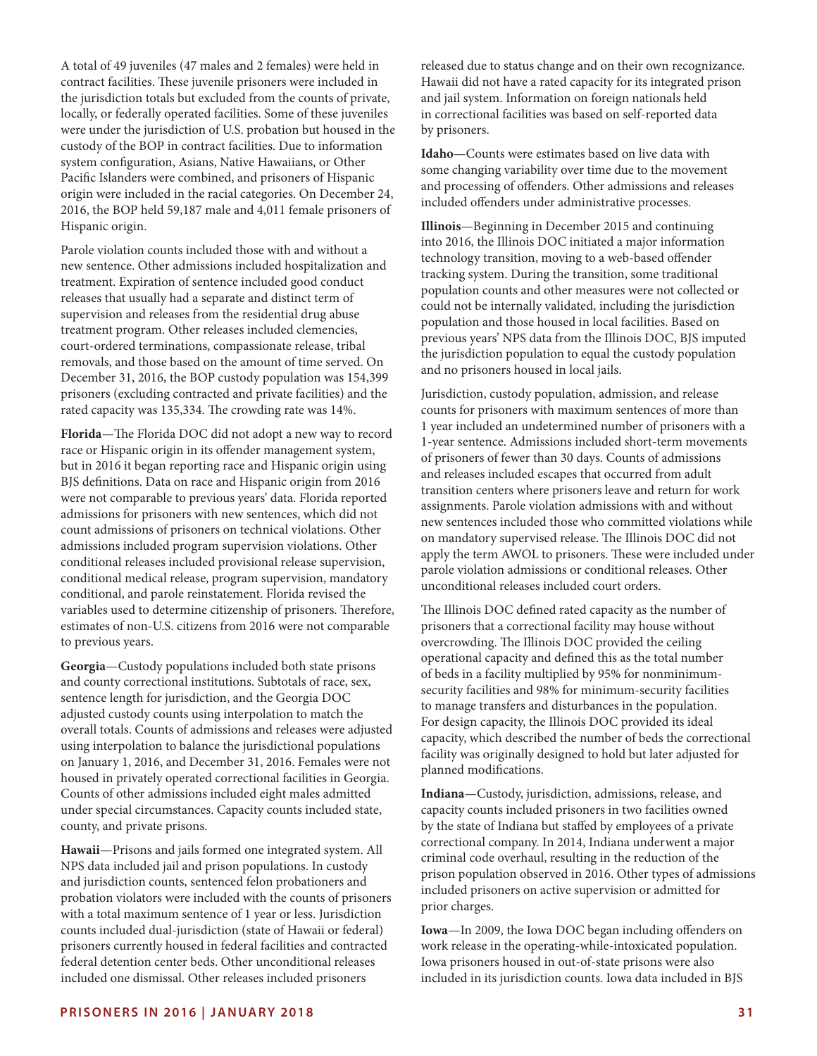A total of 49 juveniles (47 males and 2 females) were held in contract facilities. These juvenile prisoners were included in the jurisdiction totals but excluded from the counts of private, locally, or federally operated facilities. Some of these juveniles were under the jurisdiction of U.S. probation but housed in the custody of the BOP in contract facilities. Due to information system configuration, Asians, Native Hawaiians, or Other Pacific Islanders were combined, and prisoners of Hispanic origin were included in the racial categories. On December 24, 2016, the BOP held 59,187 male and 4,011 female prisoners of Hispanic origin.

Parole violation counts included those with and without a new sentence. Other admissions included hospitalization and treatment. Expiration of sentence included good conduct releases that usually had a separate and distinct term of supervision and releases from the residential drug abuse treatment program. Other releases included clemencies, court-ordered terminations, compassionate release, tribal removals, and those based on the amount of time served. On December 31, 2016, the BOP custody population was 154,399 prisoners (excluding contracted and private facilities) and the rated capacity was 135,334. The crowding rate was 14%.

**Florida**—The Florida DOC did not adopt a new way to record race or Hispanic origin in its offender management system, but in 2016 it began reporting race and Hispanic origin using BJS definitions. Data on race and Hispanic origin from 2016 were not comparable to previous years' data. Florida reported admissions for prisoners with new sentences, which did not count admissions of prisoners on technical violations. Other admissions included program supervision violations. Other conditional releases included provisional release supervision, conditional medical release, program supervision, mandatory conditional, and parole reinstatement. Florida revised the variables used to determine citizenship of prisoners. Therefore, estimates of non-U.S. citizens from 2016 were not comparable to previous years.

**Georgia**—Custody populations included both state prisons and county correctional institutions. Subtotals of race, sex, sentence length for jurisdiction, and the Georgia DOC adjusted custody counts using interpolation to match the overall totals. Counts of admissions and releases were adjusted using interpolation to balance the jurisdictional populations on January 1, 2016, and December 31, 2016. Females were not housed in privately operated correctional facilities in Georgia. Counts of other admissions included eight males admitted under special circumstances. Capacity counts included state, county, and private prisons.

**Hawaii**—Prisons and jails formed one integrated system. All NPS data included jail and prison populations. In custody and jurisdiction counts, sentenced felon probationers and probation violators were included with the counts of prisoners with a total maximum sentence of 1 year or less. Jurisdiction counts included dual-jurisdiction (state of Hawaii or federal) prisoners currently housed in federal facilities and contracted federal detention center beds. Other unconditional releases included one dismissal. Other releases included prisoners

released due to status change and on their own recognizance. Hawaii did not have a rated capacity for its integrated prison and jail system. Information on foreign nationals held in correctional facilities was based on self-reported data by prisoners.

**Idaho**—Counts were estimates based on live data with some changing variability over time due to the movement and processing of offenders. Other admissions and releases included offenders under administrative processes.

**Illinois**—Beginning in December 2015 and continuing into 2016, the Illinois DOC initiated a major information technology transition, moving to a web-based offender tracking system. During the transition, some traditional population counts and other measures were not collected or could not be internally validated, including the jurisdiction population and those housed in local facilities. Based on previous years' NPS data from the Illinois DOC, BJS imputed the jurisdiction population to equal the custody population and no prisoners housed in local jails.

Jurisdiction, custody population, admission, and release counts for prisoners with maximum sentences of more than 1 year included an undetermined number of prisoners with a 1-year sentence. Admissions included short-term movements of prisoners of fewer than 30 days. Counts of admissions and releases included escapes that occurred from adult transition centers where prisoners leave and return for work assignments. Parole violation admissions with and without new sentences included those who committed violations while on mandatory supervised release. The Illinois DOC did not apply the term AWOL to prisoners. These were included under parole violation admissions or conditional releases. Other unconditional releases included court orders.

The Illinois DOC defined rated capacity as the number of prisoners that a correctional facility may house without overcrowding. The Illinois DOC provided the ceiling operational capacity and defined this as the total number of beds in a facility multiplied by 95% for nonminimumsecurity facilities and 98% for minimum-security facilities to manage transfers and disturbances in the population. For design capacity, the Illinois DOC provided its ideal capacity, which described the number of beds the correctional facility was originally designed to hold but later adjusted for planned modifications.

**Indiana**—Custody, jurisdiction, admissions, release, and capacity counts included prisoners in two facilities owned by the state of Indiana but staffed by employees of a private correctional company. In 2014, Indiana underwent a major criminal code overhaul, resulting in the reduction of the prison population observed in 2016. Other types of admissions included prisoners on active supervision or admitted for prior charges.

**Iowa**—In 2009, the Iowa DOC began including offenders on work release in the operating-while-intoxicated population. Iowa prisoners housed in out-of-state prisons were also included in its jurisdiction counts. Iowa data included in BJS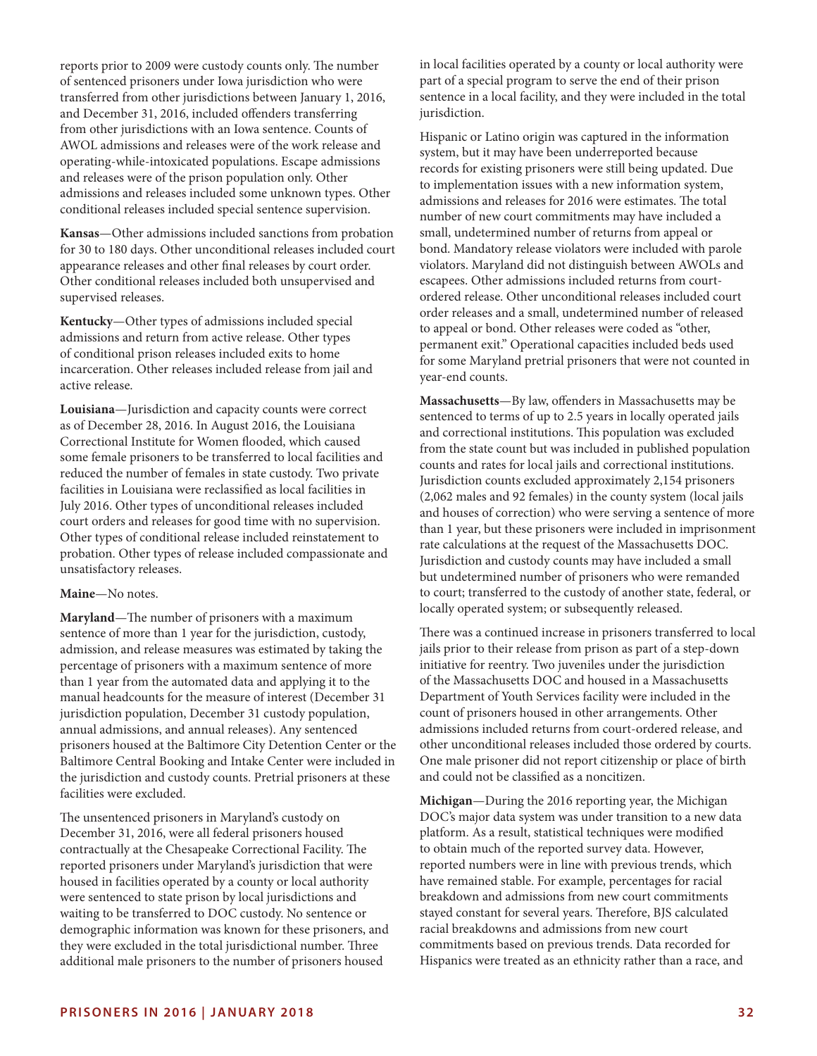reports prior to 2009 were custody counts only. The number of sentenced prisoners under Iowa jurisdiction who were transferred from other jurisdictions between January 1, 2016, and December 31, 2016, included offenders transferring from other jurisdictions with an Iowa sentence. Counts of AWOL admissions and releases were of the work release and operating-while-intoxicated populations. Escape admissions and releases were of the prison population only. Other admissions and releases included some unknown types. Other conditional releases included special sentence supervision.

**Kansas**—Other admissions included sanctions from probation for 30 to 180 days. Other unconditional releases included court appearance releases and other final releases by court order. Other conditional releases included both unsupervised and supervised releases.

**Kentucky**—Other types of admissions included special admissions and return from active release. Other types of conditional prison releases included exits to home incarceration. Other releases included release from jail and active release.

**Louisiana**—Jurisdiction and capacity counts were correct as of December 28, 2016. In August 2016, the Louisiana Correctional Institute for Women flooded, which caused some female prisoners to be transferred to local facilities and reduced the number of females in state custody. Two private facilities in Louisiana were reclassified as local facilities in July 2016. Other types of unconditional releases included court orders and releases for good time with no supervision. Other types of conditional release included reinstatement to probation. Other types of release included compassionate and unsatisfactory releases.

#### **Maine**—No notes.

**Maryland**—The number of prisoners with a maximum sentence of more than 1 year for the jurisdiction, custody, admission, and release measures was estimated by taking the percentage of prisoners with a maximum sentence of more than 1 year from the automated data and applying it to the manual headcounts for the measure of interest (December 31 jurisdiction population, December 31 custody population, annual admissions, and annual releases). Any sentenced prisoners housed at the Baltimore City Detention Center or the Baltimore Central Booking and Intake Center were included in the jurisdiction and custody counts. Pretrial prisoners at these facilities were excluded.

The unsentenced prisoners in Maryland's custody on December 31, 2016, were all federal prisoners housed contractually at the Chesapeake Correctional Facility. The reported prisoners under Maryland's jurisdiction that were housed in facilities operated by a county or local authority were sentenced to state prison by local jurisdictions and waiting to be transferred to DOC custody. No sentence or demographic information was known for these prisoners, and they were excluded in the total jurisdictional number. Three additional male prisoners to the number of prisoners housed

in local facilities operated by a county or local authority were part of a special program to serve the end of their prison sentence in a local facility, and they were included in the total jurisdiction.

Hispanic or Latino origin was captured in the information system, but it may have been underreported because records for existing prisoners were still being updated. Due to implementation issues with a new information system, admissions and releases for 2016 were estimates. The total number of new court commitments may have included a small, undetermined number of returns from appeal or bond. Mandatory release violators were included with parole violators. Maryland did not distinguish between AWOLs and escapees. Other admissions included returns from courtordered release. Other unconditional releases included court order releases and a small, undetermined number of released to appeal or bond. Other releases were coded as "other, permanent exit." Operational capacities included beds used for some Maryland pretrial prisoners that were not counted in year-end counts.

**Massachusetts**—By law, offenders in Massachusetts may be sentenced to terms of up to 2.5 years in locally operated jails and correctional institutions. This population was excluded from the state count but was included in published population counts and rates for local jails and correctional institutions. Jurisdiction counts excluded approximately 2,154 prisoners (2,062 males and 92 females) in the county system (local jails and houses of correction) who were serving a sentence of more than 1 year, but these prisoners were included in imprisonment rate calculations at the request of the Massachusetts DOC. Jurisdiction and custody counts may have included a small but undetermined number of prisoners who were remanded to court; transferred to the custody of another state, federal, or locally operated system; or subsequently released.

There was a continued increase in prisoners transferred to local jails prior to their release from prison as part of a step-down initiative for reentry. Two juveniles under the jurisdiction of the Massachusetts DOC and housed in a Massachusetts Department of Youth Services facility were included in the count of prisoners housed in other arrangements. Other admissions included returns from court-ordered release, and other unconditional releases included those ordered by courts. One male prisoner did not report citizenship or place of birth and could not be classified as a noncitizen.

**Michigan**—During the 2016 reporting year, the Michigan DOC's major data system was under transition to a new data platform. As a result, statistical techniques were modified to obtain much of the reported survey data. However, reported numbers were in line with previous trends, which have remained stable. For example, percentages for racial breakdown and admissions from new court commitments stayed constant for several years. Therefore, BJS calculated racial breakdowns and admissions from new court commitments based on previous trends. Data recorded for Hispanics were treated as an ethnicity rather than a race, and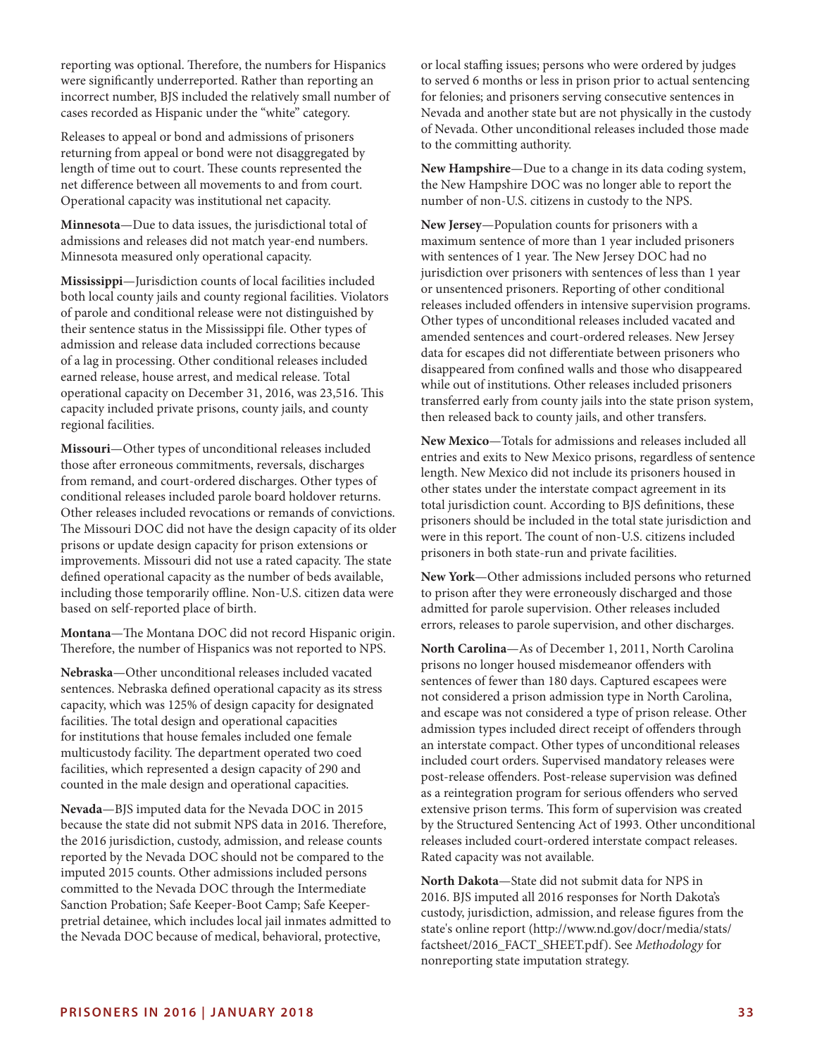reporting was optional. Therefore, the numbers for Hispanics were significantly underreported. Rather than reporting an incorrect number, BJS included the relatively small number of cases recorded as Hispanic under the "white" category.

Releases to appeal or bond and admissions of prisoners returning from appeal or bond were not disaggregated by length of time out to court. These counts represented the net difference between all movements to and from court. Operational capacity was institutional net capacity.

**Minnesota**—Due to data issues, the jurisdictional total of admissions and releases did not match year-end numbers. Minnesota measured only operational capacity.

**Mississippi**—Jurisdiction counts of local facilities included both local county jails and county regional facilities. Violators of parole and conditional release were not distinguished by their sentence status in the Mississippi file. Other types of admission and release data included corrections because of a lag in processing. Other conditional releases included earned release, house arrest, and medical release. Total operational capacity on December 31, 2016, was 23,516. This capacity included private prisons, county jails, and county regional facilities.

**Missouri**—Other types of unconditional releases included those after erroneous commitments, reversals, discharges from remand, and court-ordered discharges. Other types of conditional releases included parole board holdover returns. Other releases included revocations or remands of convictions. The Missouri DOC did not have the design capacity of its older prisons or update design capacity for prison extensions or improvements. Missouri did not use a rated capacity. The state defined operational capacity as the number of beds available, including those temporarily offline. Non-U.S. citizen data were based on self-reported place of birth.

**Montana**—The Montana DOC did not record Hispanic origin. Therefore, the number of Hispanics was not reported to NPS.

**Nebraska**—Other unconditional releases included vacated sentences. Nebraska defined operational capacity as its stress capacity, which was 125% of design capacity for designated facilities. The total design and operational capacities for institutions that house females included one female multicustody facility. The department operated two coed facilities, which represented a design capacity of 290 and counted in the male design and operational capacities.

**Nevada**—BJS imputed data for the Nevada DOC in 2015 because the state did not submit NPS data in 2016. Therefore, the 2016 jurisdiction, custody, admission, and release counts reported by the Nevada DOC should not be compared to the imputed 2015 counts. Other admissions included persons committed to the Nevada DOC through the Intermediate Sanction Probation; Safe Keeper-Boot Camp; Safe Keeperpretrial detainee, which includes local jail inmates admitted to the Nevada DOC because of medical, behavioral, protective,

or local staffing issues; persons who were ordered by judges to served 6 months or less in prison prior to actual sentencing for felonies; and prisoners serving consecutive sentences in Nevada and another state but are not physically in the custody of Nevada. Other unconditional releases included those made to the committing authority.

**New Hampshire**—Due to a change in its data coding system, the New Hampshire DOC was no longer able to report the number of non-U.S. citizens in custody to the NPS.

**New Jersey**—Population counts for prisoners with a maximum sentence of more than 1 year included prisoners with sentences of 1 year. The New Jersey DOC had no jurisdiction over prisoners with sentences of less than 1 year or unsentenced prisoners. Reporting of other conditional releases included offenders in intensive supervision programs. Other types of unconditional releases included vacated and amended sentences and court-ordered releases. New Jersey data for escapes did not differentiate between prisoners who disappeared from confined walls and those who disappeared while out of institutions. Other releases included prisoners transferred early from county jails into the state prison system, then released back to county jails, and other transfers.

**New Mexico**—Totals for admissions and releases included all entries and exits to New Mexico prisons, regardless of sentence length. New Mexico did not include its prisoners housed in other states under the interstate compact agreement in its total jurisdiction count. According to BJS definitions, these prisoners should be included in the total state jurisdiction and were in this report. The count of non-U.S. citizens included prisoners in both state-run and private facilities.

**New York**—Other admissions included persons who returned to prison after they were erroneously discharged and those admitted for parole supervision. Other releases included errors, releases to parole supervision, and other discharges.

**North Carolina**—As of December 1, 2011, North Carolina prisons no longer housed misdemeanor offenders with sentences of fewer than 180 days. Captured escapees were not considered a prison admission type in North Carolina, and escape was not considered a type of prison release. Other admission types included direct receipt of offenders through an interstate compact. Other types of unconditional releases included court orders. Supervised mandatory releases were post-release offenders. Post-release supervision was defined as a reintegration program for serious offenders who served extensive prison terms. This form of supervision was created by the Structured Sentencing Act of 1993. Other unconditional releases included court-ordered interstate compact releases. Rated capacity was not available.

**North Dakota**—State did not submit data for NPS in 2016. BJS imputed all 2016 responses for North Dakota's custody, jurisdiction, admission, and release figures from the state's online report ([http://www.nd.gov/docr/media/stats/](http://www.nd.gov/docr/media/stats/factsheet/2016_FACT_SHEET.pdf) [factsheet/2016\\_FACT\\_SHEET.pdf\)](http://www.nd.gov/docr/media/stats/factsheet/2016_FACT_SHEET.pdf). See *Methodology* for nonreporting state imputation strategy.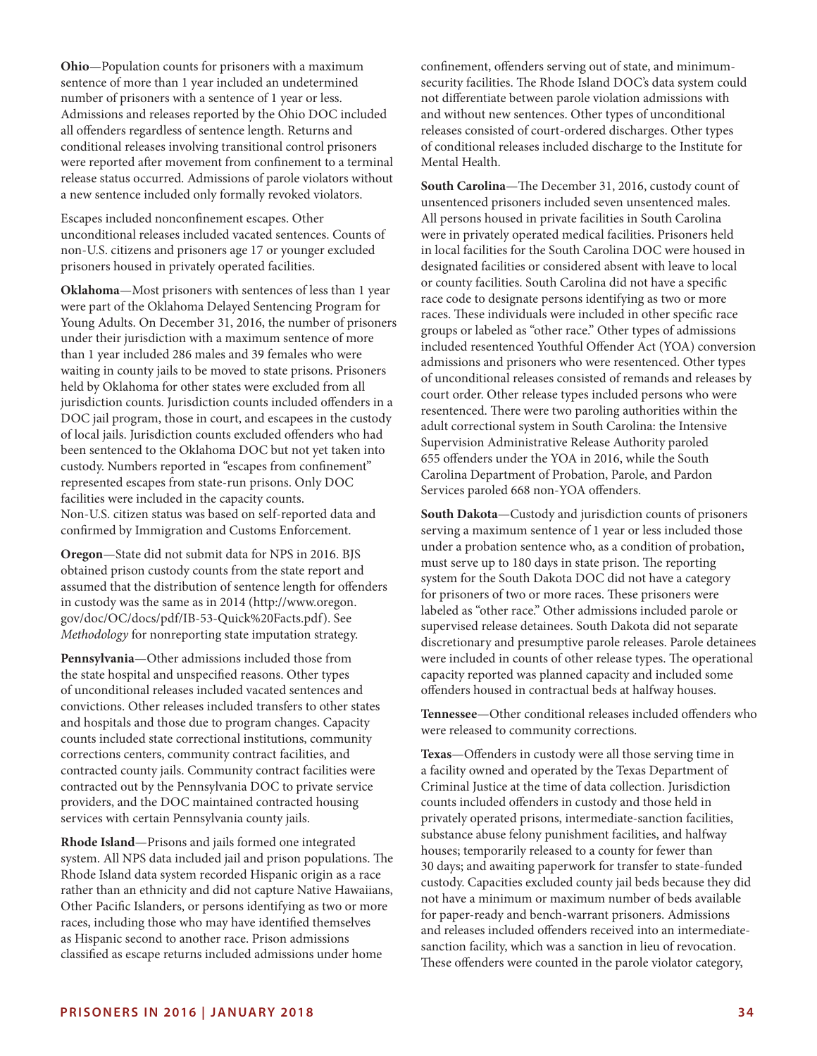**Ohio**—Population counts for prisoners with a maximum sentence of more than 1 year included an undetermined number of prisoners with a sentence of 1 year or less. Admissions and releases reported by the Ohio DOC included all offenders regardless of sentence length. Returns and conditional releases involving transitional control prisoners were reported after movement from confinement to a terminal release status occurred. Admissions of parole violators without a new sentence included only formally revoked violators.

Escapes included nonconfinement escapes. Other unconditional releases included vacated sentences. Counts of non-U.S. citizens and prisoners age 17 or younger excluded prisoners housed in privately operated facilities.

**Oklahoma**—Most prisoners with sentences of less than 1 year were part of the Oklahoma Delayed Sentencing Program for Young Adults. On December 31, 2016, the number of prisoners under their jurisdiction with a maximum sentence of more than 1 year included 286 males and 39 females who were waiting in county jails to be moved to state prisons. Prisoners held by Oklahoma for other states were excluded from all jurisdiction counts. Jurisdiction counts included offenders in a DOC jail program, those in court, and escapees in the custody of local jails. Jurisdiction counts excluded offenders who had been sentenced to the Oklahoma DOC but not yet taken into custody. Numbers reported in "escapes from confinement" represented escapes from state-run prisons. Only DOC facilities were included in the capacity counts. Non-U.S. citizen status was based on self-reported data and confirmed by Immigration and Customs Enforcement.

**Oregon**—State did not submit data for NPS in 2016. BJS obtained prison custody counts from the state report and assumed that the distribution of sentence length for offenders in custody was the same as in 2014 ([http://www.oregon.](http://www.oregon.gov/doc/OC/docs/pdf/IB-53-Quick%20Facts.pdf) [gov/doc/OC/docs/pdf/IB-53-Quick%20Facts.pdf](http://www.oregon.gov/doc/OC/docs/pdf/IB-53-Quick%20Facts.pdf)). See *Methodology* for nonreporting state imputation strategy.

**Pennsylvania**—Other admissions included those from the state hospital and unspecified reasons. Other types of unconditional releases included vacated sentences and convictions. Other releases included transfers to other states and hospitals and those due to program changes. Capacity counts included state correctional institutions, community corrections centers, community contract facilities, and contracted county jails. Community contract facilities were contracted out by the Pennsylvania DOC to private service providers, and the DOC maintained contracted housing services with certain Pennsylvania county jails.

**Rhode Island**—Prisons and jails formed one integrated system. All NPS data included jail and prison populations. The Rhode Island data system recorded Hispanic origin as a race rather than an ethnicity and did not capture Native Hawaiians, Other Pacific Islanders, or persons identifying as two or more races, including those who may have identified themselves as Hispanic second to another race. Prison admissions classified as escape returns included admissions under home

confinement, offenders serving out of state, and minimumsecurity facilities. The Rhode Island DOC's data system could not differentiate between parole violation admissions with and without new sentences. Other types of unconditional releases consisted of court-ordered discharges. Other types of conditional releases included discharge to the Institute for Mental Health.

**South Carolina**—The December 31, 2016, custody count of unsentenced prisoners included seven unsentenced males. All persons housed in private facilities in South Carolina were in privately operated medical facilities. Prisoners held in local facilities for the South Carolina DOC were housed in designated facilities or considered absent with leave to local or county facilities. South Carolina did not have a specific race code to designate persons identifying as two or more races. These individuals were included in other specific race groups or labeled as "other race." Other types of admissions included resentenced Youthful Offender Act (YOA) conversion admissions and prisoners who were resentenced. Other types of unconditional releases consisted of remands and releases by court order. Other release types included persons who were resentenced. There were two paroling authorities within the adult correctional system in South Carolina: the Intensive Supervision Administrative Release Authority paroled 655 offenders under the YOA in 2016, while the South Carolina Department of Probation, Parole, and Pardon Services paroled 668 non-YOA offenders.

**South Dakota**—Custody and jurisdiction counts of prisoners serving a maximum sentence of 1 year or less included those under a probation sentence who, as a condition of probation, must serve up to 180 days in state prison. The reporting system for the South Dakota DOC did not have a category for prisoners of two or more races. These prisoners were labeled as "other race." Other admissions included parole or supervised release detainees. South Dakota did not separate discretionary and presumptive parole releases. Parole detainees were included in counts of other release types. The operational capacity reported was planned capacity and included some offenders housed in contractual beds at halfway houses.

**Tennessee**—Other conditional releases included offenders who were released to community corrections.

**Texas**—Offenders in custody were all those serving time in a facility owned and operated by the Texas Department of Criminal Justice at the time of data collection. Jurisdiction counts included offenders in custody and those held in privately operated prisons, intermediate-sanction facilities, substance abuse felony punishment facilities, and halfway houses; temporarily released to a county for fewer than 30 days; and awaiting paperwork for transfer to state-funded custody. Capacities excluded county jail beds because they did not have a minimum or maximum number of beds available for paper-ready and bench-warrant prisoners. Admissions and releases included offenders received into an intermediatesanction facility, which was a sanction in lieu of revocation. These offenders were counted in the parole violator category,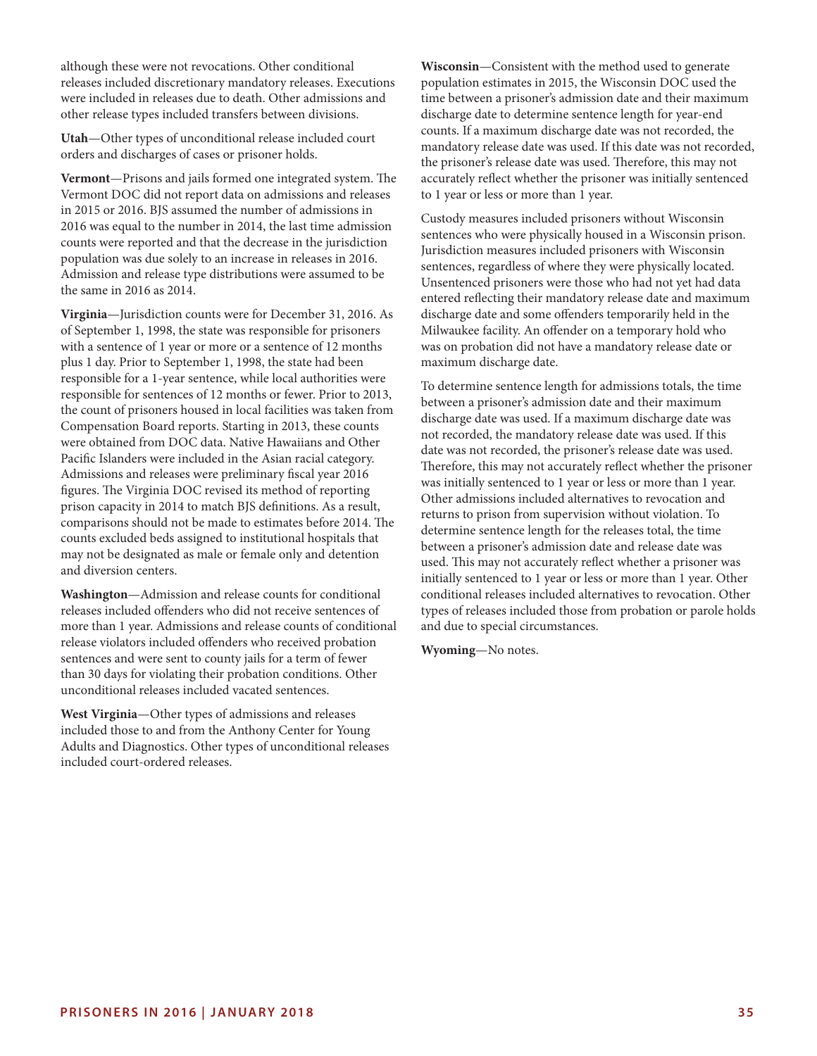although these were not revocations. Other conditional releases included discretionary mandatory releases. Executions were included in releases due to death. Other admissions and other release types included transfers between divisions.

**Utah**—Other types of unconditional release included court orders and discharges of cases or prisoner holds.

**Vermont**—Prisons and jails formed one integrated system. The Vermont DOC did not report data on admissions and releases in 2015 or 2016. BJS assumed the number of admissions in 2016 was equal to the number in 2014, the last time admission counts were reported and that the decrease in the jurisdiction population was due solely to an increase in releases in 2016. Admission and release type distributions were assumed to be the same in 2016 as 2014.

**Virginia**—Jurisdiction counts were for December 31, 2016. As of September 1, 1998, the state was responsible for prisoners with a sentence of 1 year or more or a sentence of 12 months plus 1 day. Prior to September 1, 1998, the state had been responsible for a 1-year sentence, while local authorities were responsible for sentences of 12 months or fewer. Prior to 2013, the count of prisoners housed in local facilities was taken from Compensation Board reports. Starting in 2013, these counts were obtained from DOC data. Native Hawaiians and Other Pacific Islanders were included in the Asian racial category. Admissions and releases were preliminary fiscal year 2016 figures. The Virginia DOC revised its method of reporting prison capacity in 2014 to match BJS definitions. As a result, comparisons should not be made to estimates before 2014. The counts excluded beds assigned to institutional hospitals that may not be designated as male or female only and detention and diversion centers.

**Washington**—Admission and release counts for conditional releases included offenders who did not receive sentences of more than 1 year. Admissions and release counts of conditional release violators included offenders who received probation sentences and were sent to county jails for a term of fewer than 30 days for violating their probation conditions. Other unconditional releases included vacated sentences.

**West Virginia**—Other types of admissions and releases included those to and from the Anthony Center for Young Adults and Diagnostics. Other types of unconditional releases included court-ordered releases.

**Wisconsin**—Consistent with the method used to generate population estimates in 2015, the Wisconsin DOC used the time between a prisoner's admission date and their maximum discharge date to determine sentence length for year-end counts. If a maximum discharge date was not recorded, the mandatory release date was used. If this date was not recorded, the prisoner's release date was used. Therefore, this may not accurately reflect whether the prisoner was initially sentenced to 1 year or less or more than 1 year.

Custody measures included prisoners without Wisconsin sentences who were physically housed in a Wisconsin prison. Jurisdiction measures included prisoners with Wisconsin sentences, regardless of where they were physically located. Unsentenced prisoners were those who had not yet had data entered reflecting their mandatory release date and maximum discharge date and some offenders temporarily held in the Milwaukee facility. An offender on a temporary hold who was on probation did not have a mandatory release date or maximum discharge date.

To determine sentence length for admissions totals, the time between a prisoner's admission date and their maximum discharge date was used. If a maximum discharge date was not recorded, the mandatory release date was used. If this date was not recorded, the prisoner's release date was used. Therefore, this may not accurately reflect whether the prisoner was initially sentenced to 1 year or less or more than 1 year. Other admissions included alternatives to revocation and returns to prison from supervision without violation. To determine sentence length for the releases total, the time between a prisoner's admission date and release date was used. This may not accurately reflect whether a prisoner was initially sentenced to 1 year or less or more than 1 year. Other conditional releases included alternatives to revocation. Other types of releases included those from probation or parole holds and due to special circumstances.

**Wyoming**—No notes.